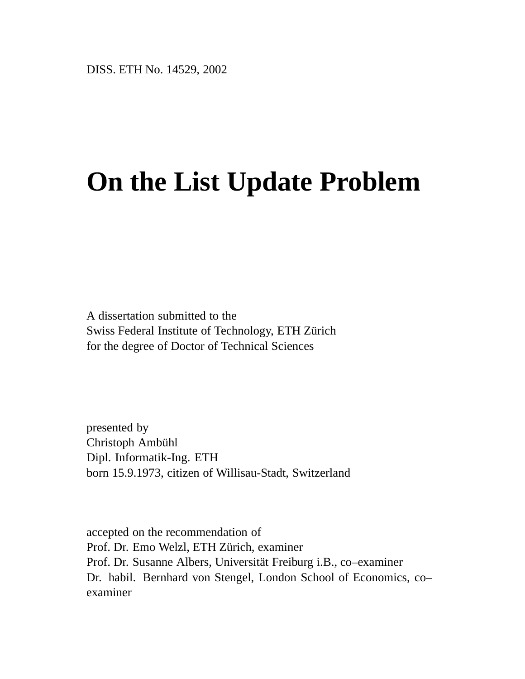# **On the List Update Problem**

A dissertation submitted to the Swiss Federal Institute of Technology, ETH Zürich for the degree of Doctor of Technical Sciences

presented by Christoph Ambühl Dipl. Informatik-Ing. ETH born 15.9.1973, citizen of Willisau-Stadt, Switzerland

accepted on the recommendation of Prof. Dr. Emo Welzl, ETH Zürich, examiner Prof. Dr. Susanne Albers, Universität Freiburg i.B., co–examiner Dr. habil. Bernhard von Stengel, London School of Economics, co– examiner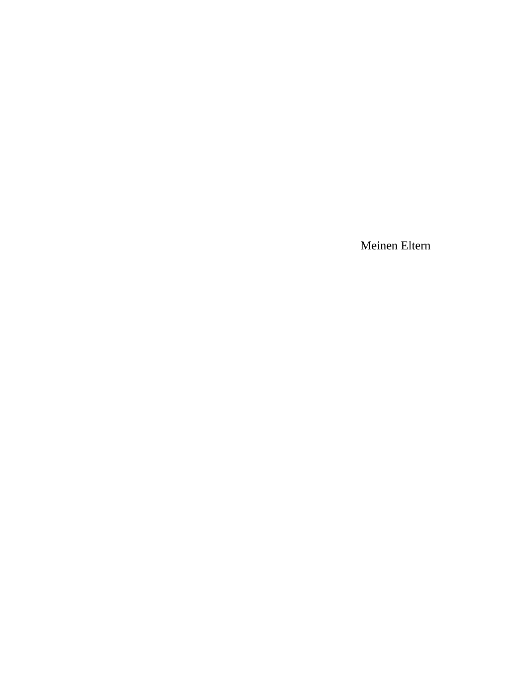Meinen Eltern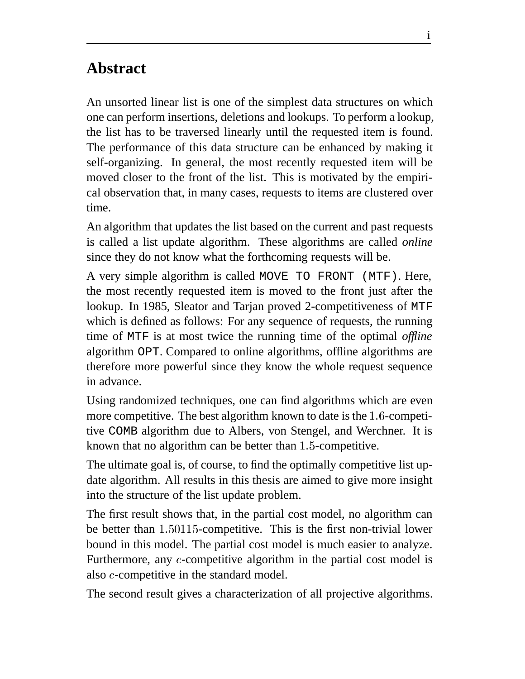# **Abstract**

An unsorted linear list is one of the simplest data structures on which one can perform insertions, deletions and lookups. To perform a lookup, the list has to be traversed linearly until the requested item is found. The performance of this data structure can be enhanced by making it self-organizing. In general, the most recently requested item will be moved closer to the front of the list. This is motivated by the empirical observation that, in many cases, requests to items are clustered over time.

An algorithm that updates the list based on the current and past requests is called a list update algorithm. These algorithms are called *online* since they do not know what the forthcoming requests will be.

A very simple algorithm is called MOVE TO FRONT (MTF). Here, the most recently requested item is moved to the front just after the lookup. In 1985, Sleator and Tarjan proved 2-competitiveness of MTF which is defined as follows: For any sequence of requests, the running time of MTF is at most twice the running time of the optimal *offline* algorithm OPT. Compared to online algorithms, offline algorithms are therefore more powerful since they know the whole request sequence in advance.

Using randomized techniques, one can find algorithms which are even more competitive. The best algorithm known to date is the 1.6-competitive COMB algorithm due to Albers, von Stengel, and Werchner. It is known that no algorithm can be better than  $1.5$ -competitive.

The ultimate goal is, of course, to find the optimally competitive list update algorithm. All results in this thesis are aimed to give more insight into the structure of the list update problem.

The first result shows that, in the partial cost model, no algorithm can be better than  $1.50115$ -competitive. This is the first non-trivial lower bound in this model. The partial cost model is much easier to analyze. Furthermore, any  $c$ -competitive algorithm in the partial cost model is also  $c$ -competitive in the standard model.

The second result gives a characterization of all projective algorithms.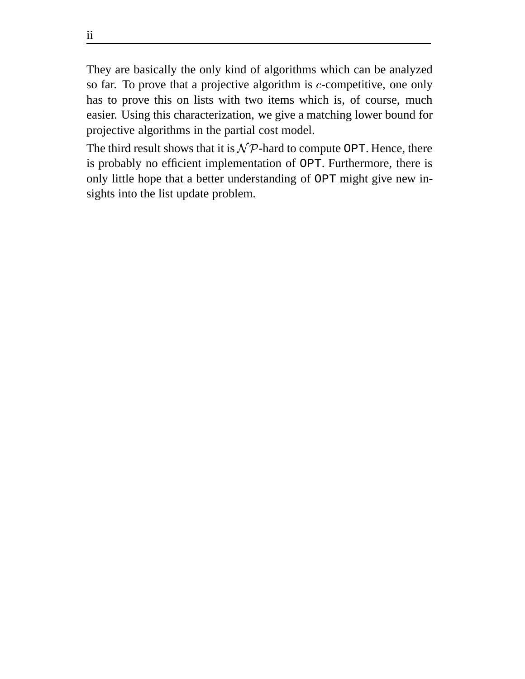They are basically the only kind of algorithms which can be analyzed so far. To prove that a projective algorithm is  $c$ -competitive, one only has to prove this on lists with two items which is, of course, much easier. Using this characterization, we give a matching lower bound for projective algorithms in the partial cost model.

The third result shows that it is  $N\mathcal{P}$ -hard to compute OPT. Hence, there is probably no efficient implementation of OPT. Furthermore, there is only little hope that a better understanding of OPT might give new insights into the list update problem.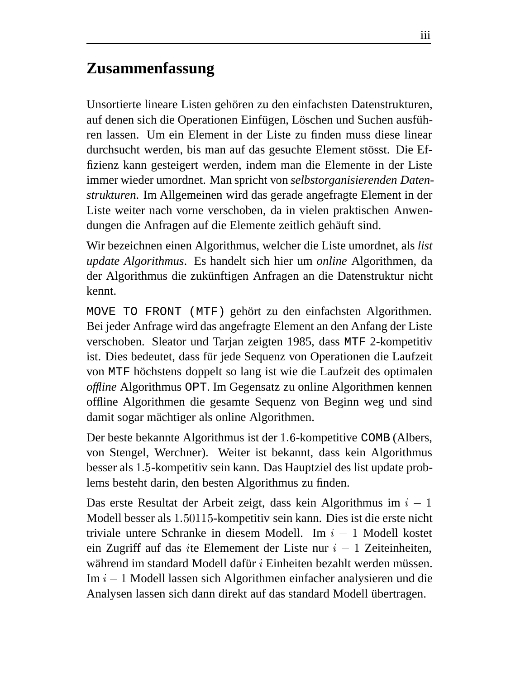# **Zusammenfassung**

Unsortierte lineare Listen gehören zu den einfachsten Datenstrukturen, auf denen sich die Operationen Einfügen, Löschen und Suchen ausführen lassen. Um ein Element in der Liste zu finden muss diese linear durchsucht werden, bis man auf das gesuchte Element stösst. Die Effizienz kann gesteigert werden, indem man die Elemente in der Liste immer wieder umordnet. Man spricht von *selbstorganisierenden Datenstrukturen*. Im Allgemeinen wird das gerade angefragte Element in der Liste weiter nach vorne verschoben, da in vielen praktischen Anwendungen die Anfragen auf die Elemente zeitlich gehäuft sind.

Wir bezeichnen einen Algorithmus, welcher die Liste umordnet, als *list update Algorithmus*. Es handelt sich hier um *online* Algorithmen, da der Algorithmus die zukünftigen Anfragen an die Datenstruktur nicht kennt.

MOVE TO FRONT (MTF) gehört zu den einfachsten Algorithmen. Bei jeder Anfrage wird das angefragte Element an den Anfang der Liste verschoben. Sleator und Tarjan zeigten 1985, dass MTF 2-kompetitiv ist. Dies bedeutet, dass für jede Sequenz von Operationen die Laufzeit von MTF höchstens doppelt so lang ist wie die Laufzeit des optimalen *offline* Algorithmus OPT. Im Gegensatz zu online Algorithmen kennen offline Algorithmen die gesamte Sequenz von Beginn weg und sind damit sogar mächtiger als online Algorithmen.

Der beste bekannte Algorithmus ist der 1.6-kompetitive COMB (Albers, von Stengel, Werchner). Weiter ist bekannt, dass kein Algorithmus besser als 1.5-kompetitiv sein kann. Das Hauptziel des list update problems besteht darin, den besten Algorithmus zu finden.

Das erste Resultat der Arbeit zeigt, dass kein Algorithmus im  $i-1$ Modell besser als 1.50115-kompetitiv sein kann. Dies ist die erste nicht triviale untere Schranke in diesem Modell. Im  $i - 1$  Modell kostet ein Zugriff auf das ite Elemement der Liste nur  $i - 1$  Zeiteinheiten, während im standard Modell dafür  $i$  Einheiten bezahlt werden müssen. Im  $i - 1$  Modell lassen sich Algorithmen einfacher analysieren und die Analysen lassen sich dann direkt auf das standard Modell übertragen.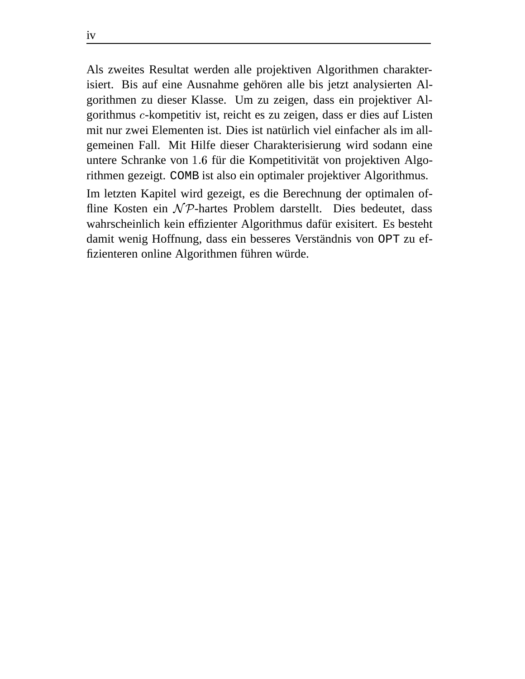Als zweites Resultat werden alle projektiven Algorithmen charakterisiert. Bis auf eine Ausnahme gehören alle bis jetzt analysierten Algorithmen zu dieser Klasse. Um zu zeigen, dass ein projektiver Algorithmus c-kompetitiv ist, reicht es zu zeigen, dass er dies auf Listen mit nur zwei Elementen ist. Dies ist natürlich viel einfacher als im allgemeinen Fall. Mit Hilfe dieser Charakterisierung wird sodann eine untere Schranke von 1.6 für die Kompetitivität von projektiven Algorithmen gezeigt. COMB ist also ein optimaler projektiver Algorithmus.

Im letzten Kapitel wird gezeigt, es die Berechnung der optimalen offline Kosten ein  $\mathcal{NP}$ -hartes Problem darstellt. Dies bedeutet, dass wahrscheinlich kein effizienter Algorithmus dafür exisitert. Es besteht damit wenig Hoffnung, dass ein besseres Verständnis von OPT zu effizienteren online Algorithmen führen würde.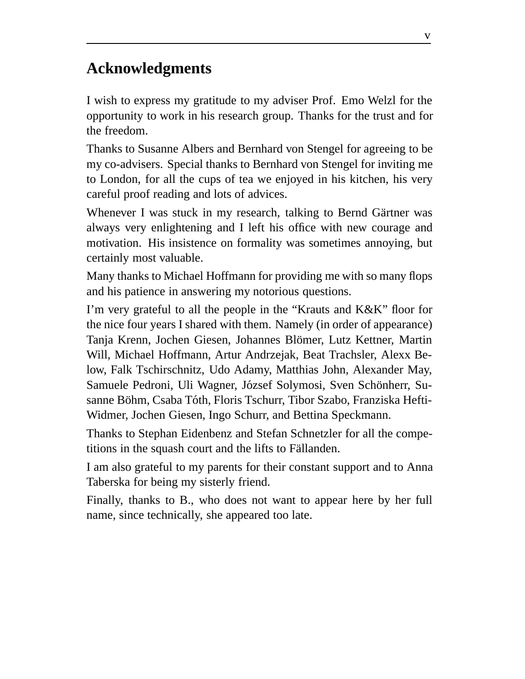## **Acknowledgments**

I wish to express my gratitude to my adviser Prof. Emo Welzl for the opportunity to work in his research group. Thanks for the trust and for the freedom.

Thanks to Susanne Albers and Bernhard von Stengel for agreeing to be my co-advisers. Special thanks to Bernhard von Stengel for inviting me to London, for all the cups of tea we enjoyed in his kitchen, his very careful proof reading and lots of advices.

Whenever I was stuck in my research, talking to Bernd Gärtner was always very enlightening and I left his office with new courage and motivation. His insistence on formality was sometimes annoying, but certainly most valuable.

Many thanks to Michael Hoffmann for providing me with so many flops and his patience in answering my notorious questions.

I'm very grateful to all the people in the "Krauts and K&K" floor for the nice four years I shared with them. Namely (in order of appearance) Tanja Krenn, Jochen Giesen, Johannes Blömer, Lutz Kettner, Martin Will, Michael Hoffmann, Artur Andrzejak, Beat Trachsler, Alexx Below, Falk Tschirschnitz, Udo Adamy, Matthias John, Alexander May, Samuele Pedroni, Uli Wagner, József Solymosi, Sven Schönherr, Susanne Böhm, Csaba Tóth, Floris Tschurr, Tibor Szabo, Franziska Hefti-Widmer, Jochen Giesen, Ingo Schurr, and Bettina Speckmann.

Thanks to Stephan Eidenbenz and Stefan Schnetzler for all the competitions in the squash court and the lifts to Fällanden.

I am also grateful to my parents for their constant support and to Anna Taberska for being my sisterly friend.

Finally, thanks to B., who does not want to appear here by her full name, since technically, she appeared too late.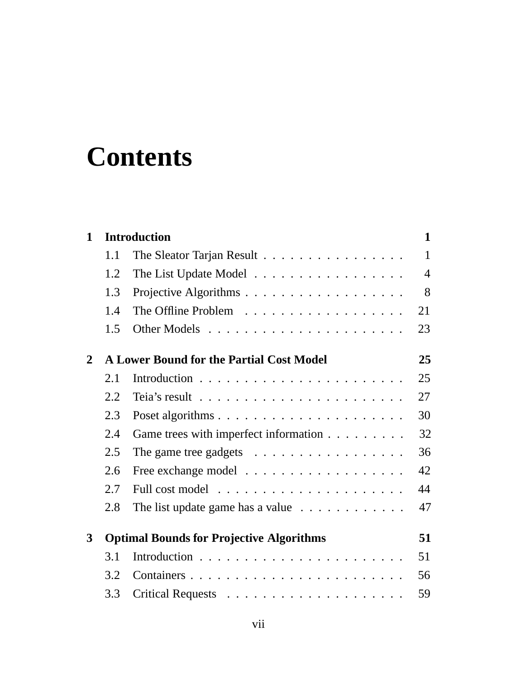# **Contents**

| 1            |     | <b>Introduction</b>                                                     | $\mathbf{1}$   |
|--------------|-----|-------------------------------------------------------------------------|----------------|
|              | 1.1 | The Sleator Tarjan Result                                               | $\mathbf{1}$   |
|              | 1.2 | The List Update Model                                                   | $\overline{4}$ |
|              | 1.3 |                                                                         | 8              |
|              | 1.4 | The Offline Problem                                                     | 21             |
|              | 1.5 |                                                                         | 23             |
| $\mathbf{2}$ |     | <b>A Lower Bound for the Partial Cost Model</b>                         | 25             |
|              | 2.1 |                                                                         | 25             |
|              | 2.2 | Teia's result $\ldots \ldots \ldots \ldots \ldots \ldots \ldots \ldots$ | 27             |
|              | 2.3 |                                                                         | 30             |
|              | 2.4 | Game trees with imperfect information                                   | 32             |
|              | 2.5 | The game tree gadgets $\dots \dots \dots \dots \dots \dots$             | 36             |
|              | 2.6 |                                                                         | 42             |
|              | 2.7 |                                                                         | 44             |
|              | 2.8 | The list update game has a value $\ldots \ldots \ldots \ldots$          | 47             |
| 3            |     | <b>Optimal Bounds for Projective Algorithms</b>                         | 51             |
|              | 3.1 |                                                                         | 51             |
|              | 3.2 | Containers                                                              | 56             |
|              | 3.3 |                                                                         | 59             |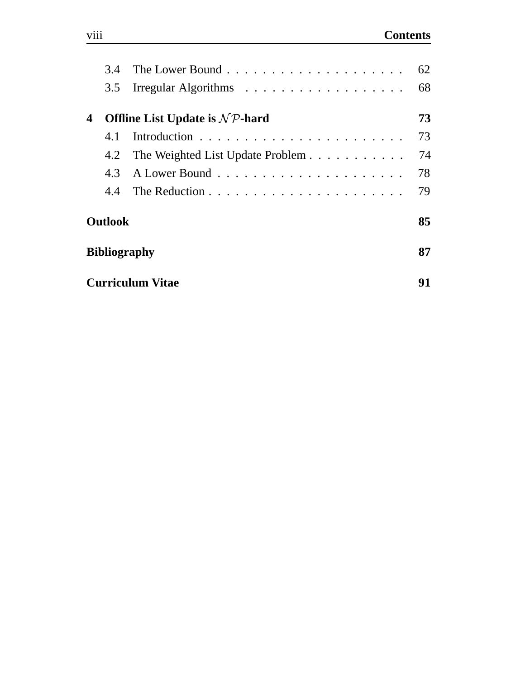|                | 3.4 |                                             | 62 |  |  |  |
|----------------|-----|---------------------------------------------|----|--|--|--|
|                |     |                                             | 68 |  |  |  |
| 4              |     | Offline List Update is $N\mathcal{P}$ -hard | 73 |  |  |  |
|                | 4.1 |                                             | 73 |  |  |  |
|                | 4.2 | The Weighted List Update Problem            | 74 |  |  |  |
|                | 4.3 |                                             | 78 |  |  |  |
|                | 4.4 |                                             | 79 |  |  |  |
| <b>Outlook</b> |     |                                             |    |  |  |  |
|                |     | <b>Bibliography</b>                         | 87 |  |  |  |
|                |     | <b>Curriculum Vitae</b>                     | 91 |  |  |  |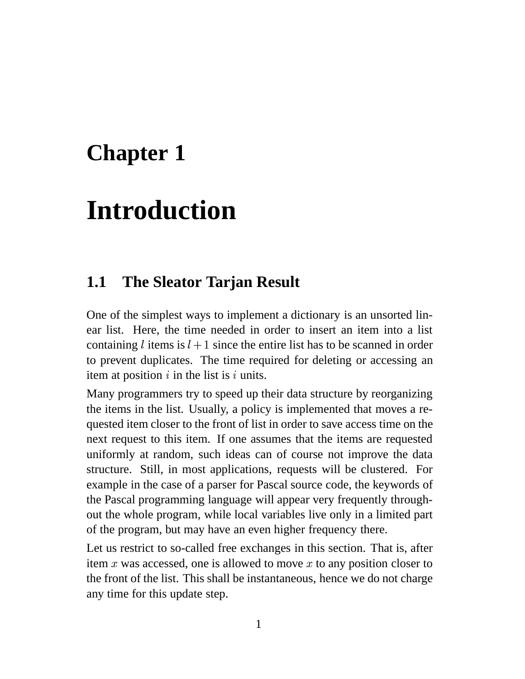# **Chapter 1**

# **Introduction**

#### **1.1 The Sleator Tarjan Result**

One of the simplest ways to implement a dictionary is an unsorted linear list. Here, the time needed in order to insert an item into a list containing l items is  $l + 1$  since the entire list has to be scanned in order to prevent duplicates. The time required for deleting or accessing an item at position  $i$  in the list is  $i$  units.

Many programmers try to speed up their data structure by reorganizing the items in the list. Usually, a policy is implemented that moves a requested item closer to the front of list in order to save access time on the next request to this item. If one assumes that the items are requested uniformly at random, such ideas can of course not improve the data structure. Still, in most applications, requests will be clustered. For example in the case of a parser for Pascal source code, the keywords of the Pascal programming language will appear very frequently throughout the whole program, while local variables live only in a limited part of the program, but may have an even higher frequency there.

Let us restrict to so-called free exchanges in this section. That is, after item x was accessed, one is allowed to move x to any position closer to the front of the list. This shall be instantaneous, hence we do not charge any time for this update step.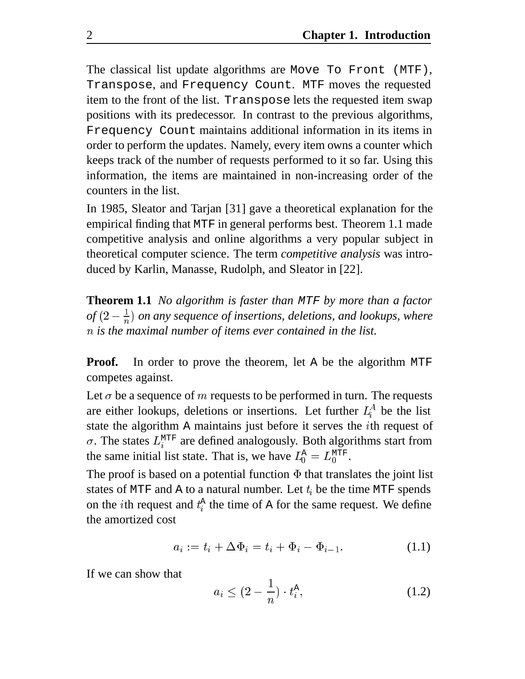The classical list update algorithms are Move To Front (MTF), Transpose, and Frequency Count. MTF moves the requested item to the front of the list. Transpose lets the requested item swap positions with its predecessor. In contrast to the previous algorithms, Frequency Count maintains additional information in its items in order to perform the updates. Namely, every item owns a counter which keeps track of the number of requests performed to it so far. Using this information, the items are maintained in non-increasing order of the counters in the list.

In 1985, Sleator and Tarjan [31] gave a theoretical explanation for the empirical finding that MTF in general performs best. Theorem 1.1 made competitive analysis and online algorithms a very popular subject in theoretical computer science. The term *competitive analysis* was introduced by Karlin, Manasse, Rudolph, and Sleator in [22].

**Theorem 1.1** *No algorithm is faster than* MTF *by more than a factor*  $of (2 - \frac{1}{n})$  on any sequence of insertions, deletions, and lookups, where *is the maximal number of items ever contained in the list.*

**Proof.** In order to prove the theorem, let A be the algorithm MTF competes against.

Let  $\sigma$  be a sequence of m requests to be performed in turn. The requests are either lookups, deletions or insertions. Let further  $L_i^A$  be the list state the algorithm A maintains just before it serves the *i*th request of  $\sigma$ . The states  $L_i^{\text{MTF}}$  are defined analogously. Both algorithms start from the same initial list state. That is, we have  $L_0^{\text{A}} = L_0^{\text{MTF}}$ . --

The proof is based on a potential function  $\Phi$  that translates the joint list states of MTF and A to a natural number. Let  $t_i$  be the time MTF spends on the *i*th request and  $t_i^A$  the time of A for the same request. We define the amortized cost

$$
a_i := t_i + \Delta \Phi_i = t_i + \Phi_i - \Phi_{i-1}.
$$
 (1.1)

If we can show that

$$
a_i \le (2 - \frac{1}{n}) \cdot t_i^{\mathcal{A}},\tag{1.2}
$$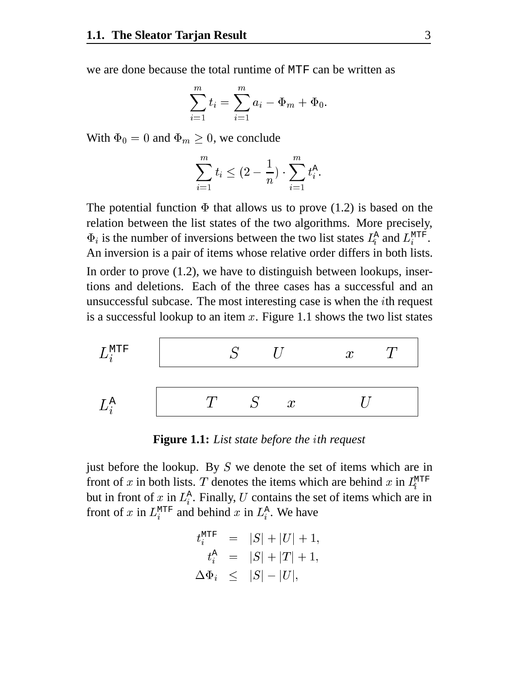we are done because the total runtime of MTF can be written as

$$
\sum_{i=1}^{m} t_i = \sum_{i=1}^{m} a_i - \Phi_m + \Phi_0.
$$

With  $\Phi_0 = 0$  and  $\Phi_m \geq 0$ , we conclude

$$
\sum_{i=1}^m t_i \leq (2-\frac{1}{n}) \cdot \sum_{i=1}^m t_i^{\text{A}}.
$$

The potential function  $\Phi$  that allows us to prove (1.2) is based on the relation between the list states of the two algorithms. More precisely,  $\Phi_i$  is the number of inversions between the two list states  $L_i^{\text{A}}$  and  $L_i^{\text{MTF}}$ . An inversion is a pair of items whose relative order differs in both lists. In order to prove (1.2), we have to distinguish between lookups, insertions and deletions. Each of the three cases has a successful and an unsuccessful subcase. The most interesting case is when the th request is a successful lookup to an item  $x$ . Figure 1.1 shows the two list states



**Figure 1.1:** *List state before the th request*

just before the lookup. By  $S$  we denote the set of items which are in front of x in both lists. T denotes the items which are behind x in  $L_i^{\text{MTF}}$  but in front of x in  $L_i^A$ . Finally, U contains the set of items which are in front of x in  $L_i^{\text{MTF}}$  and behind x in  $L_i^{\text{A}}$ . We have

$$
\begin{array}{rcl} t_i^{\text{MTF}} & = & |S| + |U| + 1, \\ t_i^{\text{A}} & = & |S| + |T| + 1, \\ \Delta \Phi_i & \leq & |S| - |U|, \end{array}
$$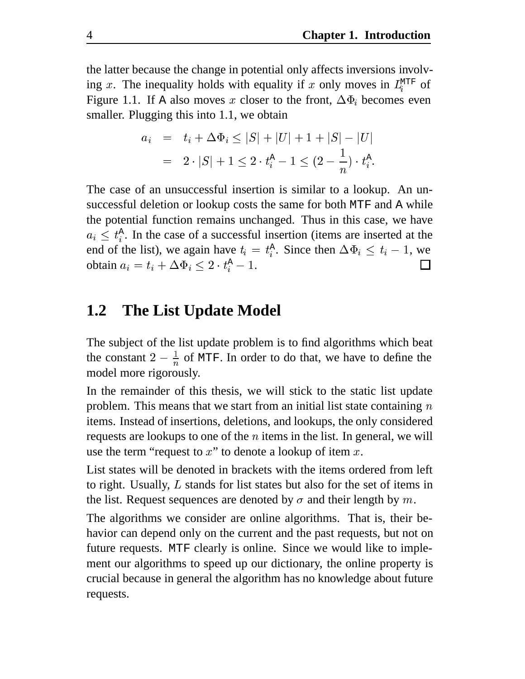the latter because the change in potential only affects inversions involving x. The inequality holds with equality if x only moves in  $L_i^{\text{MTF}}$  of Figure 1.1. If A also moves x closer to the front,  $\Delta \Phi_i$  becomes even smaller. Plugging this into 1.1, we obtain

$$
\begin{array}{lcl} a_i & = & t_i + \Delta \Phi_i \leq |S| + |U| + 1 + |S| - |U| \\ \\ & = & 2 \cdot |S| + 1 \leq 2 \cdot t_i^{\text{A}} - 1 \leq (2 - \frac{1}{n}) \cdot t_i^{\text{A}}. \end{array}
$$

The case of an unsuccessful insertion is similar to a lookup. An unsuccessful deletion or lookup costs the same for both MTF and A while the potential function remains unchanged. Thus in this case, we have  $a_i \n\t\leq t_i^{\text{A}}$ . In the case of a successful insertion (items are inserted at the end of the list), we again have  $t_i = t_i^{\text{A}}$ . Since then  $\Delta \Phi_i \leq t_i - 1$ , we obtain  $a_i = t_i + \Delta \Phi_i \leq 2 \cdot t_i^{\text{A}} - 1$ .

#### **1.2 The List Update Model**

The subject of the list update problem is to find algorithms which beat the constant  $2 - \frac{1}{n}$  of MTF. In order to do that, we have to define the model more rigorously.

In the remainder of this thesis, we will stick to the static list update problem. This means that we start from an initial list state containing  $n$ items. Instead of insertions, deletions, and lookups, the only considered requests are lookups to one of the  $n$  items in the list. In general, we will use the term "request to  $x$ " to denote a lookup of item  $x$ .

List states will be denoted in brackets with the items ordered from left to right. Usually,  $L$  stands for list states but also for the set of items in the list. Request sequences are denoted by  $\sigma$  and their length by m.

The algorithms we consider are online algorithms. That is, their behavior can depend only on the current and the past requests, but not on future requests. MTF clearly is online. Since we would like to implement our algorithms to speed up our dictionary, the online property is crucial because in general the algorithm has no knowledge about future requests.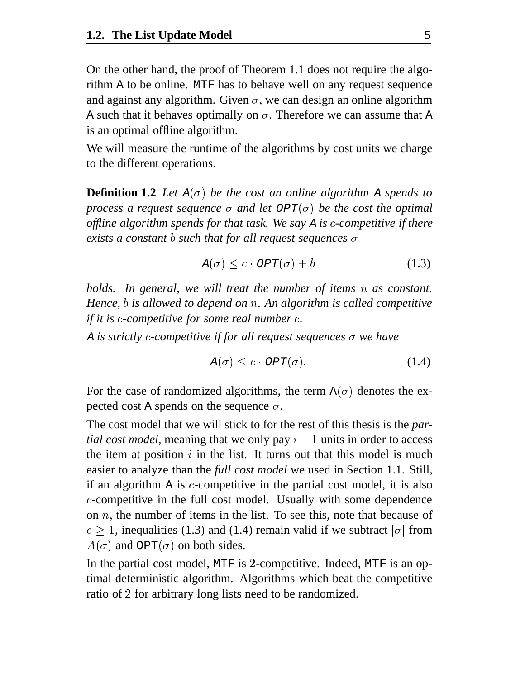On the other hand, the proof of Theorem 1.1 does not require the algorithm A to be online. MTF has to behave well on any request sequence and against any algorithm. Given  $\sigma$ , we can design an online algorithm A such that it behaves optimally on  $\sigma$ . Therefore we can assume that A is an optimal offline algorithm.

We will measure the runtime of the algorithms by cost units we charge to the different operations.

**Definition 1.2** Let  $A(\sigma)$  be the cost an online algorithm A spends to *process a request sequence*  $\sigma$  *and let*  $OPT(\sigma)$  *be the cost the optimal offline algorithm spends for that task. We say* <sup>A</sup> *is* -*-competitive if there exists a constant b such that for all request sequences*  $\sigma$ 

$$
A(\sigma) \le c \cdot OPT(\sigma) + b \tag{1.3}
$$

*holds. In general, we will treat the number of items as constant. Hence, is allowed to depend on . An algorithm is called competitive if it is c-competitive for some real number c.* 

A *is strictly c-competitive if for all request sequences σ* we have

$$
A(\sigma) \leq c \cdot OPT(\sigma). \tag{1.4}
$$

For the case of randomized algorithms, the term  $A(\sigma)$  denotes the expected cost A spends on the sequence  $\sigma$ .

The cost model that we will stick to for the rest of this thesis is the *partial cost model*, meaning that we only pay  $i - 1$  units in order to access the item at position  $i$  in the list. It turns out that this model is much easier to analyze than the *full cost model* we used in Section 1.1. Still, if an algorithm  $A$  is  $c$ -competitive in the partial cost model, it is also --competitive in the full cost model. Usually with some dependence on  $n$ , the number of items in the list. To see this, note that because of  $c \geq 1$ , inequalities (1.3) and (1.4) remain valid if we subtract  $|\sigma|$  from  $A(\sigma)$  and OPT( $\sigma$ ) on both sides.

In the partial cost model, MTF is 2-competitive. Indeed, MTF is an optimal deterministic algorithm. Algorithms which beat the competitive ratio of 2 for arbitrary long lists need to be randomized.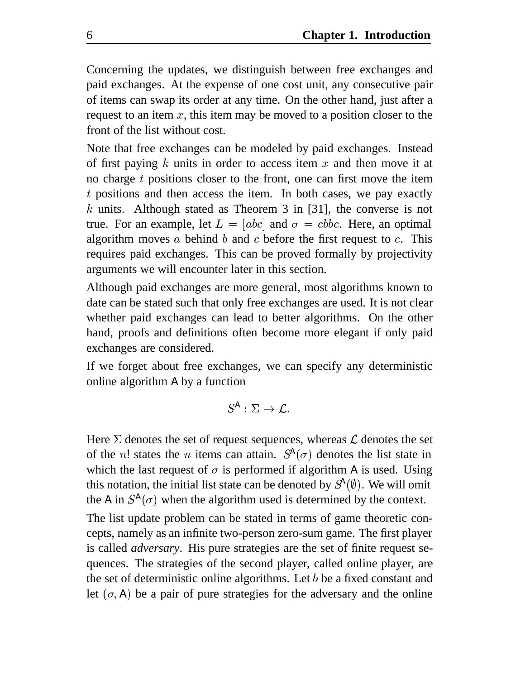Concerning the updates, we distinguish between free exchanges and paid exchanges. At the expense of one cost unit, any consecutive pair of items can swap its order at any time. On the other hand, just after a request to an item  $x$ , this item may be moved to a position closer to the front of the list without cost.

Note that free exchanges can be modeled by paid exchanges. Instead of first paying  $k$  units in order to access item  $x$  and then move it at no charge  $t$  positions closer to the front, one can first move the item positions and then access the item. In both cases, we pay exactly k units. Although stated as Theorem 3 in [31], the converse is not true. For an example, let  $L = [abc]$  and  $\sigma = cbbc$ . Here, an optimal algorithm moves a behind b and c before the first request to  $c$ . This requires paid exchanges. This can be proved formally by projectivity arguments we will encounter later in this section.

Although paid exchanges are more general, most algorithms known to date can be stated such that only free exchanges are used. It is not clear whether paid exchanges can lead to better algorithms. On the other hand, proofs and definitions often become more elegant if only paid exchanges are considered.

If we forget about free exchanges, we can specify any deterministic online algorithm A by a function

$$
S^{\mathbb{A}}:\Sigma\to \mathcal{L}.
$$

Here  $\Sigma$  denotes the set of request sequences, whereas  $\mathcal L$  denotes the set of the *n*! states the *n* items can attain.  $S^A(\sigma)$  denotes the list state in which the last request of  $\sigma$  is performed if algorithm A is used. Using this notation, the initial list state can be denoted by  $S^{\lambda}(\emptyset)$ . We will omit the A in  $S^A(\sigma)$  when the algorithm used is determined by the context.

The list update problem can be stated in terms of game theoretic concepts, namely as an infinite two-person zero-sum game. The first player is called *adversary*. His pure strategies are the set of finite request sequences. The strategies of the second player, called online player, are the set of deterministic online algorithms. Let  $b$  be a fixed constant and let  $(\sigma, A)$  be a pair of pure strategies for the adversary and the online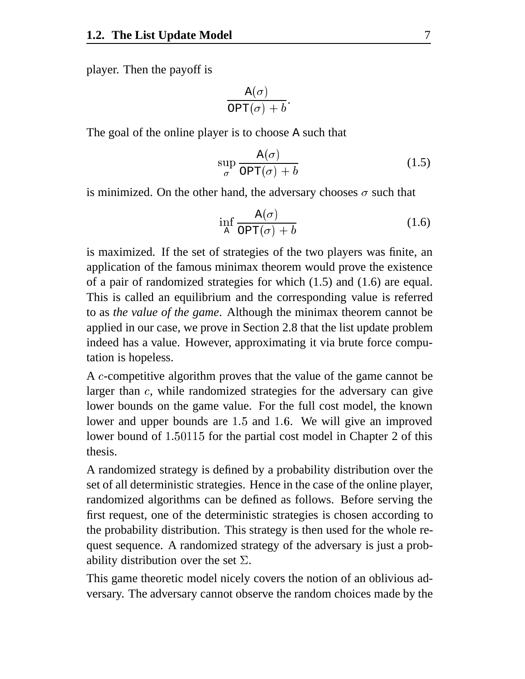player. Then the payoff is

$$
\frac{\mathtt{A}(\sigma)}{\mathtt{OPT}(\sigma)+b}.
$$

The goal of the online player is to choose A such that

$$
\sup_{\sigma} \frac{\mathbf{A}(\sigma)}{\text{OPT}(\sigma) + b} \tag{1.5}
$$

is minimized. On the other hand, the adversary chooses  $\sigma$  such that

$$
\inf_{A} \frac{A(\sigma)}{\text{OPT}(\sigma) + b} \tag{1.6}
$$

is maximized. If the set of strategies of the two players was finite, an application of the famous minimax theorem would prove the existence of a pair of randomized strategies for which (1.5) and (1.6) are equal. This is called an equilibrium and the corresponding value is referred to as *the value of the game*. Although the minimax theorem cannot be applied in our case, we prove in Section 2.8 that the list update problem indeed has a value. However, approximating it via brute force computation is hopeless.

A c-competitive algorithm proves that the value of the game cannot be larger than  $c$ , while randomized strategies for the adversary can give lower bounds on the game value. For the full cost model, the known lower and upper bounds are 1.5 and 1.6. We will give an improved lower bound of 1.50115 for the partial cost model in Chapter 2 of this thesis.

A randomized strategy is defined by a probability distribution over the set of all deterministic strategies. Hence in the case of the online player, randomized algorithms can be defined as follows. Before serving the first request, one of the deterministic strategies is chosen according to the probability distribution. This strategy is then used for the whole request sequence. A randomized strategy of the adversary is just a probability distribution over the set  $\Sigma$ .

This game theoretic model nicely covers the notion of an oblivious adversary. The adversary cannot observe the random choices made by the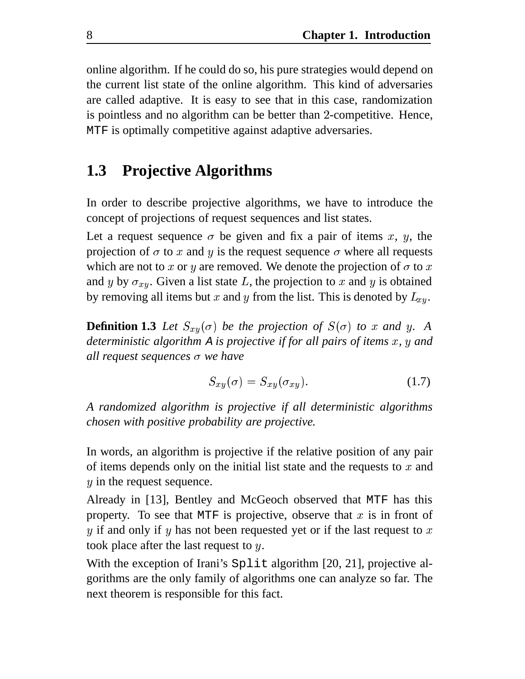online algorithm. If he could do so, his pure strategies would depend on the current list state of the online algorithm. This kind of adversaries are called adaptive. It is easy to see that in this case, randomization is pointless and no algorithm can be better than 2-competitive. Hence, MTF is optimally competitive against adaptive adversaries.

#### **1.3 Projective Algorithms**

In order to describe projective algorithms, we have to introduce the concept of projections of request sequences and list states.

Let a request sequence  $\sigma$  be given and fix a pair of items x, y, the projection of  $\sigma$  to x and y is the request sequence  $\sigma$  where all requests which are not to x or y are removed. We denote the projection of  $\sigma$  to x and y by  $\sigma_{xy}$ . Given a list state L, the projection to x and y is obtained by removing all items but x and y from the list. This is denoted by  $L_{xy}$ .

**Definition 1.3** Let  $S_{xy}(\sigma)$  be the projection of  $S(\sigma)$  to x and y. A *deterministic algorithm* A *is projective if for all pairs of items x, y and all request sequences we have*

$$
S_{xy}(\sigma) = S_{xy}(\sigma_{xy}). \tag{1.7}
$$

*A randomized algorithm is projective if all deterministic algorithms chosen with positive probability are projective.*

In words, an algorithm is projective if the relative position of any pair of items depends only on the initial list state and the requests to  $x$  and  $y$  in the request sequence.

Already in [13], Bentley and McGeoch observed that MTF has this property. To see that MTF is projective, observe that  $x$  is in front of  $y$  if and only if  $y$  has not been requested yet or if the last request to  $x$ took place after the last request to  $y$ .

With the exception of Irani's Split algorithm [20, 21], projective algorithms are the only family of algorithms one can analyze so far. The next theorem is responsible for this fact.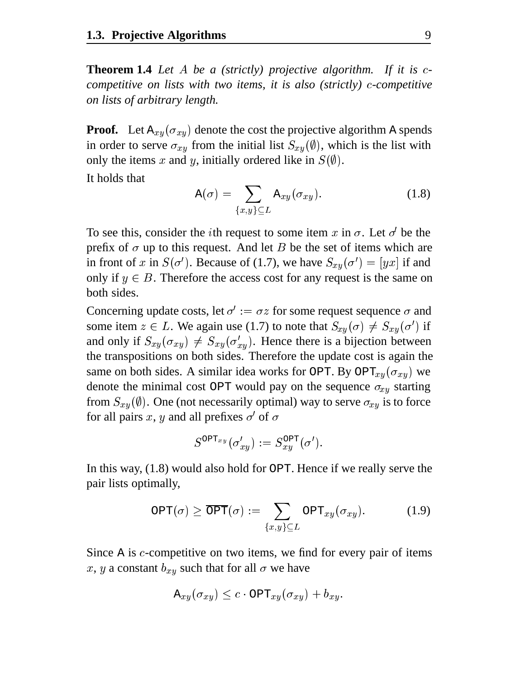**Theorem 1.4** Let A be a (strictly) projective algorithm. If it is c*competitive on lists with two items, it is also (strictly) c-competitive on lists of arbitrary length.*

**Proof.** Let  $A_{xy}(\sigma_{xy})$  denote the cost the projective algorithm A spends in order to serve  $\sigma_{xy}$  from the initial list  $S_{xy}(\emptyset)$ , which is the list with only the items x and y, initially ordered like in  $S(\emptyset)$ .

It holds that

$$
A(\sigma) = \sum_{\{x,y\} \subseteq L} A_{xy}(\sigma_{xy}).
$$
\n(1.8)

To see this, consider the *i*th request to some item x in  $\sigma$ . Let  $\sigma'$  be the prefix of  $\sigma$  up to this request. And let B be the set of items which are in front of x in  $S(\sigma')$ . Because of (1.7), we have  $S_{xy}(\sigma') = [yx]$  if and only if  $y \in B$ . Therefore the access cost for any request is the same on both sides.

Concerning update costs, let  $\sigma' := \sigma z$  for some request sequence  $\sigma$  and some item  $z \in L$ . We again use (1.7) to note that  $S_{xy}(\sigma) \neq S_{xy}(\sigma')$  if and only if  $S_{xy}(\sigma_{xy}) \neq S_{xy}(\sigma'_{xy})$ . Hence there is a bijection between the transpositions on both sides. Therefore the update cost is again the same on both sides. A similar idea works for OPT. By OPT<sub>xy</sub> $(\sigma_{xy})$  we denote the minimal cost OPT would pay on the sequence  $\sigma_{xy}$  starting from  $S_{xy}(\emptyset)$ . One (not necessarily optimal) way to serve  $\sigma_{xy}$  is to force for all pairs  $x, y$  and all prefixes  $\sigma'$  of  $\sigma$ 

$$
S^{\mathrm{OPT}_{xy}}(\sigma'_{xy}) := S^{\mathrm{OPT}}_{xy}(\sigma').
$$

In this way, (1.8) would also hold for OPT. Hence if we really serve the pair lists optimally,

$$
\text{OPT}(\sigma) \geq \overline{\text{OPT}}(\sigma) := \sum_{\{x,y\} \subseteq L} \text{OPT}_{xy}(\sigma_{xy}). \tag{1.9}
$$

Since A is  $c$ -competitive on two items, we find for every pair of items x, y a constant  $b_{xy}$  such that for all  $\sigma$  we have

$$
\texttt{A}_{xy}(\sigma_{xy}) \leq c \cdot \texttt{OPT}_{xy}(\sigma_{xy}) + b_{xy}.
$$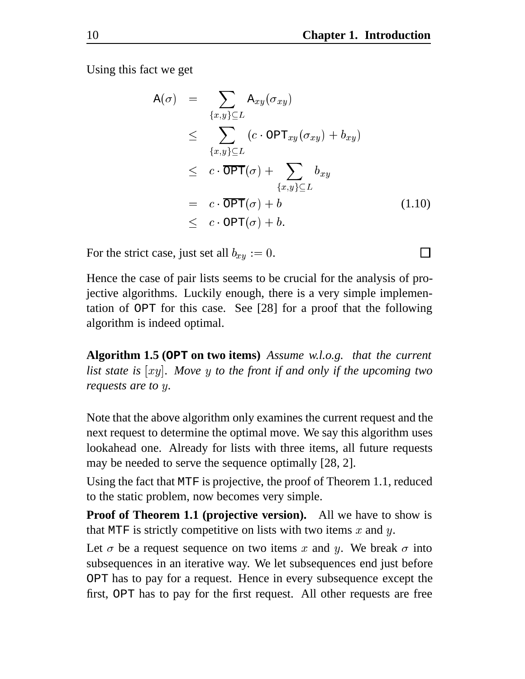Using this fact we get

$$
A(\sigma) = \sum_{\{x,y\} \subseteq L} A_{xy}(\sigma_{xy})
$$
  
\n
$$
\leq \sum_{\{x,y\} \subseteq L} (c \cdot \text{OPT}_{xy}(\sigma_{xy}) + b_{xy})
$$
  
\n
$$
\leq c \cdot \overline{\text{OPT}}(\sigma) + \sum_{\{x,y\} \subseteq L} b_{xy}
$$
  
\n
$$
= c \cdot \overline{\text{OPT}}(\sigma) + b
$$
  
\n
$$
\leq c \cdot \text{OPT}(\sigma) + b.
$$
 (1.10)

For the strict case, just set all  $b_{xy} := 0$ .

Hence the case of pair lists seems to be crucial for the analysis of projective algorithms. Luckily enough, there is a very simple implementation of OPT for this case. See [28] for a proof that the following algorithm is indeed optimal.

**Algorithm 1.5 (OPT on two items)** *Assume w.l.o.g. that the current* list state is  $[xy]$ . Move y to the front if and only if the upcoming two *requests are to y.* 

Note that the above algorithm only examines the current request and the next request to determine the optimal move. We say this algorithm uses lookahead one. Already for lists with three items, all future requests may be needed to serve the sequence optimally [28, 2].

Using the fact that MTF is projective, the proof of Theorem 1.1, reduced to the static problem, now becomes very simple.

**Proof of Theorem 1.1 (projective version).** All we have to show is that MTF is strictly competitive on lists with two items  $x$  and  $y$ .

Let  $\sigma$  be a request sequence on two items x and y. We break  $\sigma$  into subsequences in an iterative way. We let subsequences end just before OPT has to pay for a request. Hence in every subsequence except the first, OPT has to pay for the first request. All other requests are free

П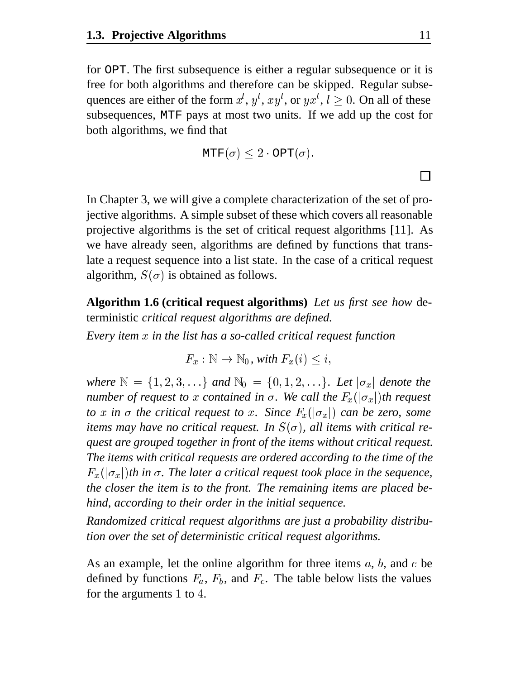for OPT. The first subsequence is either a regular subsequence or it is free for both algorithms and therefore can be skipped. Regular subsequences are either of the form  $x^l$ ,  $y^l$ ,  $xy^l$ , or  $yx^l$ ,  $l \geq 0$ . On all of these subsequences, MTF pays at most two units. If we add up the cost for both algorithms, we find that

$$
\text{MTF}(\sigma) \leq 2 \cdot \text{OPT}(\sigma).
$$

In Chapter 3, we will give a complete characterization of the set of projective algorithms. A simple subset of these which covers all reasonable projective algorithms is the set of critical request algorithms [11]. As we have already seen, algorithms are defined by functions that translate a request sequence into a list state. In the case of a critical request algorithm,  $S(\sigma)$  is obtained as follows.

**Algorithm 1.6 (critical request algorithms)** *Let us first see how* deterministic *critical request algorithms are defined.*

*Every item in the list has a so-called critical request function*

 $F_x : \mathbb{N} \to \mathbb{N}_0$ , with  $F_x(i) \leq i$ ,

where  $\mathbb{N} = \{1, 2, 3, \ldots\}$  and  $\mathbb{N}_0 = \{0, 1, 2, \ldots\}$ . Let  $|\sigma_x|$  denote the *number of request to x contained in*  $\sigma$ *. We call the*  $F_x(|\sigma_x|)$ *th request to x* in  $\sigma$  *the critical request to x*. Since  $F_x(|\sigma_x|)$  *can be zero, some items may have no critical request. In*  $S(\sigma)$ *, all items with critical request are grouped together in front of the items without critical request. The items with critical requests are ordered according to the time of the*  $F_x(|\sigma_x|)$ th in  $\sigma$ . The later a critical request took place in the sequence, *the closer the item is to the front. The remaining items are placed behind, according to their order in the initial sequence.*

*Randomized critical request algorithms are just a probability distribution over the set of deterministic critical request algorithms.*

As an example, let the online algorithm for three items  $a, b$ , and  $c$  be defined by functions  $F_a$ ,  $F_b$ , and  $F_c$ . The table below lists the values for the arguments  $1$  to  $4$ .

 $\Box$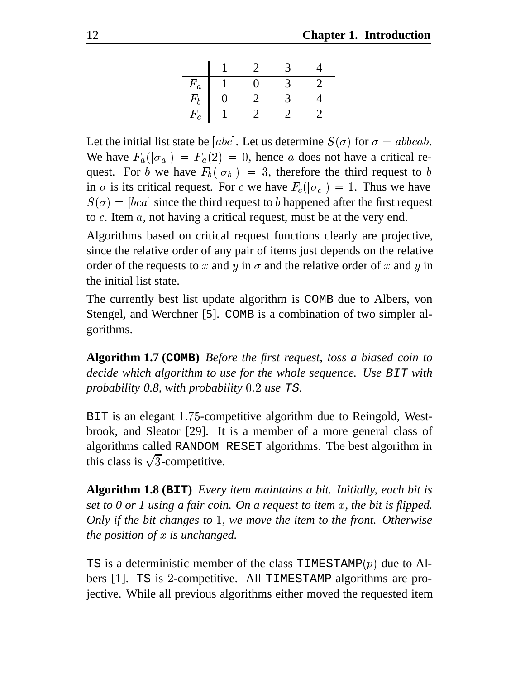| $F_a$            |  |  |
|------------------|--|--|
| $\mathit{F}_{b}$ |  |  |
| $F_c$            |  |  |

Let the initial list state be [abc]. Let us determine  $S(\sigma)$  for  $\sigma = abbcab$ . We have  $F_a(|\sigma_a|) = F_a(2) = 0$ , hence a does not have a critical request. For b we have  $F_b(|\sigma_b|) = 3$ , therefore the third request to b in  $\sigma$  is its critical request. For c we have  $F_c(|\sigma_c|) = 1$ . Thus we have  $S(\sigma) = [bca]$  since the third request to b happened after the first request to  $c$ . Item  $a$ , not having a critical request, must be at the very end.

Algorithms based on critical request functions clearly are projective, since the relative order of any pair of items just depends on the relative order of the requests to x and y in  $\sigma$  and the relative order of x and y in the initial list state.

The currently best list update algorithm is COMB due to Albers, von Stengel, and Werchner [5]. COMB is a combination of two simpler algorithms.

**Algorithm 1.7 (COMB)** *Before the first request, toss a biased coin to decide which algorithm to use for the whole sequence. Use* BIT *with probability 0.8, with probability use* TS*.*

BIT is an elegant 1.75-competitive algorithm due to Reingold, Westbrook, and Sleator [29]. It is a member of a more general class of algorithms called RANDOM RESET algorithms. The best algorithm in this class is  $\sqrt{3}$ -competitive.

**Algorithm 1.8 (BIT)** *Every item maintains a bit. Initially, each bit is set to 0 or 1 using a fair coin. On a request to item x, the bit is flipped. Only if the bit changes to 1, we move the item to the front. Otherwise the position of is unchanged.*

TS is a deterministic member of the class TIMESTAMP $(p)$  due to Albers [1]. TS is 2-competitive. All TIMESTAMP algorithms are projective. While all previous algorithms either moved the requested item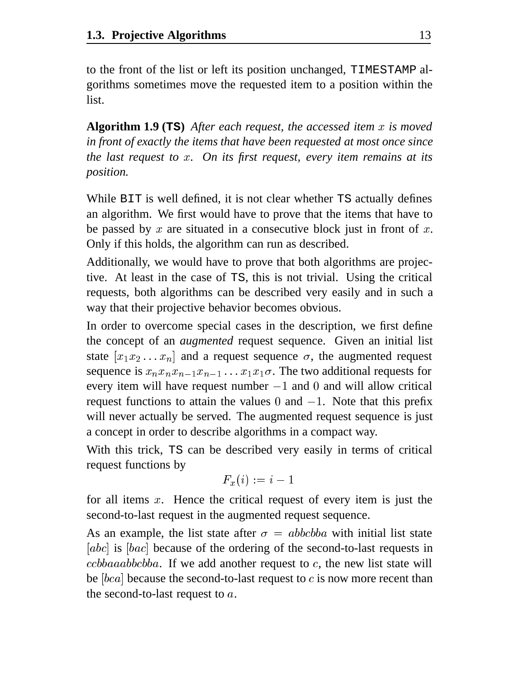to the front of the list or left its position unchanged, TIMESTAMP algorithms sometimes move the requested item to a position within the list.

**Algorithm 1.9 (TS)** *After each request, the accessed item is moved in front of exactly the items that have been requested at most once since the last request to . On its first request, every item remains at its position.*

While BIT is well defined, it is not clear whether TS actually defines an algorithm. We first would have to prove that the items that have to be passed by  $x$  are situated in a consecutive block just in front of  $x$ . Only if this holds, the algorithm can run as described.

Additionally, we would have to prove that both algorithms are projective. At least in the case of TS, this is not trivial. Using the critical requests, both algorithms can be described very easily and in such a way that their projective behavior becomes obvious.

In order to overcome special cases in the description, we first define the concept of an *augmented* request sequence. Given an initial list state  $[x_1 x_2 ... x_n]$  and a request sequence  $\sigma$ , the augmented request sequence is  $x_n x_n x_{n-1} x_{n-1} \dots x_1 x_1 \sigma$ . The two additional requests for every item will have request number  $-1$  and 0 and will allow critical request functions to attain the values 0 and  $-1$ . Note that this prefix will never actually be served. The augmented request sequence is just a concept in order to describe algorithms in a compact way.

With this trick, TS can be described very easily in terms of critical request functions by

$$
F_x(i):=i-1
$$

for all items  $x$ . Hence the critical request of every item is just the second-to-last request in the augmented request sequence.

As an example, the list state after  $\sigma = abbcbba$  with initial list state [abc] is  $[bac]$  because of the ordering of the second-to-last requests in  $ccbbaaabbcbba$ . If we add another request to  $c$ , the new list state will be  $[bca]$  because the second-to-last request to  $c$  is now more recent than the second-to-last request to  $a$ .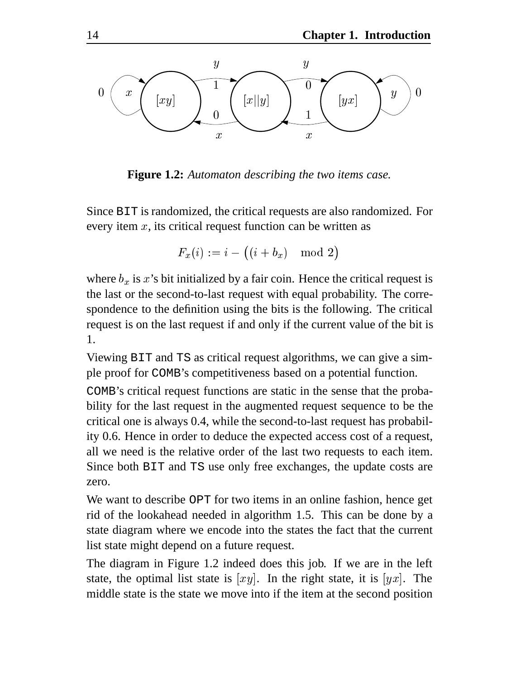

**Figure 1.2:** *Automaton describing the two items case.*

Since BIT is randomized, the critical requests are also randomized. For every item  $x$ , its critical request function can be written as

$$
F_x(i):=i-\bigl((i+b_x)\mod2\bigr)
$$

where  $b_x$  is x's bit initialized by a fair coin. Hence the critical request is the last or the second-to-last request with equal probability. The correspondence to the definition using the bits is the following. The critical request is on the last request if and only if the current value of the bit is 1.

Viewing BIT and TS as critical request algorithms, we can give a simple proof for COMB's competitiveness based on a potential function.

COMB's critical request functions are static in the sense that the probability for the last request in the augmented request sequence to be the critical one is always 0.4, while the second-to-last request has probability 0.6. Hence in order to deduce the expected access cost of a request, all we need is the relative order of the last two requests to each item. Since both BIT and TS use only free exchanges, the update costs are zero.

We want to describe OPT for two items in an online fashion, hence get rid of the lookahead needed in algorithm 1.5. This can be done by a state diagram where we encode into the states the fact that the current list state might depend on a future request.

The diagram in Figure 1.2 indeed does this job. If we are in the left state, the optimal list state is  $[xy]$ . In the right state, it is  $[yx]$ . The middle state is the state we move into if the item at the second position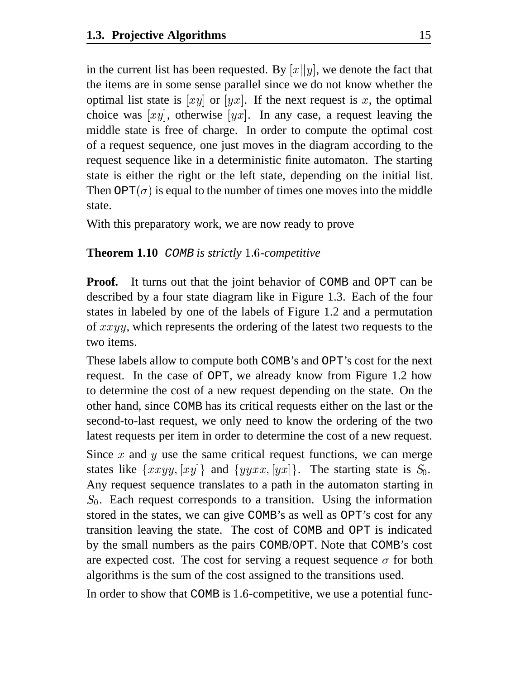in the current list has been requested. By  $[x||y]$ , we denote the fact that the items are in some sense parallel since we do not know whether the optimal list state is  $[xy]$  or  $[yx]$ . If the next request is x, the optimal choice was  $[xy]$ , otherwise  $[yx]$ . In any case, a request leaving the middle state is free of charge. In order to compute the optimal cost of a request sequence, one just moves in the diagram according to the request sequence like in a deterministic finite automaton. The starting state is either the right or the left state, depending on the initial list. Then OPT( $\sigma$ ) is equal to the number of times one moves into the middle state.

With this preparatory work, we are now ready to prove

#### **Theorem 1.10** COMB is strictly 1.6-competitive

**Proof.** It turns out that the joint behavior of COMB and OPT can be described by a four state diagram like in Figure 1.3. Each of the four states in labeled by one of the labels of Figure 1.2 and a permutation of  $xxyy$ , which represents the ordering of the latest two requests to the two items.

These labels allow to compute both COMB's and OPT's cost for the next request. In the case of OPT, we already know from Figure 1.2 how to determine the cost of a new request depending on the state. On the other hand, since COMB has its critical requests either on the last or the second-to-last request, we only need to know the ordering of the two latest requests per item in order to determine the cost of a new request.

Since  $x$  and  $y$  use the same critical request functions, we can merge states like  $\{xxyy, [xy]\}$  and  $\{yyxx, [yx]\}$ . The starting state is  $S_0$ . Any request sequence translates to a path in the automaton starting in  $S_0$ . Each request corresponds to a transition. Using the information stored in the states, we can give COMB's as well as OPT's cost for any transition leaving the state. The cost of COMB and OPT is indicated by the small numbers as the pairs COMB/OPT. Note that COMB's cost are expected cost. The cost for serving a request sequence  $\sigma$  for both algorithms is the sum of the cost assigned to the transitions used.

In order to show that COMB is 1.6-competitive, we use a potential func-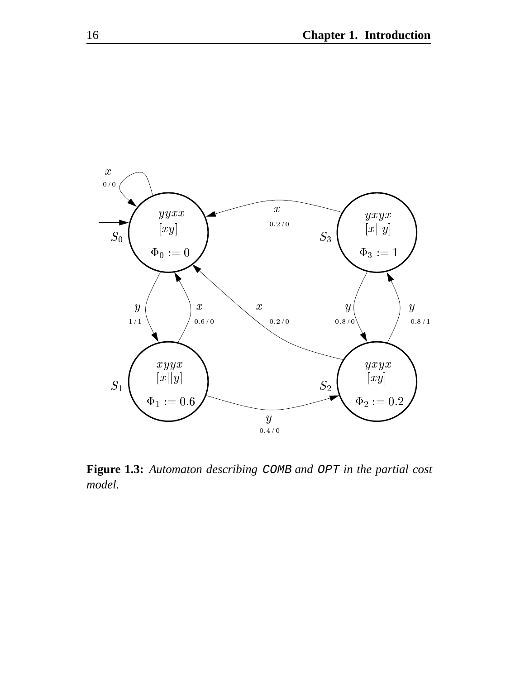

**Figure 1.3:** *Automaton describing* COMB *and* OPT *in the partial cost model.*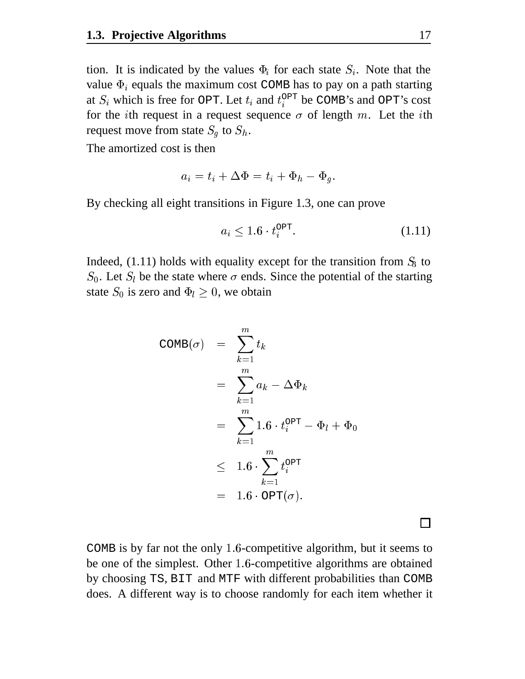tion. It is indicated by the values  $\Phi_i$  for each state  $S_i$ . Note that the value  $\Phi_i$  equals the maximum cost COMB has to pay on a path starting at  $S_i$  which is free for OPT. Let  $t_i$  and  $t_i^{\text{OPT}}$  be COMB's and OPT's cost for the *i*th request in a request sequence  $\sigma$  of length  $m$ . Let the *i*th request move from state  $S_q$  to  $S_h$ .

The amortized cost is then

$$
a_i = t_i + \Delta \Phi = t_i + \Phi_h - \Phi_g.
$$

By checking all eight transitions in Figure 1.3, one can prove

$$
a_i \le 1.6 \cdot t_i^{\text{OPT}}.\tag{1.11}
$$

Indeed,  $(1.11)$  holds with equality except for the transition from  $S_3$  to  $S_0$ . Let  $S_l$  be the state where  $\sigma$  ends. Since the potential of the starting state  $S_0$  is zero and  $\Phi_l \geq 0$ , we obtain

$$
COMB(\sigma) = \sum_{k=1}^{m} t_k
$$
  
= 
$$
\sum_{k=1}^{m} a_k - \Delta \Phi_k
$$
  
= 
$$
\sum_{k=1}^{m} 1.6 \cdot t_i^{OPT} - \Phi_l + \Phi_0
$$
  

$$
\leq 1.6 \cdot \sum_{k=1}^{m} t_i^{OPT}
$$
  
= 
$$
1.6 \cdot OPT(\sigma).
$$

 $\Box$ 

COMB is by far not the only 1.6-competitive algorithm, but it seems to be one of the simplest. Other 1.6-competitive algorithms are obtained by choosing TS, BIT and MTF with different probabilities than COMB does. A different way is to choose randomly for each item whether it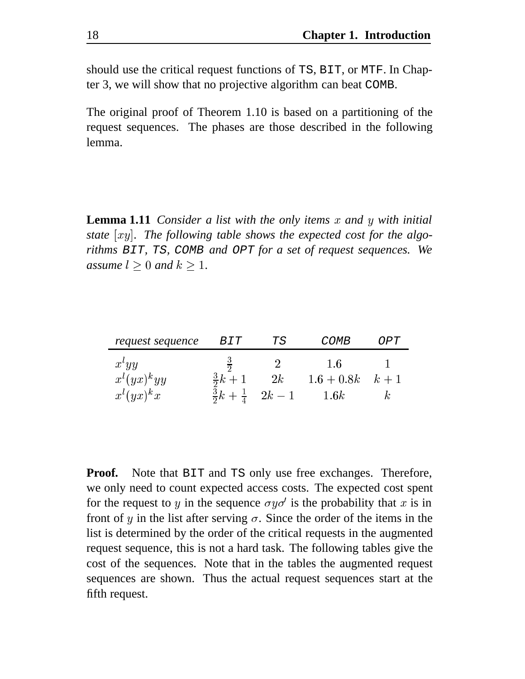should use the critical request functions of TS, BIT, or MTF. In Chapter 3, we will show that no projective algorithm can beat COMB.

The original proof of Theorem 1.10 is based on a partitioning of the request sequences. The phases are those described in the following lemma.

**Lemma 1.11** *Consider a list with the only items x and y with initial state . The following table shows the expected cost for the algorithms* BIT*,* TS*,* COMB *and* OPT *for a set of request sequences. We assume*  $l \geq 0$  *and*  $k \geq 1$ *.* 

| request sequence  | <i>BIT</i>         | ТS                                | <i>COMB</i>          | OPT |  |
|-------------------|--------------------|-----------------------------------|----------------------|-----|--|
| $x^lyy$           | $rac{3}{2}$        |                                   | 1.6                  |     |  |
| $x^{l}(yx)^{k}yy$ | $\frac{3}{2}k + 1$ | 2k                                | $1.6 + 0.8k$ $k + 1$ |     |  |
| $x^{l}(yx)^{k}x$  |                    | $\frac{3}{2}k+\frac{1}{4}$ 2k - 1 | 1.6k                 |     |  |

**Proof.** Note that BIT and TS only use free exchanges. Therefore, we only need to count expected access costs. The expected cost spent for the request to y in the sequence  $\sigma y \sigma'$  is the probability that x is in front of y in the list after serving  $\sigma$ . Since the order of the items in the list is determined by the order of the critical requests in the augmented request sequence, this is not a hard task. The following tables give the cost of the sequences. Note that in the tables the augmented request sequences are shown. Thus the actual request sequences start at the fifth request.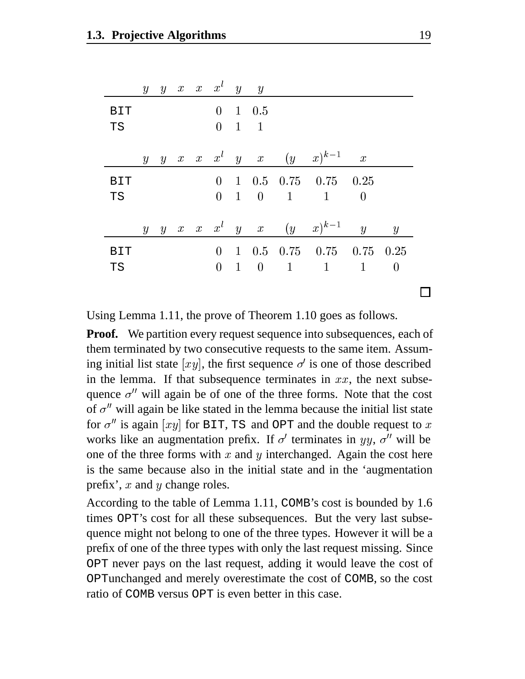|            | $\mathcal{Y}$    |   |  | $y \quad x \quad x \quad x^t \quad y \quad y$ |                     |                                                                       |                |  |
|------------|------------------|---|--|-----------------------------------------------|---------------------|-----------------------------------------------------------------------|----------------|--|
| <b>BIT</b> |                  |   |  | $\overline{0}$                                | $1\quad 0.5$        |                                                                       |                |  |
| <b>TS</b>  |                  |   |  |                                               | $0 \quad 1 \quad 1$ |                                                                       |                |  |
|            |                  |   |  |                                               |                     |                                                                       |                |  |
|            | $\mathcal{Y}$    | y |  |                                               |                     | $x \quad x \quad x^l \quad y \quad x \quad (y \quad x)^{k-1} \quad x$ |                |  |
| <b>BIT</b> |                  |   |  | $\overline{0}$                                |                     | $1\quad 0.5\quad 0.75\quad 0.75\quad 0.25$                            |                |  |
| <b>TS</b>  |                  |   |  |                                               |                     | $0 \quad 1 \quad 0 \quad 1 \quad 1 \quad 0$                           |                |  |
|            |                  |   |  |                                               |                     |                                                                       |                |  |
|            | $\boldsymbol{y}$ | y |  |                                               |                     | $x \quad x \quad x^l \quad y \quad x \quad (y \quad x)^{k-1} \quad y$ | $\overline{y}$ |  |
| <b>BIT</b> |                  |   |  | $\overline{0}$                                |                     | $1\quad 0.5\quad 0.75\quad 0.75\quad 0.75\quad 0.25$                  |                |  |
| <b>TS</b>  |                  |   |  |                                               |                     | $0 \quad 1 \quad 0 \quad 1 \quad 1 \quad 1 \quad 0$                   |                |  |
|            |                  |   |  |                                               |                     |                                                                       |                |  |

Using Lemma 1.11, the prove of Theorem 1.10 goes as follows.

**Proof.** We partition every request sequence into subsequences, each of them terminated by two consecutive requests to the same item. Assuming initial list state  $[xy]$ , the first sequence  $\sigma'$  is one of those described in the lemma. If that subsequence terminates in  $xx$ , the next subsequence  $\sigma''$  will again be of one of the three forms. Note that the cost of  $\sigma''$  will again be like stated in the lemma because the initial list state for  $\sigma''$  is again [xy] for BIT, TS and OPT and the double request to x works like an augmentation prefix. If  $\sigma'$  terminates in  $yy$ ,  $\sigma''$  will be one of the three forms with  $x$  and  $y$  interchanged. Again the cost here is the same because also in the initial state and in the 'augmentation prefix',  $x$  and  $y$  change roles.

According to the table of Lemma 1.11, COMB's cost is bounded by 1.6 times OPT's cost for all these subsequences. But the very last subsequence might not belong to one of the three types. However it will be a prefix of one of the three types with only the last request missing. Since OPT never pays on the last request, adding it would leave the cost of OPTunchanged and merely overestimate the cost of COMB, so the cost ratio of COMB versus OPT is even better in this case.

П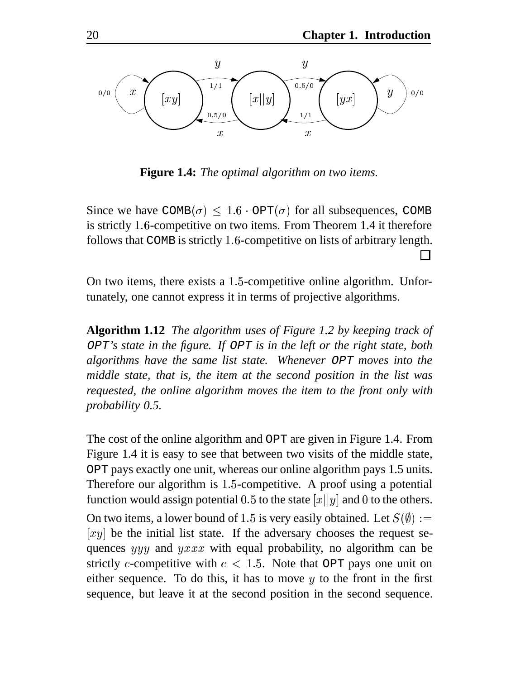

**Figure 1.4:** *The optimal algorithm on two items.*

Since we have  $COMB(\sigma) \leq 1.6 \cdot OPT(\sigma)$  for all subsequences, COMB is strictly 1.6-competitive on two items. From Theorem 1.4 it therefore follows that COMB is strictly 1.6-competitive on lists of arbitrary length.  $\Box$ 

On two items, there exists a  $1.5$ -competitive online algorithm. Unfortunately, one cannot express it in terms of projective algorithms.

**Algorithm 1.12** *The algorithm uses of Figure 1.2 by keeping track of* OPT*'s state in the figure. If* OPT *is in the left or the right state, both algorithms have the same list state. Whenever* OPT *moves into the middle state, that is, the item at the second position in the list was requested, the online algorithm moves the item to the front only with probability 0.5.*

The cost of the online algorithm and OPT are given in Figure 1.4. From Figure 1.4 it is easy to see that between two visits of the middle state, OPT pays exactly one unit, whereas our online algorithm pays 1.5 units. Therefore our algorithm is  $1.5$ -competitive. A proof using a potential function would assign potential 0.5 to the state  $\left[x\right][y]$  and 0 to the others. On two items, a lower bound of 1.5 is very easily obtained. Let  $S(\emptyset) :=$  $[xy]$  be the initial list state. If the adversary chooses the request sequences  $yyy$  and  $yxxx$  with equal probability, no algorithm can be strictly c-competitive with  $c < 1.5$ . Note that OPT pays one unit on either sequence. To do this, it has to move  $y$  to the front in the first sequence, but leave it at the second position in the second sequence.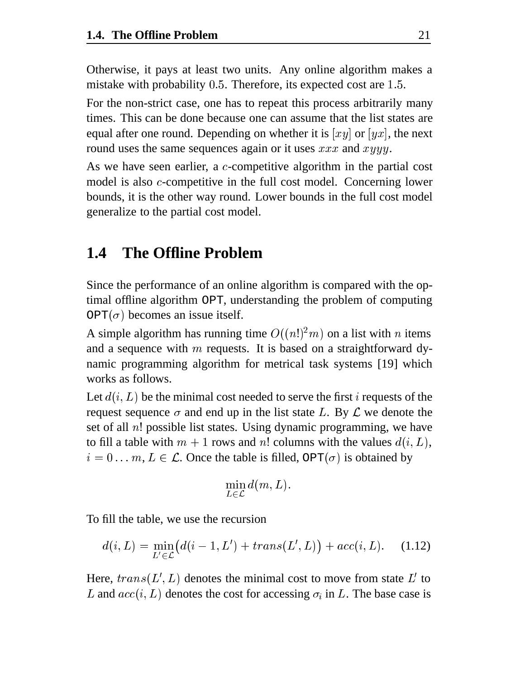Otherwise, it pays at least two units. Any online algorithm makes a mistake with probability  $0.5$ . Therefore, its expected cost are  $1.5$ .

For the non-strict case, one has to repeat this process arbitrarily many times. This can be done because one can assume that the list states are equal after one round. Depending on whether it is  $[xy]$  or  $[yx]$ , the next round uses the same sequences again or it uses  $xxx$  and  $xyyy$ .

As we have seen earlier, a  $c$ -competitive algorithm in the partial cost model is also  $c$ -competitive in the full cost model. Concerning lower bounds, it is the other way round. Lower bounds in the full cost model generalize to the partial cost model.

### **1.4 The Offline Problem**

Since the performance of an online algorithm is compared with the optimal offline algorithm OPT, understanding the problem of computing  $OPT(\sigma)$  becomes an issue itself.

A simple algorithm has running time  $O((n!)^2 m)$  on a list with *n* items and a sequence with  $m$  requests. It is based on a straightforward dynamic programming algorithm for metrical task systems [19] which works as follows.

Let  $d(i, L)$  be the minimal cost needed to serve the first i requests of the request sequence  $\sigma$  and end up in the list state L. By L we denote the set of all  $n!$  possible list states. Using dynamic programming, we have to fill a table with  $m + 1$  rows and n! columns with the values  $d(i, L)$ ,  $i = 0 \ldots m$ ,  $L \in \mathcal{L}$ . Once the table is filled, OPT( $\sigma$ ) is obtained by

$$
\min_{L\in\mathcal{L}}d(m,L).
$$

To fill the table, we use the recursion

$$
d(i, L) = \min_{L' \in \mathcal{L}} (d(i - 1, L') + trans(L', L)) + acc(i, L). \quad (1.12)
$$

Here,  $trans(L', L)$  denotes the minimal cost to move from state  $L'$  to L and  $acc(i, L)$  denotes the cost for accessing  $\sigma_i$  in L. The base case is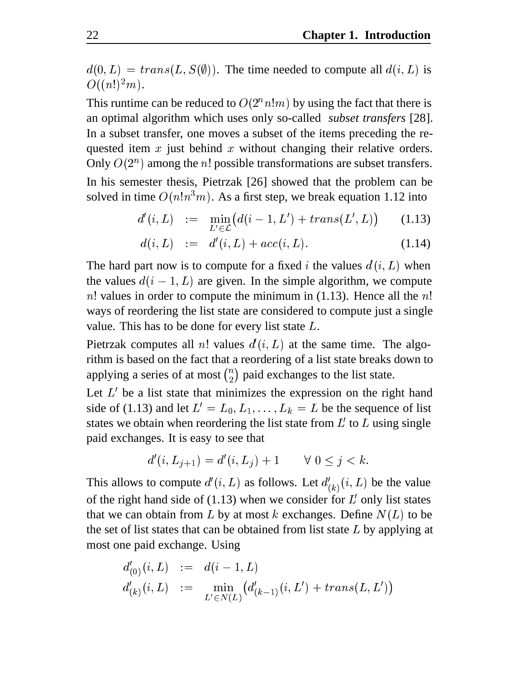$d(0, L) = trans(L, S(\emptyset))$ . The time needed to compute all  $d(i, L)$  is  $O((n!)^2m)$ .

This runtime can be reduced to  $O(2^n n!m)$  by using the fact that there is an optimal algorithm which uses only so-called *subset transfers* [28]. In a subset transfer, one moves a subset of the items preceding the requested item  $x$  just behind  $x$  without changing their relative orders. Only  $O(2^n)$  among the *n*! possible transformations are subset transfers. In his semester thesis, Pietrzak [26] showed that the problem can be solved in time  $O(n!n^3m)$ . As a first step, we break equation 1.12 into

$$
d'(i,L) := \min_{L' \in \mathcal{L}} (d(i-1,L') + trans(L',L)) \qquad (1.13)
$$

$$
d(i, L) := d'(i, L) + acc(i, L). \tag{1.14}
$$

The hard part now is to compute for a fixed *i* the values  $d(i, L)$  when the values  $d(i - 1, L)$  are given. In the simple algorithm, we compute n! values in order to compute the minimum in  $(1.13)$ . Hence all the n! ways of reordering the list state are considered to compute just a single value. This has to be done for every list state  $L$ .

Pietrzak computes all n! values  $d'(i,L)$  at the same time. The algorithm is based on the fact that a reordering of a list state breaks down to applying a series of at most  $\binom{n}{2}$  paid exchanges to the list state.

Let  $L'$  be a list state that minimizes the expression on the right hand side of (1.13) and let  $L' = L_0, L_1, \ldots, L_k = L$  be the sequence of list states we obtain when reordering the list state from  $L'$  to  $L$  using single paid exchanges. It is easy to see that

$$
d'(i, L_{j+1}) = d'(i, L_j) + 1 \qquad \forall \ 0 \le j < k.
$$

This allows to compute  $d'(i, L)$  as follows. Let  $d'_{(k)}(i, L)$  be the value of the right hand side of  $(1.13)$  when we consider for  $L'$  only list states that we can obtain from  $L$  by at most  $k$  exchanges. Define  $N(L)$  to be the set of list states that can be obtained from list state  $L$  by applying at most one paid exchange. Using

$$
d'_{(0)}(i,L) := d(i-1,L)
$$
  

$$
d'_{(k)}(i,L) := \min_{L' \in N(L)} (d'_{(k-1)}(i,L') + trans(L,L'))
$$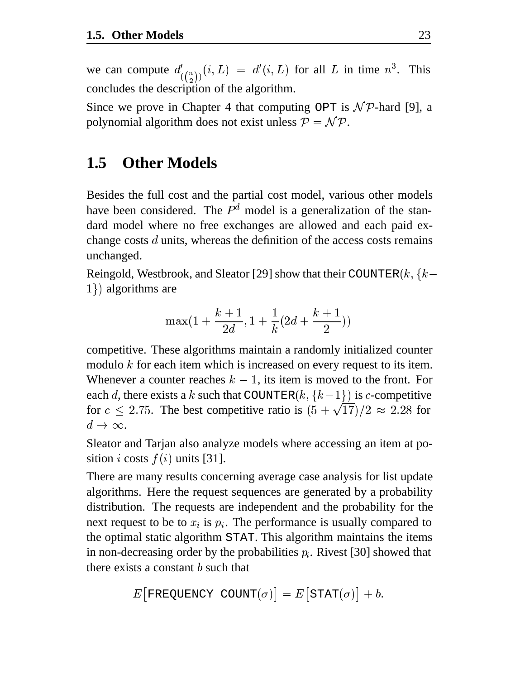we can compute  $d'_{(\binom{n}{2})}(i,L) = d'(i,L)$  for all L in time  $n^3$ . This concludes the description of the algorithm.

Since we prove in Chapter 4 that computing OPT is  $N\mathcal{P}$ -hard [9], a polynomial algorithm does not exist unless  $P = \mathcal{NP}$ .

## **1.5 Other Models**

Besides the full cost and the partial cost model, various other models have been considered. The  $P<sup>d</sup>$  model is a generalization of the standard model where no free exchanges are allowed and each paid exchange costs  $d$  units, whereas the definition of the access costs remains unchanged.

Reingold, Westbrook, and Sleator [29] show that their COUNTER $(k, \{k-1\})$  $1)$  algorithms are

$$
\max(1+\frac{k+1}{2d},1+\frac{1}{k}(2d+\frac{k+1}{2}))
$$

competitive. These algorithms maintain a randomly initialized counter modulo  $k$  for each item which is increased on every request to its item. Whenever a counter reaches  $k-1$ , its item is moved to the front. For each d, there exists a k such that COUNTER $(k, \{k-1\})$  is c-competitive for  $c \leq 2.75$ . The best competitive ratio is  $(5 + \sqrt{17})/2 \approx 2.28$  for  $d\to\infty$ .

Sleator and Tarjan also analyze models where accessing an item at position *i* costs  $f(i)$  units [31].

There are many results concerning average case analysis for list update algorithms. Here the request sequences are generated by a probability distribution. The requests are independent and the probability for the next request to be to  $x_i$  is  $p_i$ . The performance is usually compared to the optimal static algorithm STAT. This algorithm maintains the items in non-decreasing order by the probabilities  $p_i$ . Rivest [30] showed that there exists a constant  $b$  such that

$$
E\big[ \texttt{FREQUENCY}\ \texttt{COUNT}(\sigma) \big] = E\big[ \texttt{STAT}(\sigma) \big] + b.
$$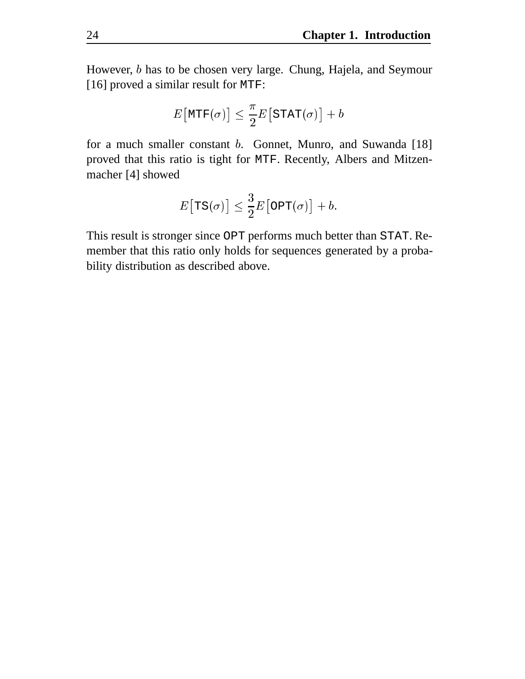However, *b* has to be chosen very large. Chung, Hajela, and Seymour [16] proved a similar result for MTF:

$$
E\big[\texttt{MTF}(\sigma)\big] \leq \frac{\pi}{2}E\big[\texttt{STAT}(\sigma)\big] + b
$$

for a much smaller constant  $b$ . Gonnet, Munro, and Suwanda [18] proved that this ratio is tight for MTF. Recently, Albers and Mitzenmacher [4] showed

$$
E\big[{\rm TS}(\sigma)\big]\leq \frac{3}{2}E\big[{\rm OPT}(\sigma)\big]+b.
$$

This result is stronger since OPT performs much better than STAT. Remember that this ratio only holds for sequences generated by a probability distribution as described above.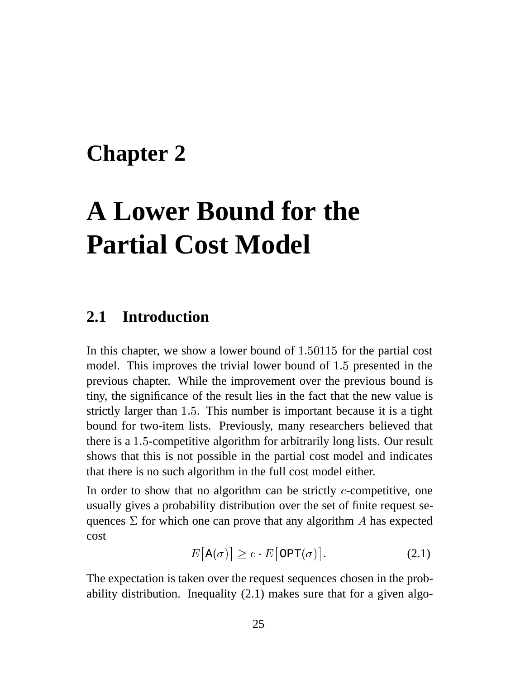## **Chapter 2**

# **A Lower Bound for the Partial Cost Model**

#### **2.1 Introduction**

In this chapter, we show a lower bound of  $1.50115$  for the partial cost model. This improves the trivial lower bound of  $1.5$  presented in the previous chapter. While the improvement over the previous bound is tiny, the significance of the result lies in the fact that the new value is strictly larger than 1.5. This number is important because it is a tight bound for two-item lists. Previously, many researchers believed that there is a  $1.5$ -competitive algorithm for arbitrarily long lists. Our result shows that this is not possible in the partial cost model and indicates that there is no such algorithm in the full cost model either.

In order to show that no algorithm can be strictly  $c$ -competitive, one usually gives a probability distribution over the set of finite request sequences  $\Sigma$  for which one can prove that any algorithm A has expected cost

$$
E\left[\mathbf{A}(\sigma)\right] \ge c \cdot E\left[\text{OPT}(\sigma)\right].\tag{2.1}
$$

The expectation is taken over the request sequences chosen in the probability distribution. Inequality (2.1) makes sure that for a given algo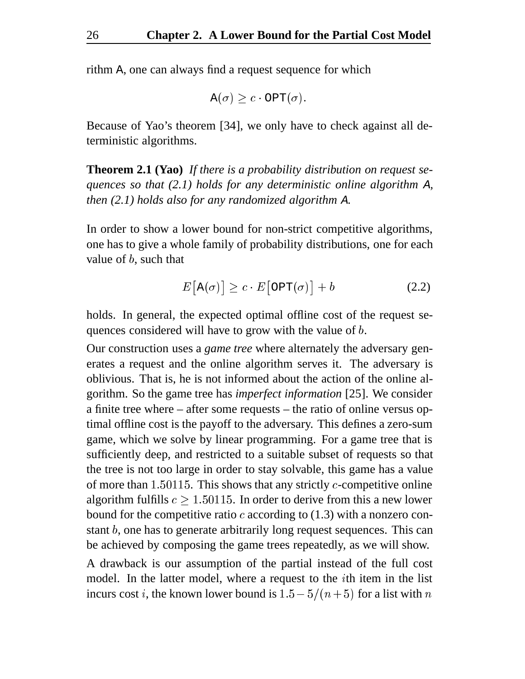rithm A, one can always find a request sequence for which

$$
\mathtt{A}(\sigma) \geq c \cdot \mathtt{OPT}(\sigma).
$$

Because of Yao's theorem [34], we only have to check against all deterministic algorithms.

**Theorem 2.1 (Yao)** *If there is a probability distribution on request sequences so that (2.1) holds for any deterministic online algorithm* <sup>A</sup>*, then (2.1) holds also for any randomized algorithm* <sup>A</sup>*.*

In order to show a lower bound for non-strict competitive algorithms, one has to give a whole family of probability distributions, one for each value of  $b$ , such that

$$
E\left[\mathbf{A}(\sigma)\right] \ge c \cdot E\left[\text{OPT}(\sigma)\right] + b \tag{2.2}
$$

holds. In general, the expected optimal offline cost of the request sequences considered will have to grow with the value of b.

Our construction uses a *game tree* where alternately the adversary generates a request and the online algorithm serves it. The adversary is oblivious. That is, he is not informed about the action of the online algorithm. So the game tree has *imperfect information* [25]. We consider a finite tree where – after some requests – the ratio of online versus optimal offline cost is the payoff to the adversary. This defines a zero-sum game, which we solve by linear programming. For a game tree that is sufficiently deep, and restricted to a suitable subset of requests so that the tree is not too large in order to stay solvable, this game has a value of more than  $1.50115$ . This shows that any strictly *c*-competitive online algorithm fulfills  $c \geq 1.50115$ . In order to derive from this a new lower bound for the competitive ratio  $c$  according to (1.3) with a nonzero constant  $b$ , one has to generate arbitrarily long request sequences. This can be achieved by composing the game trees repeatedly, as we will show.

A drawback is our assumption of the partial instead of the full cost model. In the latter model, where a request to the  $i$ th item in the list incurs cost *i*, the known lower bound is  $1.5 - 5/(n+5)$  for a list with *n*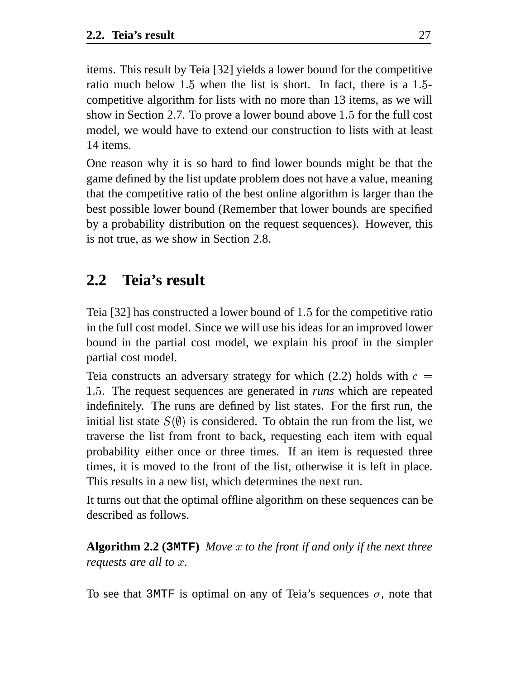items. This result by Teia [32] yields a lower bound for the competitive ratio much below  $1.5$  when the list is short. In fact, there is a  $1.5$ competitive algorithm for lists with no more than 13 items, as we will show in Section 2.7. To prove a lower bound above  $1.5$  for the full cost model, we would have to extend our construction to lists with at least 14 items.

One reason why it is so hard to find lower bounds might be that the game defined by the list update problem does not have a value, meaning that the competitive ratio of the best online algorithm is larger than the best possible lower bound (Remember that lower bounds are specified by a probability distribution on the request sequences). However, this is not true, as we show in Section 2.8.

## **2.2 Teia's result**

Teia  $[32]$  has constructed a lower bound of 1.5 for the competitive ratio in the full cost model. Since we will use his ideas for an improved lower bound in the partial cost model, we explain his proof in the simpler partial cost model.

Teia constructs an adversary strategy for which (2.2) holds with  $c =$ . The request sequences are generated in *runs* which are repeated indefinitely. The runs are defined by list states. For the first run, the initial list state  $S(\emptyset)$  is considered. To obtain the run from the list, we traverse the list from front to back, requesting each item with equal probability either once or three times. If an item is requested three times, it is moved to the front of the list, otherwise it is left in place. This results in a new list, which determines the next run.

It turns out that the optimal offline algorithm on these sequences can be described as follows.

**Algorithm 2.2 (3MTF)** *Move to the front if and only if the next three requests are all to x.* 

To see that 3MTF is optimal on any of Teia's sequences  $\sigma$ , note that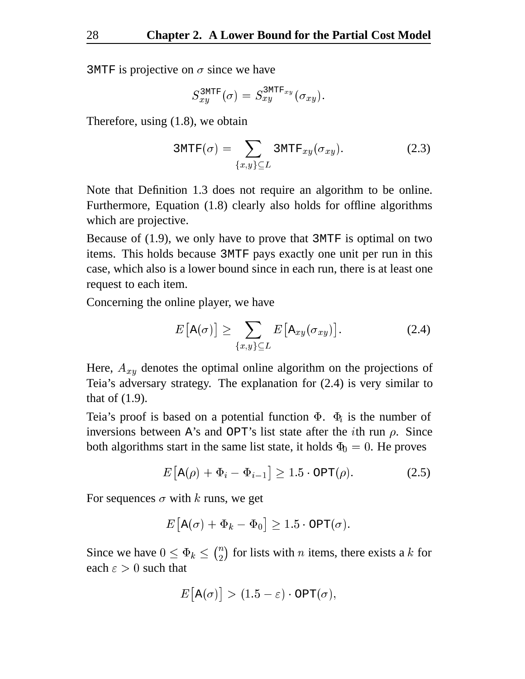3MTF is projective on  $\sigma$  since we have

$$
S_{xy}^{\text{3MTF}}(\sigma)=S_{xy}^{\text{3MTF}_{xy}}(\sigma_{xy}).
$$

Therefore, using (1.8), we obtain

$$
3MTF(\sigma) = \sum_{\{x,y\} \subseteq L} 3MTF_{xy}(\sigma_{xy}). \qquad (2.3)
$$

Note that Definition 1.3 does not require an algorithm to be online. Furthermore, Equation (1.8) clearly also holds for offline algorithms which are projective.

Because of (1.9), we only have to prove that 3MTF is optimal on two items. This holds because 3MTF pays exactly one unit per run in this case, which also is a lower bound since in each run, there is at least one request to each item.

Concerning the online player, we have

$$
E\big[\mathbf{A}(\sigma)\big] \ge \sum_{\{x,y\} \subseteq L} E\big[\mathbf{A}_{xy}(\sigma_{xy})\big]. \tag{2.4}
$$

Here,  $A_{xy}$  denotes the optimal online algorithm on the projections of Teia's adversary strategy. The explanation for (2.4) is very similar to that of (1.9).

Teia's proof is based on a potential function  $\Phi$ .  $\Phi_i$  is the number of inversions between A's and OPT's list state after the *i*th run  $\rho$ . Since both algorithms start in the same list state, it holds  $\Phi_0 = 0$ . He proves

$$
E\left[\mathbf{A}(\rho) + \Phi_i - \Phi_{i-1}\right] \ge 1.5 \cdot \text{OPT}(\rho). \tag{2.5}
$$

For sequences  $\sigma$  with k runs, we get

$$
E\big[\mathtt{A}(\sigma)+\Phi_k-\Phi_0\big]\ge 1.5\cdot\mathtt{OPT}(\sigma).
$$

Since we have  $0 \leq \Phi_k \leq {n \choose 2}$  for lis  $\binom{n}{2}$  for lists with *n* items, there exists a *k* for each  $\varepsilon > 0$  such that

$$
E\big[\mathtt{A}(\sigma)\big] > (1.5-\varepsilon)\cdot\mathtt{OPT}(\sigma),
$$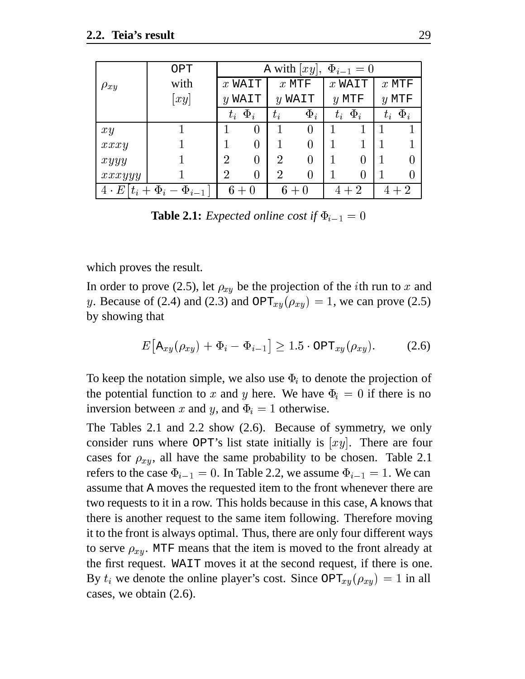|             | OPT                       |                      | A with $[xy]$ , $\Phi_{i-1} = 0$ |                |          |          |                |         |          |
|-------------|---------------------------|----------------------|----------------------------------|----------------|----------|----------|----------------|---------|----------|
| $\rho_{xy}$ | with                      | $x$ WAIT             |                                  | $x$ MTF        |          | $x$ WAIT |                | $x$ MTF |          |
|             | xy                        | $y$ WAIT<br>$y$ WAIT |                                  | $y$ MTF        |          | $y$ MTF  |                |         |          |
|             |                           |                      | $t_i$ $\Phi_i$                   | $t_i$          | $\Phi_i$ |          | $t_i$ $\Phi_i$ | $t_i$   | $\Phi_i$ |
| xy          |                           |                      | 0                                |                | 0        |          |                |         |          |
| xxxy        |                           |                      | $\theta$                         |                | 0        |          |                |         |          |
| xyyy        |                           | $\overline{2}$       | 0                                | $\overline{2}$ | 0        |          |                |         |          |
| xxxyyy      |                           | $\overline{2}$       | $\overline{0}$                   | 2              | 0        |          |                |         |          |
| $4 \cdot E$ | $ t_i+\Phi_i-\Phi_{i-1} $ |                      | $6+0$                            |                | $6+0$    |          | $4+2$          |         | $+2$     |

**Table 2.1:** *Expected online cost if*  $\Phi_{i-1} = 0$ 

which proves the result.

In order to prove (2.5), let  $\rho_{xy}$  be the projection of the *i*th run to x and y. Because of (2.4) and (2.3) and  $\text{OPT}_{xy}(\rho_{xy}) = 1$ , we can prove (2.5) by showing that

$$
E\left[\mathbf{A}_{xy}(\rho_{xy}) + \Phi_i - \Phi_{i-1}\right] \ge 1.5 \cdot \text{OPT}_{xy}(\rho_{xy}).\tag{2.6}
$$

To keep the notation simple, we also use  $\Phi_i$  to denote the projection of the potential function to x and y here. We have  $\Phi_i = 0$  if there is no inversion between x and y, and  $\Phi_i = 1$  otherwise.

The Tables 2.1 and 2.2 show (2.6). Because of symmetry, we only consider runs where OPT's list state initially is  $[xy]$ . There are four cases for  $\rho_{xy}$ , all have the same probability to be chosen. Table 2.1 refers to the case  $\Phi_{i-1}=0.$  In Table 2.2, we assume  $\Phi_{i-1}=1.$  We can assume that A moves the requested item to the front whenever there are two requests to it in a row. This holds because in this case, A knows that there is another request to the same item following. Therefore moving it to the front is always optimal. Thus, there are only four different ways to serve  $\rho_{xy}$ . MTF means that the item is moved to the front already at the first request. WAIT moves it at the second request, if there is one. By  $t_i$  we denote the online player's cost. Since  $\text{OPT}_{xy}(\rho_{xy}) = 1$  in all cases, we obtain (2.6).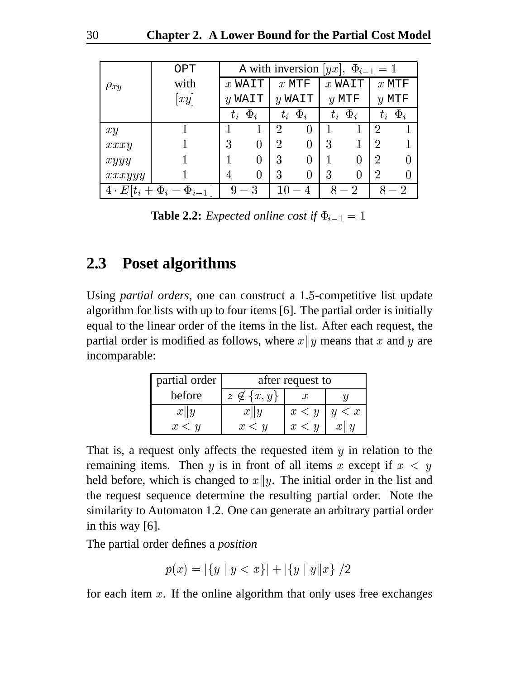|                                   | OPT  |          | A with inversion $ yx $ , $\Phi_{i-1} = 1$ |                |          |          |                |                |          |
|-----------------------------------|------|----------|--------------------------------------------|----------------|----------|----------|----------------|----------------|----------|
| $\rho_{xy}$                       | with | $x$ WAIT |                                            | $x$ MTF        |          | $x$ WAIT |                | $x$ MTF        |          |
|                                   | xy   |          | $y$ WAIT<br>$y$ WAIT                       |                | $y$ MTF  |          | $y$ MTF        |                |          |
|                                   |      | $t_i$    | $\Phi_i$                                   | $t_i$          | $\Phi_i$ |          | $t_i$ $\Phi_i$ | $t_i$          | $\Phi_i$ |
| xy                                |      |          | 1                                          | $\overline{2}$ |          |          |                | $\overline{2}$ |          |
| xxxy                              |      | 3        | $\overline{0}$                             | $\overline{2}$ |          | 3        |                | $\overline{2}$ |          |
| xyyy                              |      |          | $\overline{0}$                             | 3              |          |          |                | $\overline{2}$ | 0        |
| xxxyyy                            |      | 4        | $\overline{0}$                             | 3              | 0        | 3        | 0              | $\overline{2}$ |          |
| $4\cdot E[t_i+\Phi_i-\Phi_{i-1}]$ |      |          | $9-3$                                      | 10             |          |          | - 2            |                | ٠,       |

**Table 2.2:** *Expected online cost if*  $\Phi_{i-1} = 1$ 

### **2.3 Poset algorithms**

Using *partial orders*, one can construct a 1.5-competitive list update algorithm for lists with up to four items [6]. The partial order is initially equal to the linear order of the items in the list. After each request, the partial order is modified as follows, where  $x||y$  means that x and y are incomparable:

| partial order | after request to    |       |       |  |  |
|---------------|---------------------|-------|-------|--|--|
| before        | $z \notin \{x, y\}$ |       |       |  |  |
| x  y          | x  y                | x < y | y < x |  |  |
| x < y         | x < u               | x < y | x  y  |  |  |

That is, a request only affects the requested item  $y$  in relation to the remaining items. Then y is in front of all items x except if  $x < y$ held before, which is changed to  $x||y$ . The initial order in the list and the request sequence determine the resulting partial order. Note the similarity to Automaton 1.2. One can generate an arbitrary partial order in this way [6].

The partial order defines a *position*

$$
p(x) = |\{y \mid y < x\}| + |\{y \mid y\|x\}|/2
$$

for each item  $x$ . If the online algorithm that only uses free exchanges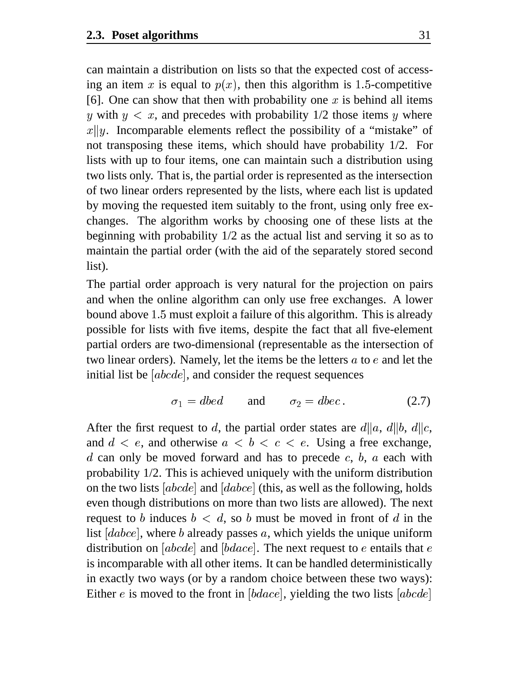can maintain a distribution on lists so that the expected cost of accessing an item x is equal to  $p(x)$ , then this algorithm is 1.5-competitive [6]. One can show that then with probability one  $x$  is behind all items y with  $y < x$ , and precedes with probability 1/2 those items y where  $x||y$ . Incomparable elements reflect the possibility of a "mistake" of not transposing these items, which should have probability 1/2. For lists with up to four items, one can maintain such a distribution using two lists only. That is, the partial order is represented as the intersection of two linear orders represented by the lists, where each list is updated by moving the requested item suitably to the front, using only free exchanges. The algorithm works by choosing one of these lists at the beginning with probability 1/2 as the actual list and serving it so as to maintain the partial order (with the aid of the separately stored second list).

The partial order approach is very natural for the projection on pairs and when the online algorithm can only use free exchanges. A lower bound above 1.5 must exploit a failure of this algorithm. This is already possible for lists with five items, despite the fact that all five-element partial orders are two-dimensional (representable as the intersection of two linear orders). Namely, let the items be the letters  $a$  to  $e$  and let the initial list be  $[abcde]$ , and consider the request sequences

$$
\sigma_1 = dbed \qquad \text{and} \qquad \sigma_2 = dbec. \tag{2.7}
$$

After the first request to d, the partial order states are  $d||a, d||b, d||c$ , and  $d < e$ , and otherwise  $a < b < c < e$ . Using a free exchange,  $d$  can only be moved forward and has to precede  $c, b, a$  each with probability 1/2. This is achieved uniquely with the uniform distribution on the two lists [ $abcde$ ] and [ $dabce$ ] (this, as well as the following, holds even though distributions on more than two lists are allowed). The next request to b induces  $b < d$ , so b must be moved in front of d in the list  $[dabc]$ , where b already passes a, which yields the unique uniform distribution on [ $abcde$ ] and [ $bdace$ ]. The next request to  $e$  entails that  $e$ is incomparable with all other items. It can be handled deterministically in exactly two ways (or by a random choice between these two ways): Either *e* is moved to the front in  $[bdace]$ , yielding the two lists  $[abcde]$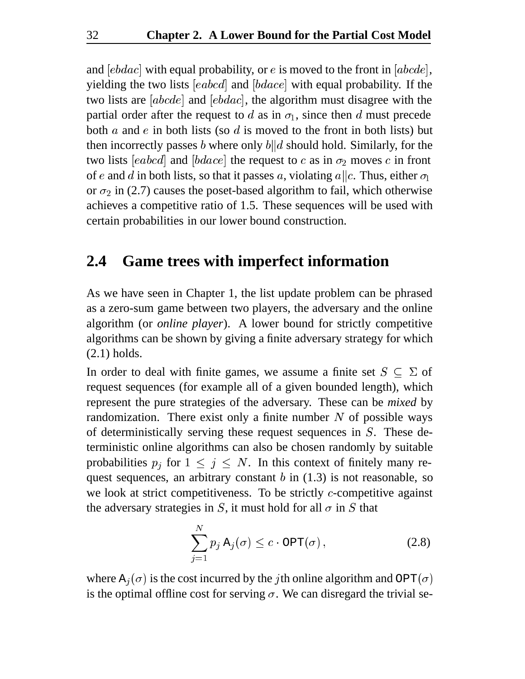and  $[ebdac]$  with equal probability, or  $e$  is moved to the front in  $[abcde]$ , yielding the two lists  $[eabcd]$  and  $[bdace]$  with equal probability. If the two lists are  $[abcde]$  and  $[ebdac]$ , the algorithm must disagree with the partial order after the request to d as in  $\sigma_1$ , since then d must precede both  $a$  and  $e$  in both lists (so  $d$  is moved to the front in both lists) but then incorrectly passes b where only  $b||d$  should hold. Similarly, for the two lists [eabcd] and [bdace] the request to c as in  $\sigma_2$  moves c in front of e and d in both lists, so that it passes a, violating  $a||c$ . Thus, either  $\sigma_1$ or  $\sigma_2$  in (2.7) causes the poset-based algorithm to fail, which otherwise achieves a competitive ratio of 1.5. These sequences will be used with certain probabilities in our lower bound construction.

#### **2.4 Game trees with imperfect information**

As we have seen in Chapter 1, the list update problem can be phrased as a zero-sum game between two players, the adversary and the online algorithm (or *online player*). A lower bound for strictly competitive algorithms can be shown by giving a finite adversary strategy for which (2.1) holds.

In order to deal with finite games, we assume a finite set  $S \subseteq \Sigma$  of request sequences (for example all of a given bounded length), which represent the pure strategies of the adversary. These can be *mixed* by randomization. There exist only a finite number  $N$  of possible ways of deterministically serving these request sequences in  $S$ . These deterministic online algorithms can also be chosen randomly by suitable probabilities  $p_i$  for  $1 \leq j \leq N$ . In this context of finitely many request sequences, an arbitrary constant  $b$  in (1.3) is not reasonable, so we look at strict competitiveness. To be strictly  $c$ -competitive against the adversary strategies in S, it must hold for all  $\sigma$  in S that

$$
\sum_{j=1}^{N} p_j \mathbf{A}_j(\sigma) \le c \cdot \mathsf{OPT}(\sigma), \tag{2.8}
$$

where  $A_i(\sigma)$  is the cost incurred by the jth online algorithm and OPT( $\sigma$ ) is the optimal offline cost for serving  $\sigma$ . We can disregard the trivial se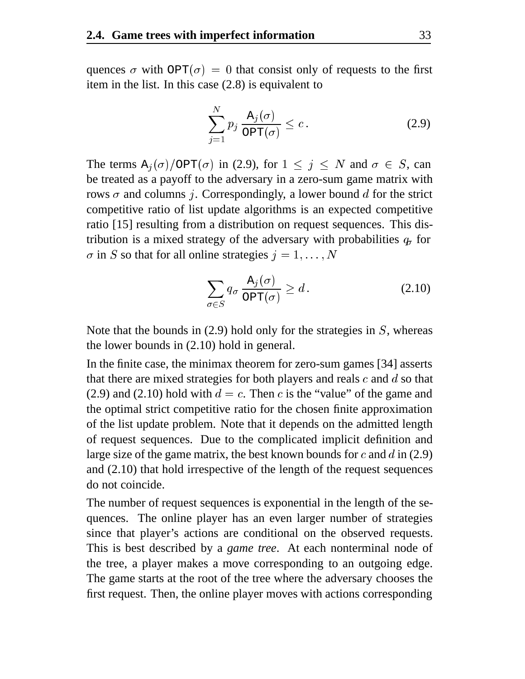quences  $\sigma$  with OPT( $\sigma$ ) = 0 that consist only of requests to the first item in the list. In this case (2.8) is equivalent to

$$
\sum_{j=1}^{N} p_j \frac{\mathbf{A}_j(\sigma)}{\mathbf{OPT}(\sigma)} \le c.
$$
 (2.9)

The terms  $A_i(\sigma)/OPT(\sigma)$  in (2.9), for  $1 \leq j \leq N$  and  $\sigma \in S$ , can be treated as a payoff to the adversary in a zero-sum game matrix with rows  $\sigma$  and columns *j*. Correspondingly, a lower bound d for the strict competitive ratio of list update algorithms is an expected competitive ratio [15] resulting from a distribution on request sequences. This distribution is a mixed strategy of the adversary with probabilities  $q_r$  for  $\sigma$  in S so that for all online strategies  $j = 1, \ldots, N$ 

$$
\sum_{\sigma \in S} q_{\sigma} \frac{\mathcal{A}_j(\sigma)}{\text{OPT}(\sigma)} \ge d. \tag{2.10}
$$

Note that the bounds in  $(2.9)$  hold only for the strategies in S, whereas the lower bounds in (2.10) hold in general.

In the finite case, the minimax theorem for zero-sum games [34] asserts that there are mixed strategies for both players and reals  $c$  and  $d$  so that (2.9) and (2.10) hold with  $d = c$ . Then c is the "value" of the game and the optimal strict competitive ratio for the chosen finite approximation of the list update problem. Note that it depends on the admitted length of request sequences. Due to the complicated implicit definition and large size of the game matrix, the best known bounds for  $c$  and  $d$  in (2.9) and (2.10) that hold irrespective of the length of the request sequences do not coincide.

The number of request sequences is exponential in the length of the sequences. The online player has an even larger number of strategies since that player's actions are conditional on the observed requests. This is best described by a *game tree*. At each nonterminal node of the tree, a player makes a move corresponding to an outgoing edge. The game starts at the root of the tree where the adversary chooses the first request. Then, the online player moves with actions corresponding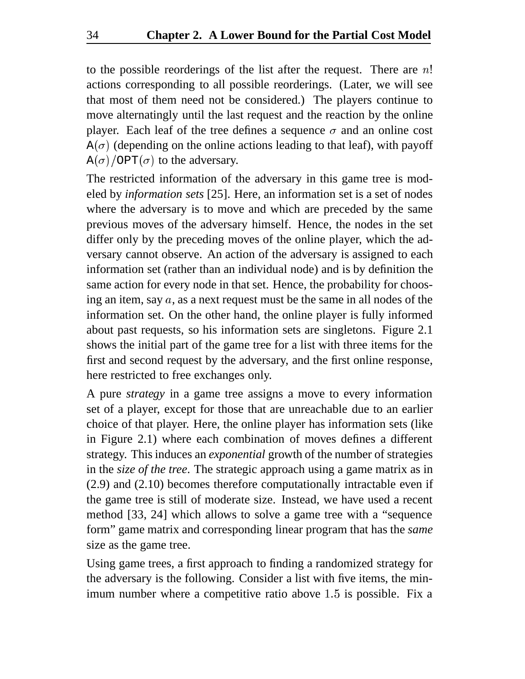to the possible reorderings of the list after the request. There are  $n!$ actions corresponding to all possible reorderings. (Later, we will see that most of them need not be considered.) The players continue to move alternatingly until the last request and the reaction by the online player. Each leaf of the tree defines a sequence  $\sigma$  and an online cost  $A(\sigma)$  (depending on the online actions leading to that leaf), with payoff  $A(\sigma)$ /OPT $(\sigma)$  to the adversary.

The restricted information of the adversary in this game tree is modeled by *information sets* [25]. Here, an information set is a set of nodes where the adversary is to move and which are preceded by the same previous moves of the adversary himself. Hence, the nodes in the set differ only by the preceding moves of the online player, which the adversary cannot observe. An action of the adversary is assigned to each information set (rather than an individual node) and is by definition the same action for every node in that set. Hence, the probability for choosing an item, say  $a$ , as a next request must be the same in all nodes of the information set. On the other hand, the online player is fully informed about past requests, so his information sets are singletons. Figure 2.1 shows the initial part of the game tree for a list with three items for the first and second request by the adversary, and the first online response, here restricted to free exchanges only.

A pure *strategy* in a game tree assigns a move to every information set of a player, except for those that are unreachable due to an earlier choice of that player. Here, the online player has information sets (like in Figure 2.1) where each combination of moves defines a different strategy. This induces an *exponential* growth of the number of strategies in the *size of the tree*. The strategic approach using a game matrix as in (2.9) and (2.10) becomes therefore computationally intractable even if the game tree is still of moderate size. Instead, we have used a recent method [33, 24] which allows to solve a game tree with a "sequence form" game matrix and corresponding linear program that has the *same* size as the game tree.

Using game trees, a first approach to finding a randomized strategy for the adversary is the following. Consider a list with five items, the minimum number where a competitive ratio above  $1.5$  is possible. Fix a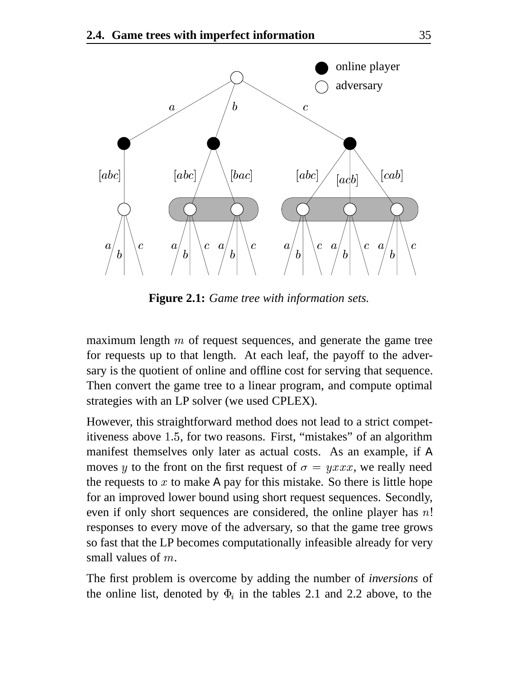

**Figure 2.1:** *Game tree with information sets.*

maximum length  $m$  of request sequences, and generate the game tree for requests up to that length. At each leaf, the payoff to the adversary is the quotient of online and offline cost for serving that sequence. Then convert the game tree to a linear program, and compute optimal strategies with an LP solver (we used CPLEX).

However, this straightforward method does not lead to a strict competitiveness above 1.5, for two reasons. First, "mistakes" of an algorithm manifest themselves only later as actual costs. As an example, if A moves y to the front on the first request of  $\sigma = yxxx$ , we really need the requests to  $x$  to make A pay for this mistake. So there is little hope for an improved lower bound using short request sequences. Secondly, even if only short sequences are considered, the online player has  $n!$ responses to every move of the adversary, so that the game tree grows so fast that the LP becomes computationally infeasible already for very small values of  $m$ .

The first problem is overcome by adding the number of *inversions* of the online list, denoted by  $\Phi_i$  in the tables 2.1 and 2.2 above, to the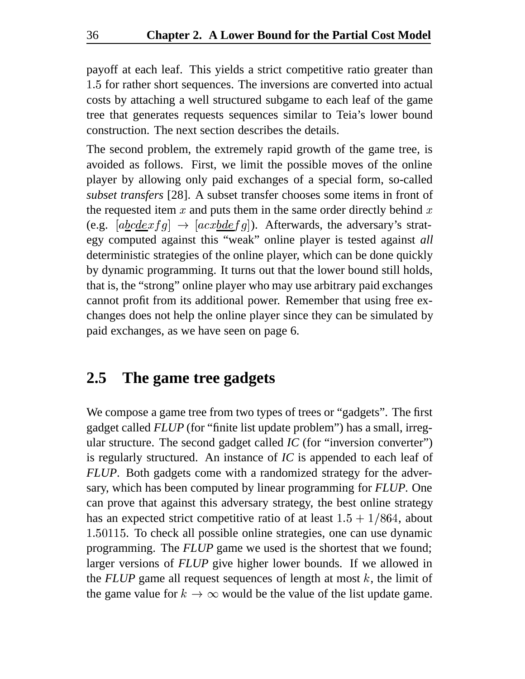payoff at each leaf. This yields a strict competitive ratio greater than 1.5 for rather short sequences. The inversions are converted into actual costs by attaching a well structured subgame to each leaf of the game tree that generates requests sequences similar to Teia's lower bound construction. The next section describes the details.

The second problem, the extremely rapid growth of the game tree, is avoided as follows. First, we limit the possible moves of the online player by allowing only paid exchanges of a special form, so-called *subset transfers* [28]. A subset transfer chooses some items in front of the requested item  $x$  and puts them in the same order directly behind  $x$ (e.g.  $[a\underline{bc}dexfg] \rightarrow [acxbdefg]$ ). Afterwards, the adversary's strategy computed against this "weak" online player is tested against *all* deterministic strategies of the online player, which can be done quickly by dynamic programming. It turns out that the lower bound still holds, that is, the "strong" online player who may use arbitrary paid exchanges cannot profit from its additional power. Remember that using free exchanges does not help the online player since they can be simulated by paid exchanges, as we have seen on page 6.

#### **2.5 The game tree gadgets**

We compose a game tree from two types of trees or "gadgets". The first gadget called *FLUP* (for "finite list update problem") has a small, irregular structure. The second gadget called *IC* (for "inversion converter") is regularly structured. An instance of *IC* is appended to each leaf of *FLUP*. Both gadgets come with a randomized strategy for the adversary, which has been computed by linear programming for *FLUP*. One can prove that against this adversary strategy, the best online strategy has an expected strict competitive ratio of at least  $1.5 + 1/864$ , about 1.50115. To check all possible online strategies, one can use dynamic programming. The *FLUP* game we used is the shortest that we found; larger versions of *FLUP* give higher lower bounds. If we allowed in the  $FLUP$  game all request sequences of length at most  $k$ , the limit of the game value for  $k \to \infty$  would be the value of the list update game.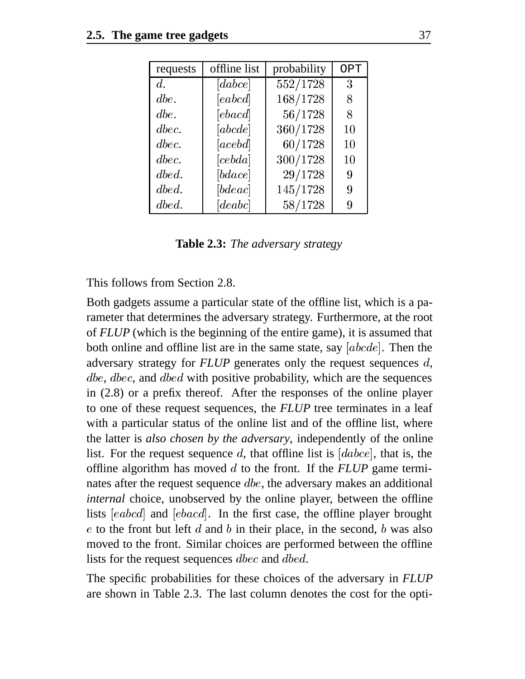| requests         | offline list | probability | <b>OPT</b> |  |
|------------------|--------------|-------------|------------|--|
| $d_{\cdot}$      | [dabc]       | 552/1728    | 3          |  |
| $\emph{dbe}.$    | [eabcd]      | 168/1728    | 8          |  |
| $\emph{dbe}.$    | [ebacd]      | 56/1728     | 8          |  |
| $\emph{dbec.}$   | [abcde]      | 360/1728    | 10         |  |
| $\emph{dec.}$    | [acebd]      | 60/1728     | 10         |  |
| $\emph{dec.}$    | [cebda]      | 300/1728    | 10         |  |
| $\boldsymbol{d}$ | [bdace]      | 29/1728     | 9          |  |
| $\boldsymbol{d}$ | [bdeac]      | 145/1728    | 9          |  |
| $\boldsymbol{d}$ |              | 58/1728     | 9          |  |

**Table 2.3:** *The adversary strategy*

This follows from Section 2.8.

Both gadgets assume a particular state of the offline list, which is a parameter that determines the adversary strategy. Furthermore, at the root of *FLUP* (which is the beginning of the entire game), it is assumed that both online and offline list are in the same state, say  $[abcde]$ . Then the adversary strategy for  $FLUP$  generates only the request sequences  $d$ ,  $dbe,$   $dbec,$  and  $dbed$  with positive probability, which are the sequences in (2.8) or a prefix thereof. After the responses of the online player to one of these request sequences, the *FLUP* tree terminates in a leaf with a particular status of the online list and of the offline list, where the latter is *also chosen by the adversary*, independently of the online list. For the request sequence d, that offline list is  $[dabce]$ , that is, the offline algorithm has moved to the front. If the *FLUP* game terminates after the request sequence  $\text{dbe}$ , the adversary makes an additional *internal* choice, unobserved by the online player, between the offline lists  $[eabcd]$  and  $[ebacd]$ . In the first case, the offline player brought  $e$  to the front but left  $d$  and  $b$  in their place, in the second,  $b$  was also moved to the front. Similar choices are performed between the offline lists for the request sequences  $\emph{dbc}$  and  $\emph{dbed}$ .

The specific probabilities for these choices of the adversary in *FLUP* are shown in Table 2.3. The last column denotes the cost for the opti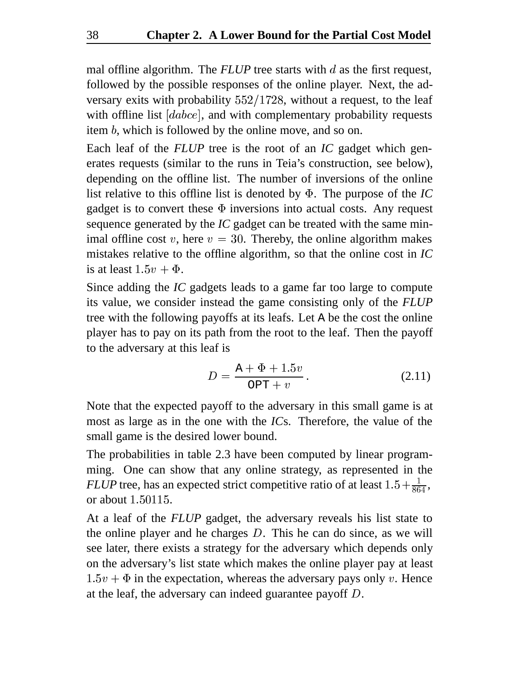mal offline algorithm. The  $FLUP$  tree starts with  $d$  as the first request, followed by the possible responses of the online player. Next, the adversary exits with probability  $552/1728$ , without a request, to the leaf with offline list  $[dabce]$ , and with complementary probability requests item  $b$ , which is followed by the online move, and so on.

Each leaf of the *FLUP* tree is the root of an *IC* gadget which generates requests (similar to the runs in Teia's construction, see below), depending on the offline list. The number of inversions of the online list relative to this offline list is denoted by . The purpose of the *IC* gadget is to convert these  $\Phi$  inversions into actual costs. Any request sequence generated by the *IC* gadget can be treated with the same minimal offline cost v, here  $v = 30$ . Thereby, the online algorithm makes mistakes relative to the offline algorithm, so that the online cost in *IC* is at least  $1.5v + \Phi$ .

Since adding the *IC* gadgets leads to a game far too large to compute its value, we consider instead the game consisting only of the *FLUP* tree with the following payoffs at its leafs. Let A be the cost the online player has to pay on its path from the root to the leaf. Then the payoff to the adversary at this leaf is

$$
D = \frac{A + \Phi + 1.5v}{OPT + v}.
$$
 (2.11)

Note that the expected payoff to the adversary in this small game is at most as large as in the one with the *IC*s. Therefore, the value of the small game is the desired lower bound.

The probabilities in table 2.3 have been computed by linear programming. One can show that any online strategy, as represented in the *FLUP* tree, has an expected strict competitive ratio of at least  $1.5 + \frac{1}{864}$ , or about  $1.50115$ .

At a leaf of the *FLUP* gadget, the adversary reveals his list state to the online player and he charges  $D$ . This he can do since, as we will see later, there exists a strategy for the adversary which depends only on the adversary's list state which makes the online player pay at least  $1.5v + \Phi$  in the expectation, whereas the adversary pays only v. Hence at the leaf, the adversary can indeed guarantee payoff  $D$ .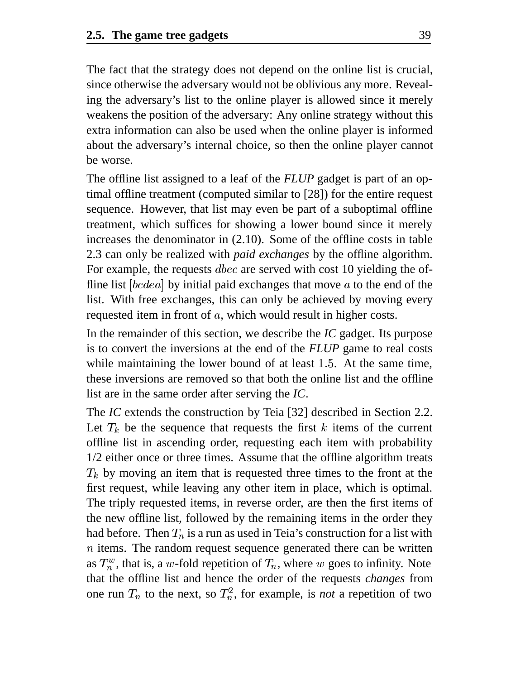The fact that the strategy does not depend on the online list is crucial, since otherwise the adversary would not be oblivious any more. Revealing the adversary's list to the online player is allowed since it merely weakens the position of the adversary: Any online strategy without this extra information can also be used when the online player is informed about the adversary's internal choice, so then the online player cannot be worse.

The offline list assigned to a leaf of the *FLUP* gadget is part of an optimal offline treatment (computed similar to [28]) for the entire request sequence. However, that list may even be part of a suboptimal offline treatment, which suffices for showing a lower bound since it merely increases the denominator in (2.10). Some of the offline costs in table 2.3 can only be realized with *paid exchanges* by the offline algorithm. For example, the requests  $\emph{dbc}$  are served with cost 10 yielding the offline list  $[bcdea]$  by initial paid exchanges that move  $a$  to the end of the list. With free exchanges, this can only be achieved by moving every requested item in front of  $a$ , which would result in higher costs.

In the remainder of this section, we describe the *IC* gadget. Its purpose is to convert the inversions at the end of the *FLUP* game to real costs while maintaining the lower bound of at least  $1.5$ . At the same time, these inversions are removed so that both the online list and the offline list are in the same order after serving the *IC*.

The *IC* extends the construction by Teia [32] described in Section 2.2. Let  $T_k$  be the sequence that requests the first k items of the current offline list in ascending order, requesting each item with probability 1/2 either once or three times. Assume that the offline algorithm treats  $T_k$  by moving an item that is requested three times to the front at the first request, while leaving any other item in place, which is optimal. The triply requested items, in reverse order, are then the first items of the new offline list, followed by the remaining items in the order they had before. Then  $T_n$  is a run as used in Teia's construction for a list with  $n$  items. The random request sequence generated there can be written as  $T_n^w$ , that is, a w-fold repetition of  $T_n$ , where w goes to infinity. Note that the offline list and hence the order of the requests *changes* from one run  $T_n$  to the next, so  $T_n^2$ , for example, is *not* a repetition of two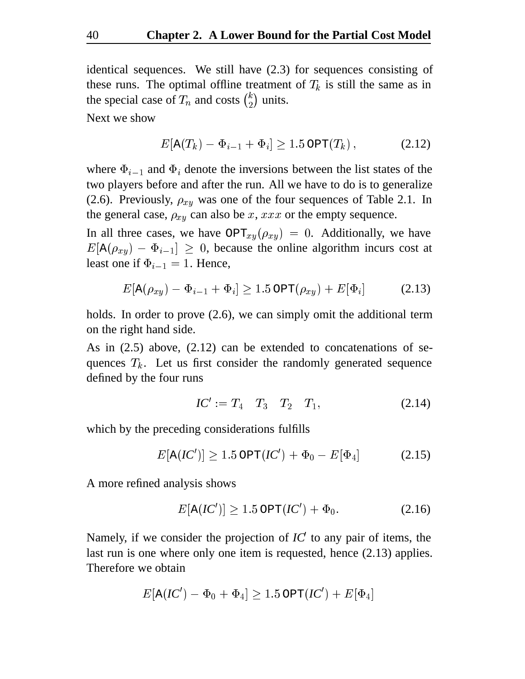identical sequences. We still have (2.3) for sequences consisting of these runs. The optimal offline treatment of  $T_k$  is still the same as in the special case of  $T_n$  and costs  $\binom{k}{2}$  units.

Next we show

$$
E[A(T_k) - \Phi_{i-1} + \Phi_i] \ge 1.5 \text{OPT}(T_k), \qquad (2.12)
$$

where  $\Phi_{i-1}$  and  $\Phi_i$  denote the inversions between the list states of the two players before and after the run. All we have to do is to generalize (2.6). Previously,  $\rho_{xy}$  was one of the four sequences of Table 2.1. In the general case,  $\rho_{xy}$  can also be x, xxx or the empty sequence.

In all three cases, we have  $OPT_{xy}(\rho_{xy}) = 0$ . Additionally, we have  $E[A(\rho_{xy}) - \Phi_{i-1}] \geq 0$ , because the online algorithm incurs cost at least one if  $\Phi_{i-1} = 1$ . Hence,

$$
E[\mathbf{A}(\rho_{xy}) - \Phi_{i-1} + \Phi_i] \ge 1.5 \text{OPT}(\rho_{xy}) + E[\Phi_i]
$$
 (2.13)

holds. In order to prove (2.6), we can simply omit the additional term on the right hand side.

As in (2.5) above, (2.12) can be extended to concatenations of sequences  $T_k$ . Let us first consider the randomly generated sequence defined by the four runs

$$
IC' := T_4 \quad T_3 \quad T_2 \quad T_1,\tag{2.14}
$$

which by the preceding considerations fulfills

$$
E[\mathbf{A}(IC')] \ge 1.5 \operatorname{OPT}(IC') + \Phi_0 - E[\Phi_4] \tag{2.15}
$$

A more refined analysis shows

$$
E[\mathbf{A}(IC')] \ge 1.5 \operatorname{OPT}(IC') + \Phi_0. \tag{2.16}
$$

Namely, if we consider the projection of *IC* to any pair of items, the last run is one where only one item is requested, hence (2.13) applies. Therefore we obtain

$$
E[\texttt{A}(\textit{IC}')-\Phi_0+\Phi_4] \geq 1.5\,\texttt{OPT}(\textit{IC}')+E[\Phi_4]
$$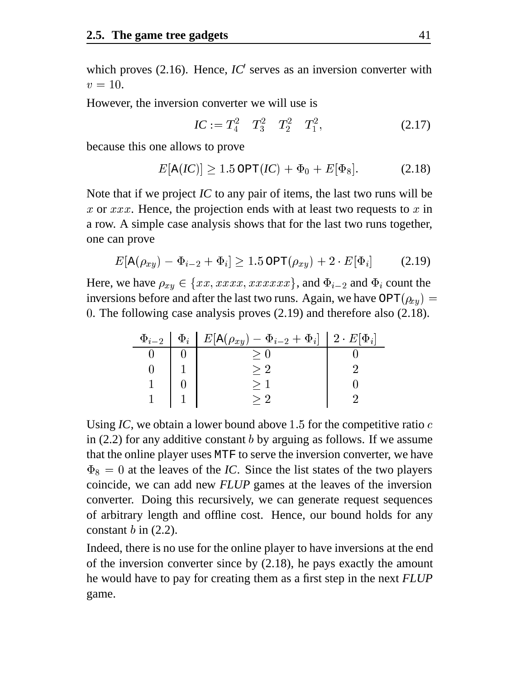which proves (2.16). Hence, *IC*<sup>'</sup> serves as an inversion converter with  $v = 10$ .

However, the inversion converter we will use is

$$
IC := T_4^2 \t T_3^2 \t T_2^2 \t T_1^2, \t (2.17)
$$

because this one allows to prove

$$
E[A(IC)] \ge 1.5 \,\text{OPT}(IC) + \Phi_0 + E[\Phi_8]. \tag{2.18}
$$

Note that if we project *IC* to any pair of items, the last two runs will be x or  $xxx$ . Hence, the projection ends with at least two requests to x in a row. A simple case analysis shows that for the last two runs together, one can prove

$$
E[\mathbf{A}(\rho_{xy}) - \Phi_{i-2} + \Phi_i] \ge 1.5 \operatorname{OPT}(\rho_{xy}) + 2 \cdot E[\Phi_i]
$$
 (2.19)

Here, we have  $\rho_{xy} \in \{xx,xxxx,xxxxx\}$ , and  $\Phi_{i-2}$  and  $\Phi_i$  count the inversions before and after the last two runs. Again, we have  $\text{OPT}(\rho_{xy}) =$ . The following case analysis proves (2.19) and therefore also (2.18).

| $\Phi_{i-2}$ | $\Phi_i \mid E[\mathbf{A}(\rho_{xy}) - \Phi_{i-2} + \Phi_i] \mid 2 \cdot E[\Phi_i]$ |  |
|--------------|-------------------------------------------------------------------------------------|--|
|              |                                                                                     |  |
|              |                                                                                     |  |
|              |                                                                                     |  |
|              |                                                                                     |  |

Using *IC*, we obtain a lower bound above 1.5 for the competitive ratio  $c$ in  $(2.2)$  for any additive constant b by arguing as follows. If we assume that the online player uses MTF to serve the inversion converter, we have  $\Phi_8 = 0$  at the leaves of the *IC*. Since the list states of the two players coincide, we can add new *FLUP* games at the leaves of the inversion converter. Doing this recursively, we can generate request sequences of arbitrary length and offline cost. Hence, our bound holds for any constant  $b$  in (2.2).

Indeed, there is no use for the online player to have inversions at the end of the inversion converter since by (2.18), he pays exactly the amount he would have to pay for creating them as a first step in the next *FLUP* game.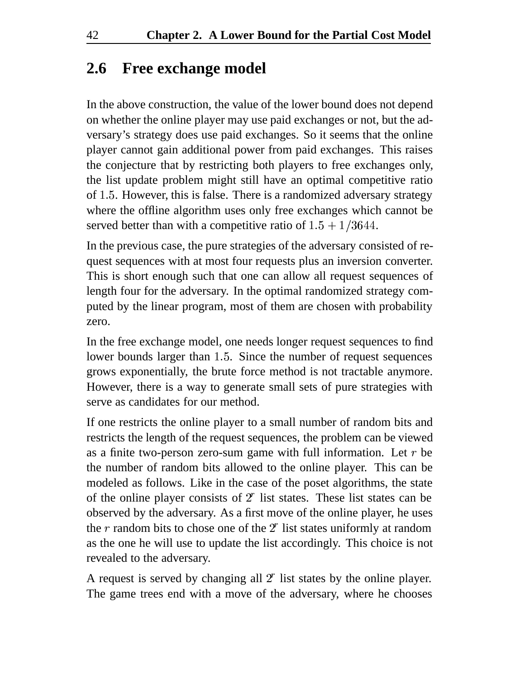#### **2.6 Free exchange model**

In the above construction, the value of the lower bound does not depend on whether the online player may use paid exchanges or not, but the adversary's strategy does use paid exchanges. So it seems that the online player cannot gain additional power from paid exchanges. This raises the conjecture that by restricting both players to free exchanges only, the list update problem might still have an optimal competitive ratio of 1.5. However, this is false. There is a randomized adversary strategy where the offline algorithm uses only free exchanges which cannot be served better than with a competitive ratio of  $1.5 + 1/3644$ .

In the previous case, the pure strategies of the adversary consisted of request sequences with at most four requests plus an inversion converter. This is short enough such that one can allow all request sequences of length four for the adversary. In the optimal randomized strategy computed by the linear program, most of them are chosen with probability zero.

In the free exchange model, one needs longer request sequences to find lower bounds larger than 1.5. Since the number of request sequences grows exponentially, the brute force method is not tractable anymore. However, there is a way to generate small sets of pure strategies with serve as candidates for our method.

If one restricts the online player to a small number of random bits and restricts the length of the request sequences, the problem can be viewed as a finite two-person zero-sum game with full information. Let  $r$  be the number of random bits allowed to the online player. This can be modeled as follows. Like in the case of the poset algorithms, the state of the online player consists of  $2<sup>r</sup>$  list states. These list states can be observed by the adversary. As a first move of the online player, he uses the  $r$  random bits to chose one of the  $2<sup>r</sup>$  list states uniformly at random as the one he will use to update the list accordingly. This choice is not revealed to the adversary.

A request is served by changing all  $2<sup>r</sup>$  list states by the online player. The game trees end with a move of the adversary, where he chooses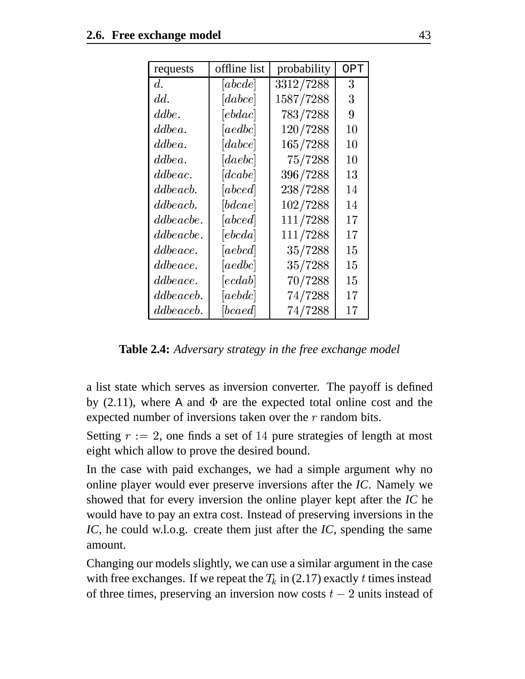| requests     | offline list                                                                                                                                                                                                                                                                                                                                                                                                                                                                                                                                                                  | probability | OPT |  |
|--------------|-------------------------------------------------------------------------------------------------------------------------------------------------------------------------------------------------------------------------------------------------------------------------------------------------------------------------------------------------------------------------------------------------------------------------------------------------------------------------------------------------------------------------------------------------------------------------------|-------------|-----|--|
| d.           | $[abcde]% \centering \includegraphics[width=0.9\columnwidth]{figures/2.pdf} \caption{A random sampling of the top of the top of the top of the left.}% \label{fig:2}%$                                                                                                                                                                                                                                                                                                                                                                                                        | 3312/7288   | 3   |  |
| dd.          | $[dabce]% \centering \includegraphics[width=0.9\columnwidth]{gloss1.pdf} \caption{The 3D (dashed) and the 4D (e)}% \label{fig:3}%$                                                                                                                                                                                                                                                                                                                                                                                                                                            | 1587/7288   | 3   |  |
| ddbe.        | $[ebdac]% \centering \includegraphics[width=1\textwidth]{figs/fig_0a-cdf2002012012.pdf} \caption{The $b$-thick (left) and $c$-thick (right) and $c$-thick (right) and $c$-thick (right) and $c$-thick (right).}% \label{fig:3}%$                                                                                                                                                                                                                                                                                                                                              | 783/7288    | 9   |  |
| ddbea.       |                                                                                                                                                                                                                                                                                                                                                                                                                                                                                                                                                                               | 120/7288    | 10  |  |
| ddbe a.      | $[dabce]% \centering \includegraphics[width=0.9\columnwidth]{gloss1.pdf} \caption{The 3D (dashed) and the 4D (e)}% \label{fig:3}%$                                                                                                                                                                                                                                                                                                                                                                                                                                            | 165/7288    | 10  |  |
| ddbe a.      | $[{\it daebc}]$                                                                                                                                                                                                                                                                                                                                                                                                                                                                                                                                                               | 75/7288     | 10  |  |
| dd be ac.    | [dcabe]                                                                                                                                                                                                                                                                                                                                                                                                                                                                                                                                                                       | 396/7288    | 13  |  |
| dd be a cb.  |                                                                                                                                                                                                                                                                                                                                                                                                                                                                                                                                                                               | 238/7288    | 14  |  |
| dd be a cb.  | [bdcae]                                                                                                                                                                                                                                                                                                                                                                                                                                                                                                                                                                       | 102/7288    | 14  |  |
| dd be a cbe. |                                                                                                                                                                                                                                                                                                                                                                                                                                                                                                                                                                               | 111/7288    | 17  |  |
| dd be a cbe. |                                                                                                                                                                                                                                                                                                                                                                                                                                                                                                                                                                               | 111/7288    | 17  |  |
| dd be ace.   | $[aebcd]% \centering \includegraphics[width=1\textwidth]{figs/fig_0a}% \caption{The two cases of the two cases.}% \label{fig:1}$                                                                                                                                                                                                                                                                                                                                                                                                                                              | 35/7288     | 15  |  |
| dd be ace.   |                                                                                                                                                                                                                                                                                                                                                                                                                                                                                                                                                                               | 35/7288     | 15  |  |
| dd be ace.   | $[ecdab]% \centering \includegraphics[width=0.9\columnwidth]{figures/2.pdf} \caption{The 3D (dashed line) and the 4D (eccd) for the 4D (dashed line) for the 4D (dashed line) for the 4D (dashed line) for the 4D (dashed line) for the 4D (dashed line) for the 4D (dashed line) for the 4D (dashed line) for the 4D (dashed line) for the 4D (dashed line) for the 4D (dashed line) for the 4D (dashed line) for the 4D (dashed line) for the 4D (dashed line) for the 4D (dashed line) for the 4D (dashed line) for the 4D (dashed line) for the 4D (dashed line) for the$ | 70/7288     | 15  |  |
| dd be a ceb. | $[aebdc]% \centering \includegraphics[width=0.9\columnwidth]{figures/2.pdf} \caption{The 7-10% $\mu$ (top) and the 8-10% $\mu$ (bottom) and the 8-10% $\mu$ (bottom) and the 8-10% $\mu$ (bottom) and the 8-10% $\mu$ (bottom) and the 8-10% $\mu$ (bottom) and the 8-10% $\mu$ (bottom) and the 8-10% $\mu$ (bottom) and the 8-10% $\mu$ (bottom) and the 8-10% $\mu$ (bottom) and the 8-10% $\mu$ (bottom) and the 8-10% $\mu$ (bottom) and the 8-10% $\mu$ (bottom) and the 8-10% $\mu$                                                                                    | 74/7288     | 17  |  |
| dd be a ceb. | bcaed                                                                                                                                                                                                                                                                                                                                                                                                                                                                                                                                                                         | 74/7288     | 17  |  |

**Table 2.4:** *Adversary strategy in the free exchange model*

a list state which serves as inversion converter. The payoff is defined by  $(2.11)$ , where A and  $\Phi$  are the expected total online cost and the expected number of inversions taken over the  $r$  random bits.

Setting  $r := 2$ , one finds a set of 14 pure strategies of length at most eight which allow to prove the desired bound.

In the case with paid exchanges, we had a simple argument why no online player would ever preserve inversions after the *IC*. Namely we showed that for every inversion the online player kept after the *IC* he would have to pay an extra cost. Instead of preserving inversions in the *IC*, he could w.l.o.g. create them just after the *IC*, spending the same amount.

Changing our models slightly, we can use a similar argument in the case with free exchanges. If we repeat the  $T_k$  in (2.17) exactly t times instead of three times, preserving an inversion now costs  $t-2$  units instead of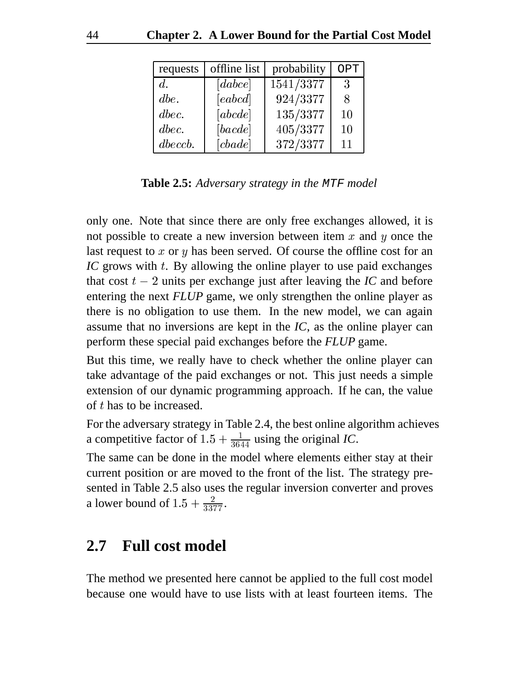| requests      | offline list                                                                                                                                                                          | probability | OPT |  |
|---------------|---------------------------------------------------------------------------------------------------------------------------------------------------------------------------------------|-------------|-----|--|
| $d_{\cdot}$   | [dabce]                                                                                                                                                                               | 1541/3377   | 3   |  |
| $\emph{dbe.}$ | $[eabcd]% \centering \includegraphics[width=0.9\columnwidth]{figures/2.pdf} \caption{The two different values of $a$ and $b$ is the same as in Figure \ref{fig:10}.}% \label{fig:2}%$ | 924/3377    | 8   |  |
| $\emph{dec.}$ | $[abcde]% \centering \includegraphics[width=0.9\columnwidth]{figures/2.pdf} \caption{The 3D (a) of the unit cell is shown in the left panel.}% \label{fig:2}%$                        | 135/3377    | 10  |  |
| $\emph{dec.}$ | [bcde]                                                                                                                                                                                | 405/3377    | 10  |  |
| $\,$ dbeccb.  |                                                                                                                                                                                       | 372/3377    | 11  |  |

**Table 2.5:** *Adversary strategy in the* MTF *model*

only one. Note that since there are only free exchanges allowed, it is not possible to create a new inversion between item  $x$  and  $y$  once the last request to  $x$  or  $y$  has been served. Of course the offline cost for an IC grows with t. By allowing the online player to use paid exchanges that cost  $t - 2$  units per exchange just after leaving the *IC* and before entering the next *FLUP* game, we only strengthen the online player as there is no obligation to use them. In the new model, we can again assume that no inversions are kept in the *IC*, as the online player can perform these special paid exchanges before the *FLUP* game.

But this time, we really have to check whether the online player can take advantage of the paid exchanges or not. This just needs a simple extension of our dynamic programming approach. If he can, the value of t has to be increased.

For the adversary strategy in Table 2.4, the best online algorithm achieves a competitive factor of  $1.5 + \frac{1}{3644}$  using the original *IC*.

The same can be done in the model where elements either stay at their current position or are moved to the front of the list. The strategy presented in Table 2.5 also uses the regular inversion converter and proves a lower bound of  $1.5 + \frac{2}{3377}$ .

#### **2.7 Full cost model**

The method we presented here cannot be applied to the full cost model because one would have to use lists with at least fourteen items. The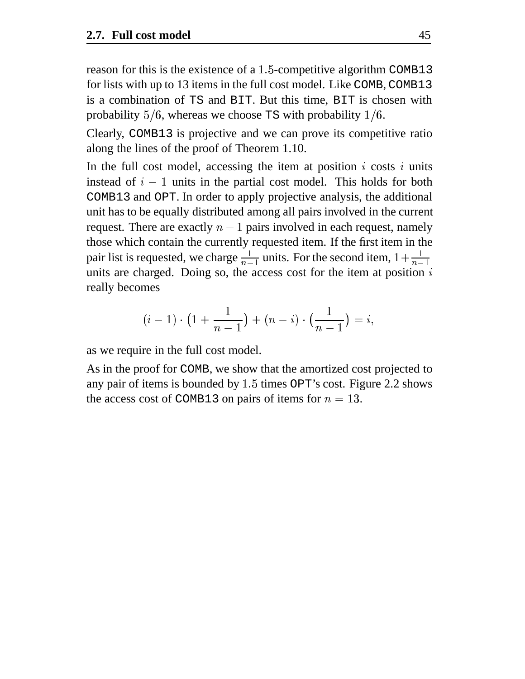reason for this is the existence of a  $1.5$ -competitive algorithm COMB13 for lists with up to 13 items in the full cost model. Like COMB, COMB13 is a combination of TS and BIT. But this time, BIT is chosen with probability  $5/6$ , whereas we choose TS with probability  $1/6$ .

Clearly, COMB13 is projective and we can prove its competitive ratio along the lines of the proof of Theorem 1.10.

In the full cost model, accessing the item at position  $i$  costs  $i$  units instead of  $i - 1$  units in the partial cost model. This holds for both COMB13 and OPT. In order to apply projective analysis, the additional unit has to be equally distributed among all pairs involved in the current request. There are exactly  $n-1$  pairs involved in each request, namely those which contain the currently requested item. If the first item in the pair list is requested, we charge  $\frac{1}{n-1}$  units. For the second item,  $1+\frac{1}{n-1}$ units are charged. Doing so, the access cost for the item at position  $i$ really becomes

$$
(i-1)\cdot \big(1+\frac{1}{n-1}\big)+(n-i)\cdot \big(\frac{1}{n-1}\big)=i,
$$

as we require in the full cost model.

As in the proof for COMB, we show that the amortized cost projected to any pair of items is bounded by  $1.5$  times OPT's cost. Figure 2.2 shows the access cost of COMB13 on pairs of items for  $n = 13$ .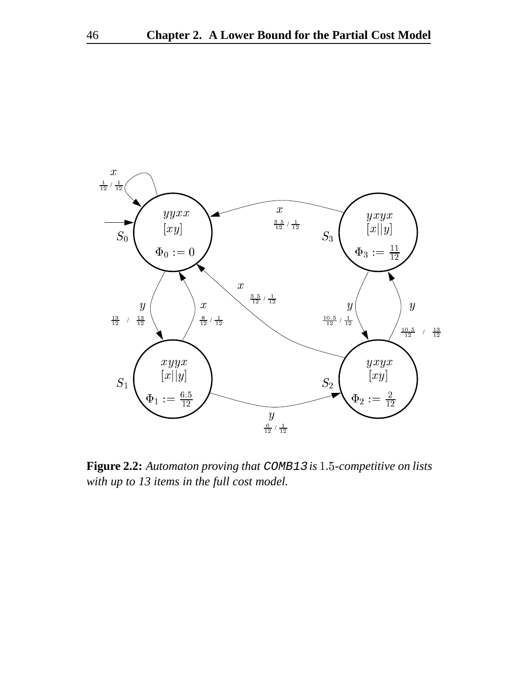

**Figure 2.2:** *Automaton proving that* COMB13 *is -competitive on lists with up to 13 items in the full cost model.*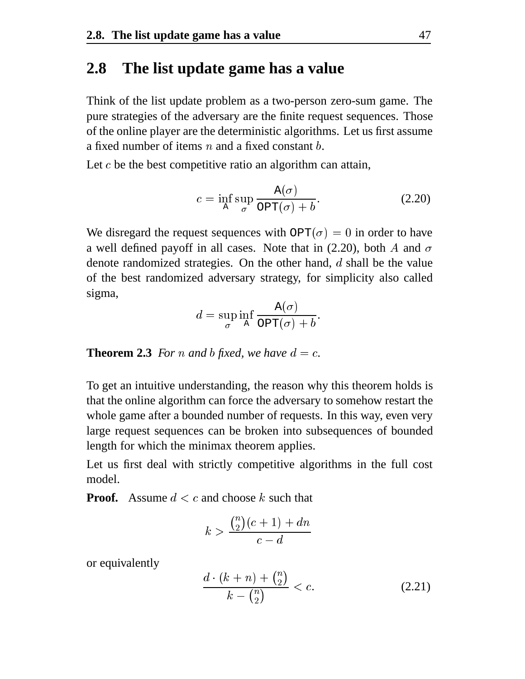#### **2.8 The list update game has a value**

Think of the list update problem as a two-person zero-sum game. The pure strategies of the adversary are the finite request sequences. Those of the online player are the deterministic algorithms. Let us first assume a fixed number of items  $n$  and a fixed constant  $b$ .

Let  $c$  be the best competitive ratio an algorithm can attain,

$$
c = \inf_{\mathbf{A}} \sup_{\sigma} \frac{\mathbf{A}(\sigma)}{\text{OPT}(\sigma) + b}.
$$
 (2.20)

We disregard the request sequences with  $\text{OPT}(\sigma) = 0$  in order to have a well defined payoff in all cases. Note that in (2.20), both A and  $\sigma$ denote randomized strategies. On the other hand,  $d$  shall be the value of the best randomized adversary strategy, for simplicity also called sigma,

$$
d=\sup_{\sigma}\inf_{\mathrm{A}}\frac{\mathrm{A}(\sigma)}{\mathrm{OPT}(\sigma)+b}.
$$

**Theorem 2.3** *For n* and *b fixed, we have*  $d = c$ .

To get an intuitive understanding, the reason why this theorem holds is that the online algorithm can force the adversary to somehow restart the whole game after a bounded number of requests. In this way, even very large request sequences can be broken into subsequences of bounded length for which the minimax theorem applies.

Let us first deal with strictly competitive algorithms in the full cost model.

**Proof.** Assume  $d < c$  and choose  $k$  such that

$$
k > \frac{\binom{n}{2}(c+1) + dn}{c-d}
$$

or equivalently

$$
\frac{d \cdot (k+n) + \binom{n}{2}}{k - \binom{n}{2}} < c. \tag{2.21}
$$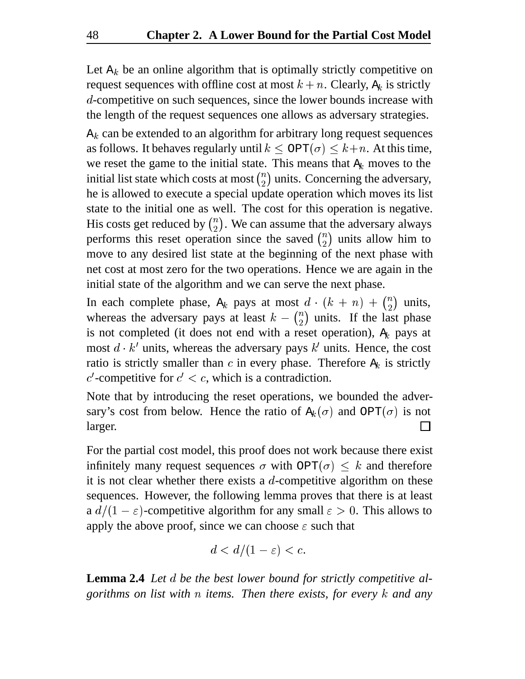Let  $A_k$  be an online algorithm that is optimally strictly competitive on request sequences with offline cost at most  $k + n$ . Clearly,  $A_k$  is strictly d-competitive on such sequences, since the lower bounds increase with the length of the request sequences one allows as adversary strategies.

 $A_k$  can be extended to an algorithm for arbitrary long request sequences as follows. It behaves regularly until  $k \le \text{OPT}(\sigma) \le k+n$ . At this time, we reset the game to the initial state. This means that  $A_k$  moves to the initial list state which costs at most  $\binom{n}{2}$  units. Concerning the adversary, he is allowed to execute a special update operation which moves its list state to the initial one as well. The cost for this operation is negative. His costs get reduced by  $\binom{n}{2}$ . We can assume that the adversary always performs this reset operation since the saved  $\binom{n}{2}$  units allow him to move to any desired list state at the beginning of the next phase with net cost at most zero for the two operations. Hence we are again in the initial state of the algorithm and we can serve the next phase.

In each complete phase,  $A_k$  pays at most  $d \cdot (k+n) + \binom{n}{2}$  units, whereas the adversary pays at least  $k - {n \choose 2}$  units. If the last phase is not completed (it does not end with a reset operation),  $A_k$  pays at most  $d \cdot k'$  units, whereas the adversary pays  $k'$  units. Hence, the cost ratio is strictly smaller than  $c$  in every phase. Therefore  $A_k$  is strictly c'-competitive for  $c' < c$ , which is a contradiction.

Note that by introducing the reset operations, we bounded the adversary's cost from below. Hence the ratio of  $A_k(\sigma)$  and  $OPT(\sigma)$  is not larger.

For the partial cost model, this proof does not work because there exist infinitely many request sequences  $\sigma$  with OPT( $\sigma$ )  $\leq k$  and therefore it is not clear whether there exists a  $d$ -competitive algorithm on these sequences. However, the following lemma proves that there is at least a  $d/(1-\varepsilon)$ -competitive algorithm for any small  $\varepsilon > 0$ . This allows to apply the above proof, since we can choose  $\varepsilon$  such that

$$
d < d/(1-\varepsilon) < c.
$$

**Lemma 2.4** Let d be the best lower bound for strictly competitive al*gorithms on list with items. Then there exists, for every and any*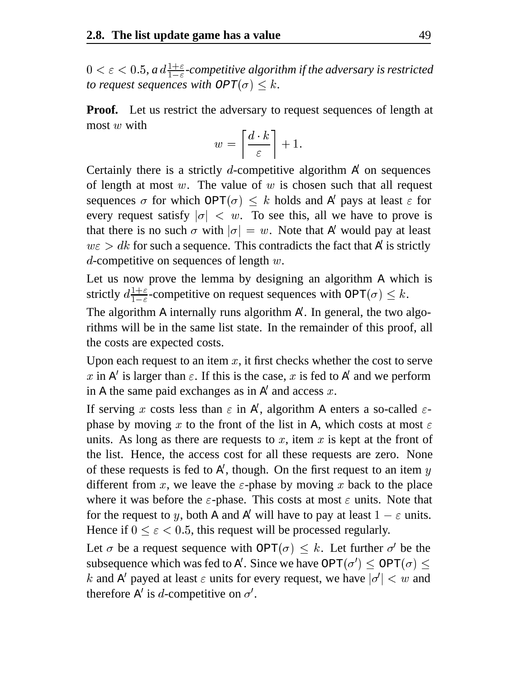$0 < \varepsilon < 0.5$ , a  $d \frac{1+\varepsilon}{1-\varepsilon}$ -competitive algorithm if the adversary is restricted *to request sequences with*  $OPT(\sigma) \leq k$ *.* 

**Proof.** Let us restrict the adversary to request sequences of length at most  $w$  with 

$$
w = \left\lceil \frac{d \cdot k}{\varepsilon} \right\rceil + 1.
$$

Certainly there is a strictly *d*-competitive algorithm  $\vec{A}$  on sequences of length at most  $w$ . The value of  $w$  is chosen such that all request sequences  $\sigma$  for which  $OPT(\sigma) \leq k$  holds and A' pays at least  $\varepsilon$  for every request satisfy  $|\sigma| < w$ . To see this, all we have to prove is that there is no such  $\sigma$  with  $|\sigma| = w$ . Note that A' would pay at least  $w\varepsilon > dk$  for such a sequence. This contradicts the fact that A' is strictly d-competitive on sequences of length  $w$ .

Let us now prove the lemma by designing an algorithm A which is strictly  $d_{\frac{1+\epsilon}{1-\epsilon}}$ -competitive on request sequences with  $\text{OPT}(\sigma) \leq k$ .

The algorithm A internally runs algorithm A . In general, the two algorithms will be in the same list state. In the remainder of this proof, all the costs are expected costs.

Upon each request to an item  $x$ , it first checks whether the cost to serve x in A' is larger than  $\varepsilon$ . If this is the case, x is fed to A' and we perform in A the same paid exchanges as in  $A'$  and access  $x$ .

If serving x costs less than  $\varepsilon$  in A', algorithm A enters a so-called  $\varepsilon$ phase by moving x to the front of the list in A, which costs at most  $\varepsilon$ units. As long as there are requests to x, item x is kept at the front of the list. Hence, the access cost for all these requests are zero. None of these requests is fed to A', though. On the first request to an item  $y$ different from x, we leave the  $\varepsilon$ -phase by moving x back to the place where it was before the  $\varepsilon$ -phase. This costs at most  $\varepsilon$  units. Note that for the request to y, both A and A' will have to pay at least  $1 - \varepsilon$  units. Hence if  $0 \le \varepsilon < 0.5$ , this request will be processed regularly.

Let  $\sigma$  be a request sequence with  $\text{OPT}(\sigma) \leq k$ . Let further  $\sigma'$  be the subsequence which was fed to A'. Since we have  $\text{OPT}(\sigma') \leq \text{OPT}(\sigma) \leq$ k and A' payed at least  $\varepsilon$  units for every request, we have  $|\sigma'| < w$  and therefore A' is d-competitive on  $\sigma'$ .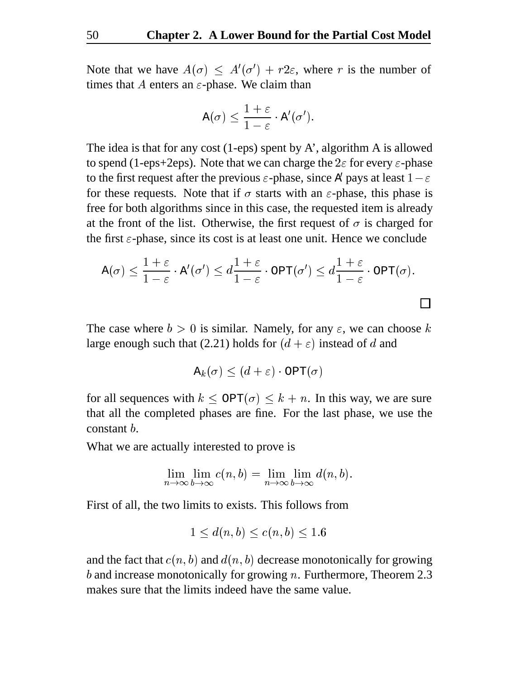Note that we have  $A(\sigma) \leq A'(\sigma') + r2\varepsilon$ , where r is the number of times that A enters an  $\varepsilon$ -phase. We claim than

$$
\mathtt{A}(\sigma) \leq \frac{1+\varepsilon}{1-\varepsilon} \cdot \mathtt{A}'(\sigma').
$$

The idea is that for any cost  $(1-\epsilon)$  spent by A', algorithm A is allowed to spend (1-eps+2eps). Note that we can charge the  $2\varepsilon$  for every  $\varepsilon$ -phase to the first request after the previous  $\varepsilon$ -phase, since A' pays at least  $1-\varepsilon$ for these requests. Note that if  $\sigma$  starts with an  $\varepsilon$ -phase, this phase is free for both algorithms since in this case, the requested item is already at the front of the list. Otherwise, the first request of  $\sigma$  is charged for the first  $\varepsilon$ -phase, since its cost is at least one unit. Hence we conclude

$$
A(\sigma) \leq \frac{1+\varepsilon}{1-\varepsilon} \cdot A'(\sigma') \leq d\frac{1+\varepsilon}{1-\varepsilon} \cdot \text{OPT}(\sigma') \leq d\frac{1+\varepsilon}{1-\varepsilon} \cdot \text{OPT}(\sigma).
$$

 $\Box$ 

The case where  $b > 0$  is similar. Namely, for any  $\varepsilon$ , we can choose k large enough such that (2.21) holds for  $(d + \varepsilon)$  instead of d and

$$
\mathtt{A}_k(\sigma) \leq (d+\varepsilon) \cdot \mathtt{OPT}(\sigma)
$$

for all sequences with  $k \leq \text{OPT}(\sigma) \leq k + n$ . In this way, we are sure that all the completed phases are fine. For the last phase, we use the constant  $b$ .

What we are actually interested to prove is

$$
\lim_{n \to \infty} \lim_{b \to \infty} c(n, b) = \lim_{n \to \infty} \lim_{b \to \infty} d(n, b).
$$

First of all, the two limits to exists. This follows from

$$
1 \le d(n, b) \le c(n, b) \le 1.6
$$

and the fact that  $c(n, b)$  and  $d(n, b)$  decrease monotonically for growing b and increase monotonically for growing  $n$ . Furthermore, Theorem 2.3 makes sure that the limits indeed have the same value.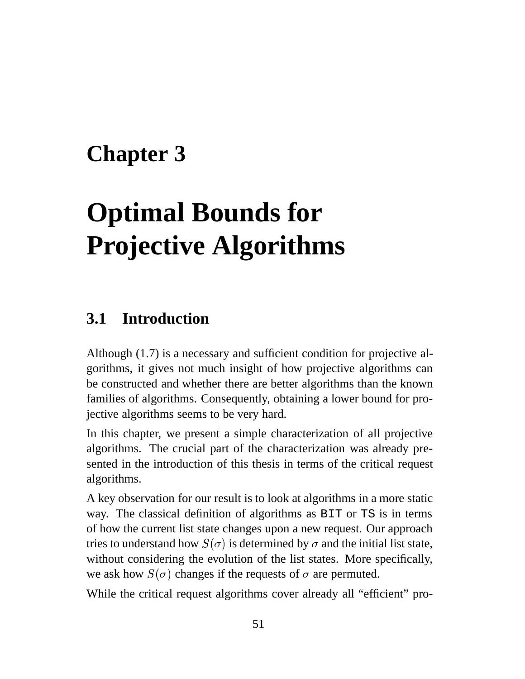# **Chapter 3**

# **Optimal Bounds for Projective Algorithms**

### **3.1 Introduction**

Although (1.7) is a necessary and sufficient condition for projective algorithms, it gives not much insight of how projective algorithms can be constructed and whether there are better algorithms than the known families of algorithms. Consequently, obtaining a lower bound for projective algorithms seems to be very hard.

In this chapter, we present a simple characterization of all projective algorithms. The crucial part of the characterization was already presented in the introduction of this thesis in terms of the critical request algorithms.

A key observation for our result is to look at algorithms in a more static way. The classical definition of algorithms as BIT or TS is in terms of how the current list state changes upon a new request. Our approach tries to understand how  $S(\sigma)$  is determined by  $\sigma$  and the initial list state, without considering the evolution of the list states. More specifically, we ask how  $S(\sigma)$  changes if the requests of  $\sigma$  are permuted.

While the critical request algorithms cover already all "efficient" pro-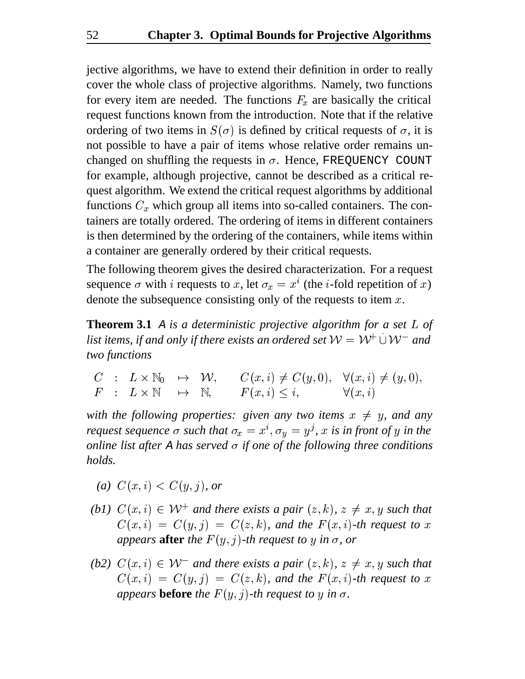jective algorithms, we have to extend their definition in order to really cover the whole class of projective algorithms. Namely, two functions for every item are needed. The functions  $F_x$  are basically the critical request functions known from the introduction. Note that if the relative ordering of two items in  $S(\sigma)$  is defined by critical requests of  $\sigma$ , it is not possible to have a pair of items whose relative order remains unchanged on shuffling the requests in  $\sigma$ . Hence, FREQUENCY COUNT for example, although projective, cannot be described as a critical request algorithm. We extend the critical request algorithms by additional functions  $C_x$  which group all items into so-called containers. The containers are totally ordered. The ordering of items in different containers is then determined by the ordering of the containers, while items within a container are generally ordered by their critical requests.

The following theorem gives the desired characterization. For a request sequence  $\sigma$  with *i* requests to x, let  $\sigma_x = x^i$  (the *i*-fold repetition of x) denote the subsequence consisting only of the requests to item  $x$ .

**Theorem 3.1** A *is a deterministic projective algorithm for a set* L of list items, if and only if there exists an ordered set  $\mathcal{W} = \mathcal{W}^+ \cup \mathcal{W}^-$  and *two functions*

- -  -  -      

*with the following properties: given any two items*  $x \neq y$ *, and any request sequence*  $\sigma$  such that  $\sigma_x = x^i$ ,  $\sigma_y = y^j$ , x is in front of y in the *online list after* A *has served*  $\sigma$  *if one of the following three conditions holds.*

- *(a)*  $C(x, i) < C(u, i)$ , or
- (b1)  $C(x, i) \in \mathcal{W}^+$  and there exists a pair  $(z, k)$ ,  $z \neq x, y$  such that  $C(x, i) = C(y, j) = C(z, k)$ , and the  $F(x, i)$ -th request to x *appears* **after** *the*  $F(y, j)$ *-th request to*  $y$  *in*  $\sigma$ *, or*
- (b2)  $C(x, i) \in W^-$  and there exists a pair  $(z, k)$ ,  $z \neq x, y$  such that  $C(x, i) = C(y, j) = C(z, k)$ , and the  $F(x, i)$ -th request to x *appears* **before** *the*  $F(y, j)$ -*th request to*  $y$  *in*  $\sigma$ *.*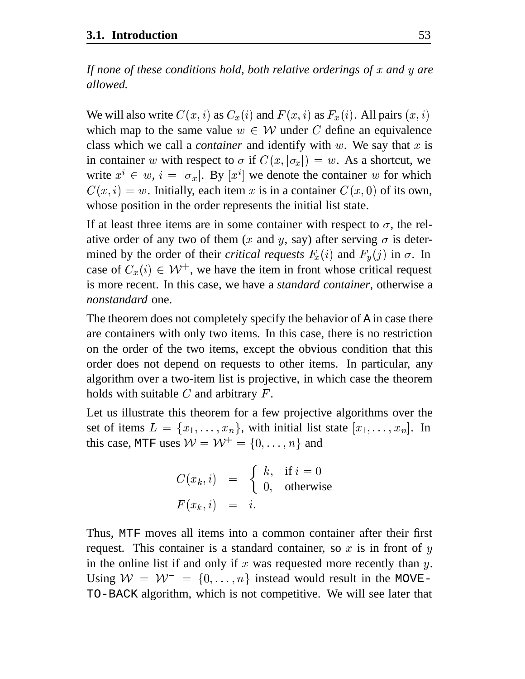*If none of these conditions hold, both relative orderings of and are allowed.*

We will also write  $C(x, i)$  as  $C_x(i)$  and  $F(x, i)$  as  $F_x(i)$ . All pairs  $(x, i)$ which map to the same value  $w \in W$  under C define an equivalence class which we call a *container* and identify with  $w$ . We say that  $x$  is in container w with respect to  $\sigma$  if  $C(x, |\sigma_x|) = w$ . As a shortcut, we write  $x^i \in w$ ,  $i = |\sigma_x|$ . By  $[x^i]$  we denote the container w for which  $C(x, i) = w$ . Initially, each item x is in a container  $C(x, 0)$  of its own, whose position in the order represents the initial list state.

If at least three items are in some container with respect to  $\sigma$ , the relative order of any two of them (x and y, say) after serving  $\sigma$  is determined by the order of their *critical requests*  $F_x(i)$  and  $F_y(j)$  in  $\sigma$ . In case of  $C_x(i) \in \mathcal{W}^+$ , we have the item in front whose critical request is more recent. In this case, we have a *standard container*, otherwise a *nonstandard* one.

The theorem does not completely specify the behavior of A in case there are containers with only two items. In this case, there is no restriction on the order of the two items, except the obvious condition that this order does not depend on requests to other items. In particular, any algorithm over a two-item list is projective, in which case the theorem holds with suitable  $C$  and arbitrary  $F$ .

Let us illustrate this theorem for a few projective algorithms over the set of items  $L = \{x_1, \ldots, x_n\}$ , with initial list state  $[x_1, \ldots, x_n]$ . In this case, MTF uses  $W = W^+ = \{0, \ldots, n\}$  and

$$
C(x_k, i) = \begin{cases} k, & \text{if } i = 0 \\ 0, & \text{otherwise} \end{cases}
$$
  

$$
F(x_k, i) = i.
$$

Thus, MTF moves all items into a common container after their first request. This container is a standard container, so  $x$  is in front of  $y$ in the online list if and only if  $x$  was requested more recently than  $y$ . Using  $W = W^- = \{0, \ldots, n\}$  instead would result in the MOVE-TO-BACK algorithm, which is not competitive. We will see later that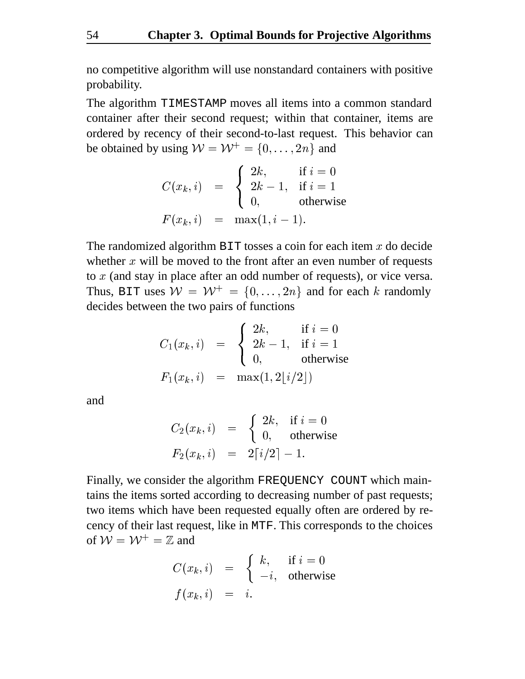no competitive algorithm will use nonstandard containers with positive probability.

The algorithm TIMESTAMP moves all items into a common standard container after their second request; within that container, items are ordered by recency of their second-to-last request. This behavior can be obtained by using  $W = W^+ = \{0, \ldots, 2n\}$  and

$$
C(x_k, i) = \begin{cases} 2k, & \text{if } i = 0\\ 2k - 1, & \text{if } i = 1\\ 0, & \text{otherwise} \end{cases}
$$
  

$$
F(x_k, i) = \max(1, i - 1).
$$

The randomized algorithm  $\text{BIT}$  tosses a coin for each item x do decide whether  $x$  will be moved to the front after an even number of requests to  $x$  (and stay in place after an odd number of requests), or vice versa. Thus, BIT uses  $W = W^+ = \{0, \ldots, 2n\}$  and for each k randomly decides between the two pairs of functions

$$
C_1(x_k, i) = \begin{cases} 2k, & \text{if } i = 0\\ 2k - 1, & \text{if } i = 1\\ 0, & \text{otherwise} \end{cases}
$$
  

$$
F_1(x_k, i) = \max(1, 2\lfloor i/2 \rfloor)
$$

and

$$
C_2(x_k, i) = \begin{cases} 2k, & \text{if } i = 0 \\ 0, & \text{otherwise} \end{cases}
$$
  

$$
F_2(x_k, i) = 2\lceil i/2 \rceil - 1.
$$

Finally, we consider the algorithm FREQUENCY COUNT which maintains the items sorted according to decreasing number of past requests; two items which have been requested equally often are ordered by recency of their last request, like in MTF. This corresponds to the choices of  $\mathcal{W} = \mathcal{W}^+ = \mathbb{Z}$  and

$$
C(x_k, i) = \begin{cases} k, & \text{if } i = 0 \\ -i, & \text{otherwise} \end{cases}
$$
  

$$
f(x_k, i) = i.
$$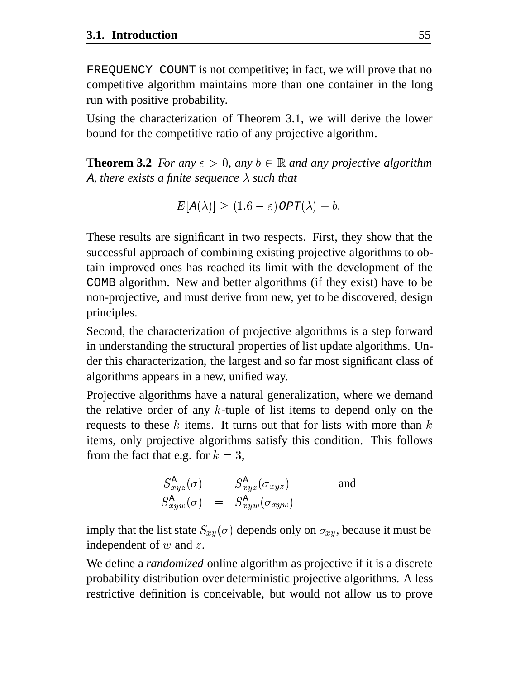FREQUENCY COUNT is not competitive; in fact, we will prove that no competitive algorithm maintains more than one container in the long run with positive probability.

Using the characterization of Theorem 3.1, we will derive the lower bound for the competitive ratio of any projective algorithm.

**Theorem 3.2** *For any*  $\varepsilon > 0$ *, any*  $b \in \mathbb{R}$  *and any projective algorithm* A, there exists a finite sequence  $\lambda$  such that

$$
E[\mathrm{A}(\lambda)] \geq (1.6 - \varepsilon) \mathit{OPT}(\lambda) + b.
$$

These results are significant in two respects. First, they show that the successful approach of combining existing projective algorithms to obtain improved ones has reached its limit with the development of the COMB algorithm. New and better algorithms (if they exist) have to be non-projective, and must derive from new, yet to be discovered, design principles.

Second, the characterization of projective algorithms is a step forward in understanding the structural properties of list update algorithms. Under this characterization, the largest and so far most significant class of algorithms appears in a new, unified way.

Projective algorithms have a natural generalization, where we demand the relative order of any  $k$ -tuple of list items to depend only on the requests to these  $k$  items. It turns out that for lists with more than  $k$ items, only projective algorithms satisfy this condition. This follows from the fact that e.g. for  $k = 3$ ,

$$
S_{xyz}^{A}(\sigma) = S_{xyz}^{A}(\sigma_{xyz}) \quad \text{and} \quad S_{xyw}^{A}(\sigma) = S_{xyw}^{A}(\sigma_{xyw})
$$

imply that the list state  $S_{xy}(\sigma)$  depends only on  $\sigma_{xy}$ , because it must be independent of  $w$  and  $z$ .

We define a *randomized* online algorithm as projective if it is a discrete probability distribution over deterministic projective algorithms. A less restrictive definition is conceivable, but would not allow us to prove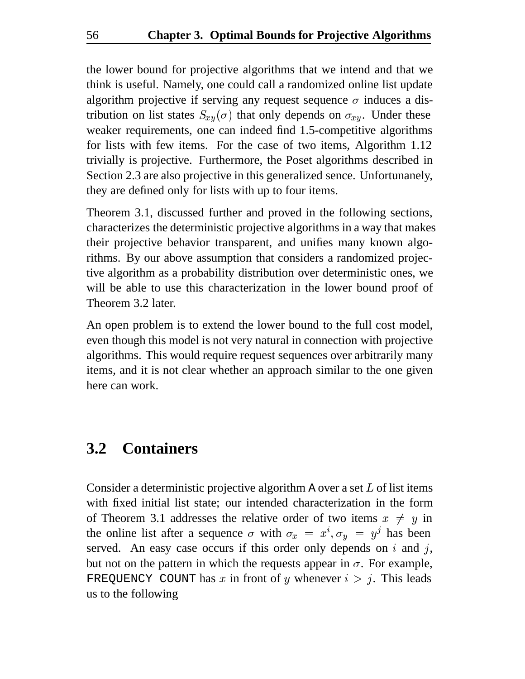the lower bound for projective algorithms that we intend and that we think is useful. Namely, one could call a randomized online list update algorithm projective if serving any request sequence  $\sigma$  induces a distribution on list states  $S_{x,y}(\sigma)$  that only depends on  $\sigma_{xy}$ . Under these weaker requirements, one can indeed find 1.5-competitive algorithms for lists with few items. For the case of two items, Algorithm 1.12 trivially is projective. Furthermore, the Poset algorithms described in Section 2.3 are also projective in this generalized sence. Unfortunanely, they are defined only for lists with up to four items.

Theorem 3.1, discussed further and proved in the following sections, characterizes the deterministic projective algorithms in a way that makes their projective behavior transparent, and unifies many known algorithms. By our above assumption that considers a randomized projective algorithm as a probability distribution over deterministic ones, we will be able to use this characterization in the lower bound proof of Theorem 3.2 later.

An open problem is to extend the lower bound to the full cost model, even though this model is not very natural in connection with projective algorithms. This would require request sequences over arbitrarily many items, and it is not clear whether an approach similar to the one given here can work.

#### **3.2 Containers**

Consider a deterministic projective algorithm A over a set  $L$  of list items with fixed initial list state; our intended characterization in the form of Theorem 3.1 addresses the relative order of two items  $x \neq y$  in the online list after a sequence  $\sigma$  with  $\sigma_x = x^i, \sigma_y = y^j$  has been served. An easy case occurs if this order only depends on  $i$  and  $j$ , but not on the pattern in which the requests appear in  $\sigma$ . For example, FREQUENCY COUNT has x in front of y whenever  $i > j$ . This leads us to the following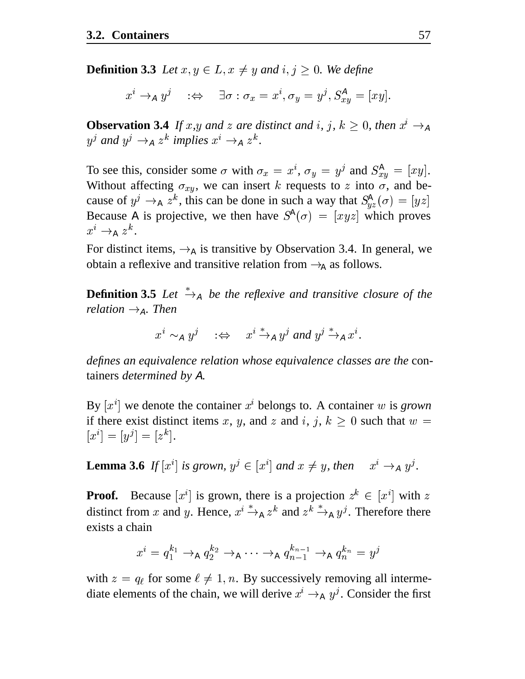**Definition 3.3** Let  $x, y \in L$ ,  $x \neq y$  and  $i, j \geq 0$ . We define

$$
x^i\rightarrow_A y^j\quad :\Leftrightarrow\quad \exists \sigma : \sigma_x = x^i, \sigma_y = y^j, S^A_{xy} = [xy].
$$

**Observation 3.4** *If*  $x, y$  *and*  $z$  *are distinct and*  $i, j, k \ge 0$ *, then*  $x^{i} \rightarrow A$  $y^j$  and  $y^j \rightarrow_A z^k$  implies  $x^i \rightarrow_A z^k$ .

To see this, consider some  $\sigma$  with  $\sigma_x = x^i$ ,  $\sigma_y = y^j$  and  $S_{xy}^A = [xy]$ . Without affecting  $\sigma_{xy}$ , we can insert k requests to z into  $\sigma$ , and because of  $y^j \to_{A} z^k$ , this can be done in such a way that  $S_{yz}^{A}(\sigma) = [yz]$ Because A is projective, we then have  $S^{\mathbb{A}}(\sigma) = [xyz]$  which proves  $x^i \rightarrow_{\text{A}} z^k$ .

For distinct items,  $\rightarrow_A$  is transitive by Observation 3.4. In general, we obtain a reflexive and transitive relation from  $\rightarrow_A$  as follows.

**Definition 3.5** Let  $\stackrel{*}{\rightarrow}_{A}$  be the reflexive and transitive closure of the *relation*  $\rightarrow_A$ *. Then* 

$$
x^i \sim_A y^j \quad : \Leftrightarrow \quad x^i \xrightarrow{\ast}_A y^j \text{ and } y^j \xrightarrow{\ast}_A x^i.
$$

*defines an equivalence relation whose equivalence classes are the* containers *determined by* <sup>A</sup>*.*

By  $[x^i]$  we denote the container  $x^i$  belongs to. A container  $w$  is *grown* if there exist distinct items x, y, and z and i, j,  $k \geq 0$  such that  $w =$  $[x^i] = [y^j] = [z^k].$ 

**Lemma 3.6** If  $[x^i]$  is grown,  $y^j \in [x^i]$  and  $x \neq y$ , then  $x^i \rightarrow_A y^j$ .

**Proof.** Because  $[x^i]$  is grown, there is a projection  $z^k \in [x^i]$  with z distinct from x and y. Hence,  $x^i \rightarrow_A z^k$  and  $z^k \rightarrow_A y^j$ . Therefore there exists a chain

$$
x^i = q_1^{k_1} \rightarrow_{\mathtt{A}} q_2^{k_2} \rightarrow_{\mathtt{A}} \cdots \rightarrow_{\mathtt{A}} q_{n-1}^{k_{n-1}} \rightarrow_{\mathtt{A}} q_n^{k_n} = y^j
$$

with  $z = q_\ell$  for some  $\ell \neq 1, n$ . By successively removing all intermediate elements of the chain, we will derive  $x^i \rightarrow_A y^j$ . Consider the first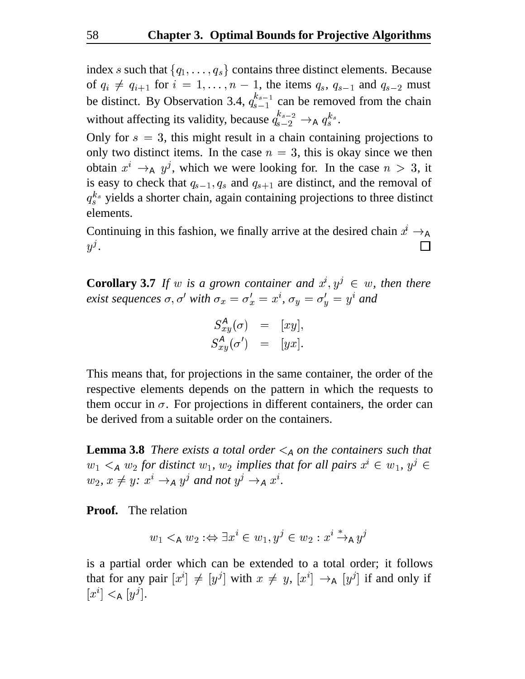index s such that  $\{q_1, \ldots, q_s\}$  contains three distinct elements. Because of  $q_i \neq q_{i+1}$  for  $i = 1, \ldots, n-1$ , the items  $q_s, q_{s-1}$  and  $q_{s-2}$  must be distinct. By Observation 3.4,  $q_{s-1}^{k_{s-1}}$  can be removed from the chain without affecting its validity, because  $q_{s-2}^{\kappa_{s-2}} \to_A q_s^{\kappa_s}$ .

Only for  $s = 3$ , this might result in a chain containing projections to only two distinct items. In the case  $n = 3$ , this is okay since we then obtain  $x^i \rightarrow_A y^j$ , which we were looking for. In the case  $n > 3$ , it is easy to check that  $q_{s-1}, q_s$  and  $q_{s+1}$  are distinct, and the removal of  $q_s^{k_s}$  yields a shorter chain, again containing projections to three distinct elements.

Continuing in this fashion, we finally arrive at the desired chain  $x^2 \rightarrow_A$  $y^j.$  $\Box$ 

**Corollary 3.7** If w is a grown container and  $x^i, y^j \in w$ , then there *exist sequences*  $\sigma, \sigma'$  with  $\sigma_x = \sigma'_x = x^i$ ,  $\sigma_y = \sigma'_y = y^i$  and

$$
S_{xy}^A(\sigma) = [xy],
$$
  

$$
S_{xy}^A(\sigma') = [yx].
$$

This means that, for projections in the same container, the order of the respective elements depends on the pattern in which the requests to them occur in  $\sigma$ . For projections in different containers, the order can be derived from a suitable order on the containers.

**Lemma 3.8** *There exists a total order*  $\leq_A$  *on the containers such that*  $w_1 < A$  *w*<sub>2</sub> for distinct  $w_1$ ,  $w_2$  implies that for all pairs  $x^i \in w_1$ ,  $y^j \in A$  $w_2, x \neq y$ :  $x^i \rightarrow_A y^j$  and not  $y^j \rightarrow_A x^i$ .

**Proof.** The relation

$$
w_1 <_{\mathsf{A}} w_2 : \Leftrightarrow \exists x^i \in w_1, y^j \in w_2 : x^i \xrightarrow{\ast}_{\mathsf{A}} y^j
$$

is a partial order which can be extended to a total order; it follows that for any pair  $[x^i] \neq [y^j]$  with  $x \neq y$ ,  $[x^i] \rightarrow_A [y^j]$  if and only if  $[x^i] <_{\mathsf{A}} [y^j].$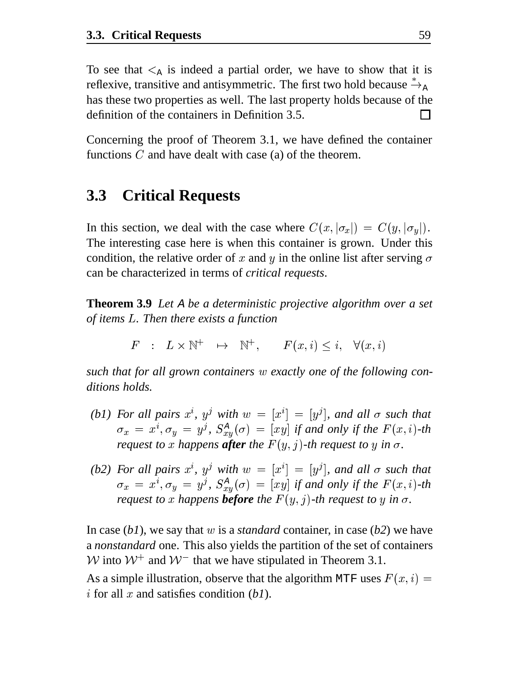To see that  $\leq_{\mathbb{A}}$  is indeed a partial order, we have to show that it is reflexive, transitive and antisymmetric. The first two hold because  $\mathring{\rightarrow}_{\mathtt{A}}$ has these two properties as well. The last property holds because of the definition of the containers in Definition 3.5.  $\mathsf{L}$ 

Concerning the proof of Theorem 3.1, we have defined the container functions  $C$  and have dealt with case (a) of the theorem.

#### **3.3 Critical Requests**

In this section, we deal with the case where  $C(x, |\sigma_x|) = C(y, |\sigma_y|)$ . The interesting case here is when this container is grown. Under this condition, the relative order of x and y in the online list after serving  $\sigma$ can be characterized in terms of *critical requests*.

**Theorem 3.9** *Let* <sup>A</sup> *be a deterministic projective algorithm over a set of items . Then there exists a function*

 $\Gamma$  :  $L \times N$   $\mapsto N$  .  $\Gamma(x, t) \leq t$  .  $V(x, t)$ 

*such that for all grown containers w exactly one of the following conditions holds.*

- *(b1)* For all pairs  $x^i$ ,  $y^j$  with  $w = [x^i] = [y^j]$ , and all  $\sigma$  such that  $\sigma_x = x^i, \sigma_y = y^j, S^A_{xy}(\sigma) = [xy]$  if and only if the  $F(x, i)$ -th *request to* x happens **after** the  $F(y, j)$ -th request to y in  $\sigma$ .
- *(b2)* For all pairs  $x^i$ ,  $y^j$  with  $w = [x^i] = [y^j]$ , and all  $\sigma$  such that  $\sigma_x = x^i, \sigma_y = y^j, S^A_{xy}(\sigma) = [xy]$  if and only if the  $F(x, i)$ -th *request to* x happens **before** the  $F(y, j)$ -th request to y in  $\sigma$ .

In case  $(b1)$ , we say that w is a *standard* container, in case  $(b2)$  we have a *nonstandard* one. This also yields the partition of the set of containers W into  $W^+$  and  $W^-$  that we have stipulated in Theorem 3.1.

As a simple illustration, observe that the algorithm MTF uses  $F(x, i) =$ i for all  $x$  and satisfies condition  $(b)$ .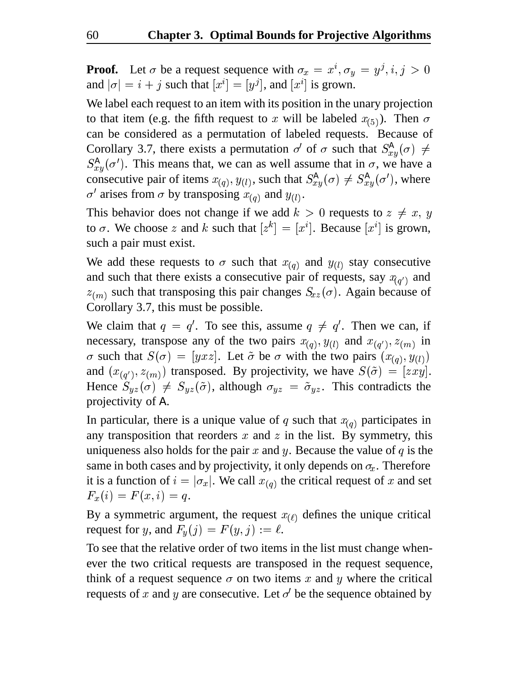**Proof.** Let  $\sigma$  be a request sequence with  $\sigma_x = x^i, \sigma_y = y^j, i, j > 0$ and  $|\sigma| = i + j$  such that  $[x^i] = [y^j]$ , and  $[x^i]$  is grown.

We label each request to an item with its position in the unary projection to that item (e.g. the fifth request to x will be labeled  $x_{(5)}$ ). Then  $\sigma$ can be considered as a permutation of labeled requests. Because of Corollary 3.7, there exists a permutation  $\sigma'$  of  $\sigma$  such that  $S_{xx}^{A}(\sigma) \neq$  $S_{x,y}^{A}(\sigma')$ . This means that, we can as well assume that in  $\sigma$ , we have a consecutive pair of items  $x_{(q)}$ ,  $y_{(l)}$ , such that  $S_{x}^{A}(\sigma) \neq S_{x}^{A}(\sigma')$ , where  $\sigma'$  arises from  $\sigma$  by transposing  $x_{(q)}$  and  $y_{(l)}$ .

This behavior does not change if we add  $k > 0$  requests to  $z \neq x, y$ to  $\sigma$ . We choose z and k such that  $[z^k] = [x^i]$ . Because  $[x^i]$  is grown, such a pair must exist.

We add these requests to  $\sigma$  such that  $x_{(q)}$  and  $y_{(l)}$  stay consecutive and such that there exists a consecutive pair of requests, say  $x_{(q')}$  and  $z_{(m)}$  such that transposing this pair changes  $S_{xz}(\sigma)$ . Again because of Corollary 3.7, this must be possible.

We claim that  $q = q'$ . To see this, assume  $q \neq q'$ . Then we can, if necessary, transpose any of the two pairs  $x_{(q)}, y_{(l)}$  and  $x_{(q')}, z_{(m)}$  in  $\sigma$  such that  $S(\sigma) = [yxz]$ . Let  $\tilde{\sigma}$  be  $\sigma$  with the two pairs  $(x_{(q)}, y_{(l)})$ and  $(x_{(q')}, z_{(m)})$  transposed. By projectivity, we have  $S(\tilde{\sigma}) = [zxy]$ . Hence  $S_{yz}(\sigma) \neq S_{yz}(\tilde{\sigma})$ , although  $\sigma_{yz} = \tilde{\sigma}_{yz}$ . This contradicts the projectivity of A.

In particular, there is a unique value of q such that  $x_{(q)}$  participates in any transposition that reorders  $x$  and  $z$  in the list. By symmetry, this uniqueness also holds for the pair  $x$  and  $y$ . Because the value of  $q$  is the same in both cases and by projectivity, it only depends on  $\sigma_x$ . Therefore it is a function of  $i = |\sigma_x|$ . We call  $x_{(q)}$  the critical request of x and set  $F_x(i) = F(x, i) = q.$ 

By a symmetric argument, the request  $x_{(\ell)}$  defines the unique critical request for y, and  $F_y(j) = F(y, j) := \ell$ .

To see that the relative order of two items in the list must change whenever the two critical requests are transposed in the request sequence, think of a request sequence  $\sigma$  on two items x and y where the critical requests of x and y are consecutive. Let  $\sigma'$  be the sequence obtained by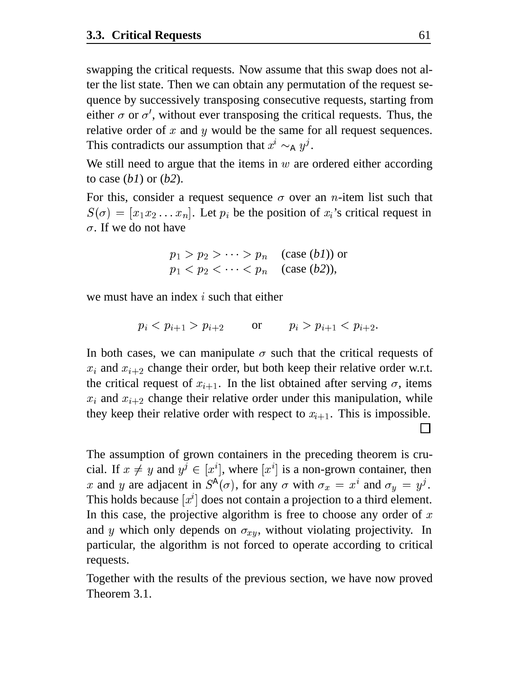swapping the critical requests. Now assume that this swap does not alter the list state. Then we can obtain any permutation of the request sequence by successively transposing consecutive requests, starting from either  $\sigma$  or  $\sigma'$ , without ever transposing the critical requests. Thus, the relative order of  $x$  and  $y$  would be the same for all request sequences. This contradicts our assumption that  $x^i \sim_A y^j$ .

We still need to argue that the items in  $w$  are ordered either according to case (*b1*) or (*b2*).

For this, consider a request sequence  $\sigma$  over an *n*-item list such that  $S(\sigma) = [x_1 x_2 ... x_n]$ . Let  $p_i$  be the position of  $x_i$ 's critical request in  $\sigma$ . If we do not have

$$
p_1 > p_2 > \cdots > p_n \quad \text{(case (b1)) or} \\ p_1 < p_2 < \cdots < p_n \quad \text{(case (b2))},
$$

we must have an index  $i$  such that either

$$
p_i < p_{i+1} > p_{i+2}
$$
 or  $p_i > p_{i+1} < p_{i+2}$ .

In both cases, we can manipulate  $\sigma$  such that the critical requests of  $x_i$  and  $x_{i+2}$  change their order, but both keep their relative order w.r.t. the critical request of  $x_{i+1}$ . In the list obtained after serving  $\sigma$ , items  $x_i$  and  $x_{i+2}$  change their relative order under this manipulation, while they keep their relative order with respect to  $x_{i+1}$ . This is impossible.

The assumption of grown containers in the preceding theorem is crucial. If  $x \neq y$  and  $y^j \in [x^i]$ , where  $[x^i]$  is a non-grown container, then x and y are adjacent in  $S^{\mathcal{A}}(\sigma)$ , for any  $\sigma$  with  $\sigma_x = x^i$  and  $\sigma_y = y^j$ . This holds because  $[x^i]$  does not contain a projection to a third element. In this case, the projective algorithm is free to choose any order of  $x$ and *y* which only depends on  $\sigma_{xy}$ , without violating projectivity. In particular, the algorithm is not forced to operate according to critical requests.

Together with the results of the previous section, we have now proved Theorem 3.1.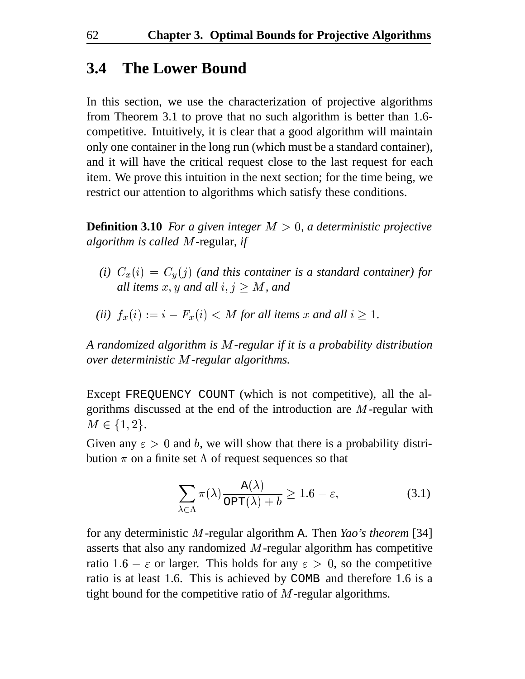### **3.4 The Lower Bound**

In this section, we use the characterization of projective algorithms from Theorem 3.1 to prove that no such algorithm is better than 1.6 competitive. Intuitively, it is clear that a good algorithm will maintain only one container in the long run (which must be a standard container), and it will have the critical request close to the last request for each item. We prove this intuition in the next section; for the time being, we restrict our attention to algorithms which satisfy these conditions.

**Definition 3.10** *For a given integer*  $M > 0$ , *a deterministic projective algorithm is called M-regular, if* 

*(i)*  $C_x(i) = C_y(j)$  *(and this container is a standard container) for all items x, y and all i,*  $j \geq M$ *, and* 

(ii) 
$$
f_x(i) := i - F_x(i) < M
$$
 for all items  $x$  and all  $i \geq 1$ .

*A randomized algorithm is* <sup>0</sup>*-regular if it is a probability distribution over deterministic M-regular algorithms.* 

Except FREQUENCY COUNT (which is not competitive), all the algorithms discussed at the end of the introduction are  $M$ -regular with  $M \in \{1, 2\}.$ 

Given any  $\varepsilon > 0$  and b, we will show that there is a probability distribution  $\pi$  on a finite set  $\Lambda$  of request sequences so that

$$
\sum_{\lambda \in \Lambda} \pi(\lambda) \frac{A(\lambda)}{\text{OPT}(\lambda) + b} \ge 1.6 - \varepsilon,
$$
\n(3.1)

for any deterministic M-regular algorithm A. Then *Yao's theorem* [34] asserts that also any randomized  $M$ -regular algorithm has competitive ratio 1.6 –  $\varepsilon$  or larger. This holds for any  $\varepsilon > 0$ , so the competitive ratio is at least 1.6. This is achieved by COMB and therefore 1.6 is a tight bound for the competitive ratio of  $M$ -regular algorithms.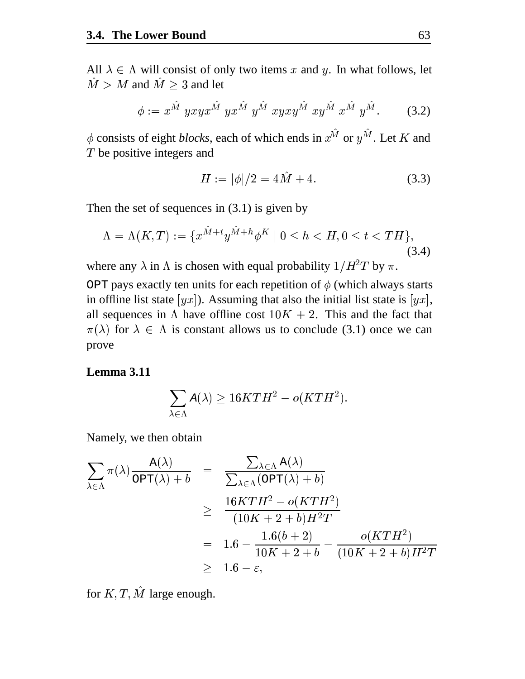All  $\lambda \in \Lambda$  will consist of only two items x and y. In what follows, let  $\hat{M} > M$  and  $\hat{M} > 3$  and let

$$
\phi := x^{\hat{M}} yxyx^{\hat{M}} yx^{\hat{M}} y^{\hat{M}} xyxy^{\hat{M}} xy^{\hat{M}} x^{\hat{M}} y^{\hat{M}}.
$$
 (3.2)

 $\phi$  consists of eight *blocks*, each of which ends in  $x^M$  or  $y^M$ . Let K and be positive integers and

$$
H := |\phi|/2 = 4\tilde{M} + 4. \tag{3.3}
$$

Then the set of sequences in (3.1) is given by

$$
\Lambda = \Lambda(K, T) := \{x^{M+t}y^{M+h}\phi^K \mid 0 \le h < H, 0 \le t < TH\},\tag{3.4}
$$

where any  $\lambda$  in  $\Lambda$  is chosen with equal probability  $1/H^2T$  by  $\pi$ .

OPT pays exactly ten units for each repetition of  $\phi$  (which always starts in offline list state  $[yx]$ ). Assuming that also the initial list state is  $[yx]$ , all sequences in  $\Lambda$  have offline cost  $10K + 2$ . This and the fact that  $\pi(\lambda)$  for  $\lambda \in \Lambda$  is constant allows us to conclude (3.1) once we can prove

**Lemma 3.11**

$$
\sum_{\lambda \in \Lambda} A(\lambda) \ge 16KTH^2 - o(KTH^2).
$$

Namely, we then obtain

$$
\sum_{\lambda \in \Lambda} \pi(\lambda) \frac{A(\lambda)}{\text{OPT}(\lambda) + b} = \frac{\sum_{\lambda \in \Lambda} A(\lambda)}{\sum_{\lambda \in \Lambda} (\text{OPT}(\lambda) + b)}
$$
\n
$$
\geq \frac{16KTH^2 - o(KTH^2)}{(10K + 2 + b)H^2T}
$$
\n
$$
= 1.6 - \frac{1.6(b + 2)}{10K + 2 + b} - \frac{o(KTH^2)}{(10K + 2 + b)H^2T}
$$
\n
$$
\geq 1.6 - \varepsilon,
$$

for  $K, T, M$  large enough.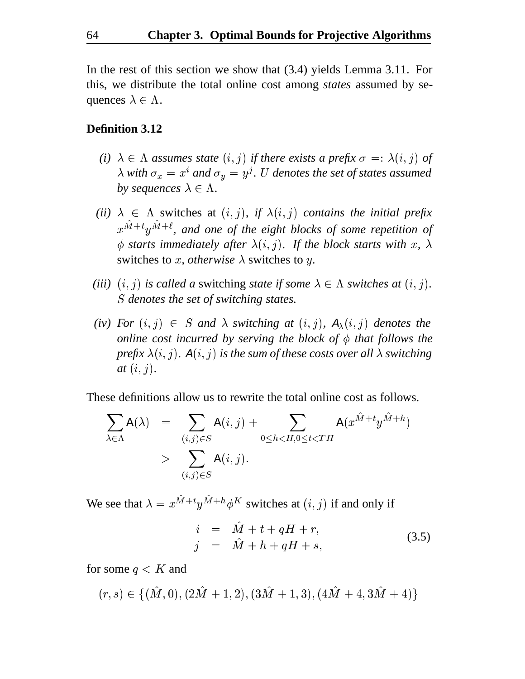In the rest of this section we show that (3.4) yields Lemma 3.11. For this, we distribute the total online cost among *states* assumed by sequences  $\lambda \in \Lambda$ .

#### **Definition 3.12**

- *(i)*  $\lambda \in \Lambda$  assumes state  $(i, j)$  if there exists a prefix  $\sigma =: \lambda(i, j)$  of  $\lambda$  with  $\sigma_x = x^i$  and  $\sigma_y = y^j$ . U denotes the set of states assumed *by sequences*  $\lambda \in \Lambda$ *.*
- (*ii*)  $\lambda \in \Lambda$  switches at  $(i, j)$ , if  $\lambda(i, j)$  contains the initial prefix  $x^{M+t}y^{M+\ell}$ , and one of the eight blocks of some repetition of  $\phi$  starts immediately after  $\lambda(i, j)$ . If the block starts with x,  $\lambda$ switches to *x*, *otherwise*  $\lambda$  switches to *y*.
- *(iii)*  $(i, j)$  is called a switching *state if some*  $\lambda \in \Lambda$  *switches at*  $(i, j)$ . *denotes the set of switching states.*
- $(iv)$  For  $(i, j) \in S$  and  $\lambda$  switching at  $(i, j)$ ,  $A_{\lambda}(i, j)$  denotes the *online cost incurred by serving the block of*  $\phi$  *that follows the prefix*  $\lambda(i, j)$ .  $A(i, j)$  *is the sum of these costs over all*  $\lambda$  *switching*  $at (i, j).$

These definitions allow us to rewrite the total online cost as follows.

$$
\sum_{\lambda \in \Lambda} A(\lambda) = \sum_{(i,j) \in S} A(i,j) + \sum_{0 \leq h < H, 0 \leq t < TH} A(x^{\hat{M} + t} y^{\hat{M} + h})
$$
\n
$$
> \sum_{(i,j) \in S} A(i,j).
$$

We see that  $\lambda = x^{M+t}y^{M+h}\phi^K$  switches at  $(i, j)$  if and only if

$$
\begin{array}{rcl}\ni & = & \hat{M} + t + qH + r, \\
j & = & \hat{M} + h + qH + s,\n\end{array} \tag{3.5}
$$

for some  $q \lt K$  and

 $(1, 3) \in \{101, 01, 1200 + 1, 21, 1000 + 1, 01, 1310 + 1, 0100 + 1, 0000 + 1, 0000 + 1, 0000 + 1, 0000 + 1, 0000 + 1, 0000 + 1, 0000 + 1, 0000 + 1, 0000 + 1, 0000 + 1, 0000 + 1, 0000 + 1, 0000 + 1, 0000 + 1, 0000 + 1, 0000 + 1, 0000 + 1, 0000$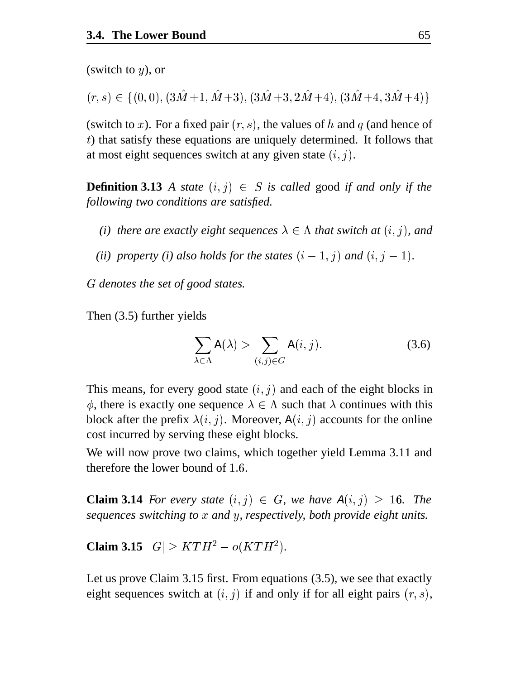(switch to  $y$ ), or

 $(r, s) \in \{ (0, 0), (3\hat{M}+1, \hat{M}+3), (3\hat{M}+3, 2\hat{M}+4), (3\hat{M}+4, 3\hat{M}+4) \}$ 

(switch to x). For a fixed pair  $(r, s)$ , the values of h and q (and hence of ) that satisfy these equations are uniquely determined. It follows that at most eight sequences switch at any given state  $(i, j)$ .

**Definition 3.13** A state  $(i, j) \in S$  is called good if and only if the *following two conditions are satisfied.*

- *(i) there are exactly eight sequences*  $\lambda \in \Lambda$  *that switch at*  $(i, j)$ *, and*
- (*ii*) property (*i*) also holds for the states  $(i-1, j)$  and  $(i, j-1)$ .

<sup>6</sup> *denotes the set of good states.*

Then (3.5) further yields

$$
\sum_{\lambda \in \Lambda} A(\lambda) > \sum_{(i,j) \in G} A(i,j).
$$
 (3.6)

This means, for every good state  $(i, j)$  and each of the eight blocks in  $\phi$ , there is exactly one sequence  $\lambda \in \Lambda$  such that  $\lambda$  continues with this block after the prefix  $\lambda(i, j)$ . Moreover,  $A(i, j)$  accounts for the online cost incurred by serving these eight blocks.

We will now prove two claims, which together yield Lemma 3.11 and therefore the lower bound of  $1.6$ .

**Claim 3.14** For every state  $(i, j) \in G$ , we have  $A(i, j) \geq 16$ . The *sequences switching to x* and *y*, *respectively, both provide eight units.* 

**Claim 3.15**  $|G| \geq KTH^2 - o(KTH^2)$ .

Let us prove Claim 3.15 first. From equations (3.5), we see that exactly eight sequences switch at  $(i, j)$  if and only if for all eight pairs  $(r, s)$ ,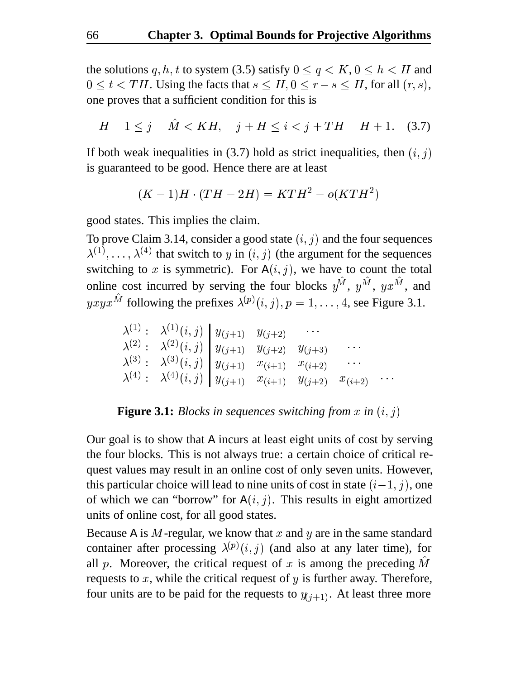the solutions q, h, t to system (3.5) satisfy  $0 \le q \lt K$ ,  $0 \le h \lt H$  and  $0 \le t < TH$ . Using the facts that  $s \le H, 0 \le r - s \le H$ , for all  $(r, s)$ , one proves that a sufficient condition for this is

$$
H - 1 \le j - \hat{M} < KH, \quad j + H \le i < j + TH - H + 1. \tag{3.7}
$$

If both weak inequalities in (3.7) hold as strict inequalities, then  $(i, j)$ is guaranteed to be good. Hence there are at least

$$
(K-1)H\cdot (TH-2H)=KTH^2-o(KTH^2)
$$

good states. This implies the claim.

To prove Claim 3.14, consider a good state  $(i, j)$  and the four sequences  $\lambda^{(1)}, \ldots, \lambda^{(4)}$  that switch to y in  $(i, j)$  (the argument for the sequences switching to x is symmetric). For  $A(i, j)$ , we have to count the total online cost incurred by serving the four blocks  $y^M$ ,  $y^M$ ,  $yx^M$ , and  $yxyx^M$  following the prefixes  $\lambda^{(p)}(i,j), p = 1, \ldots, 4$ , see Figure 3.1.

$$
\begin{array}{lllllllll} \lambda^{(1)}: & \lambda^{(1)}(i,j) & y_{(j+1)} & y_{(j+2)} & \cdots \\ \lambda^{(2)}: & \lambda^{(2)}(i,j) & y_{(j+1)} & y_{(j+2)} & y_{(j+3)} & \cdots \\ \lambda^{(3)}: & \lambda^{(3)}(i,j) & y_{(j+1)} & x_{(i+1)} & x_{(i+2)} & \cdots \\ \lambda^{(4)}: & \lambda^{(4)}(i,j) & y_{(j+1)} & x_{(i+1)} & y_{(j+2)} & x_{(i+2)} & \cdots \end{array}
$$

#### **Figure 3.1:** *Blocks in sequences switching from x in*  $(i, j)$

Our goal is to show that A incurs at least eight units of cost by serving the four blocks. This is not always true: a certain choice of critical request values may result in an online cost of only seven units. However, this particular choice will lead to nine units of cost in state  $(i-1, j)$ , one of which we can "borrow" for  $A(i, j)$ . This results in eight amortized units of online cost, for all good states.

Because A is M-regular, we know that x and y are in the same standard container after processing  $\lambda^{(p)}(i, j)$  (and also at any later time), for all p. Moreover, the critical request of x is among the preceding  $M$ requests to  $x$ , while the critical request of  $y$  is further away. Therefore, four units are to be paid for the requests to  $y_{(j+1)}$ . At least three more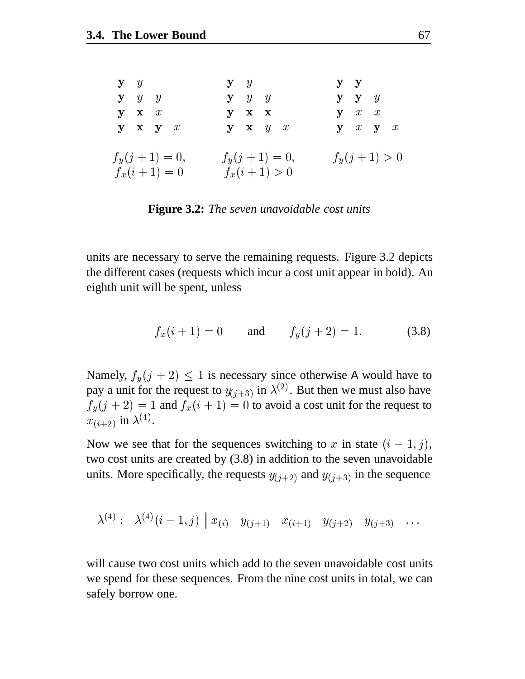| $y \quad y$                         | $y \quad y$                       | ${\bf y}$ ${\bf y}$ |
|-------------------------------------|-----------------------------------|---------------------|
| $y \quad y \quad y$                 | $y \quad y \quad y$               | $y \, y \, y$       |
| $y \mathbf{x} x$                    | $y \times x$                      | $y \quad x \quad x$ |
| $y \times y \times x$               | $y \times y \times x$             | $y \ x \ y \ x$     |
| $f_y(j+1) = 0,$<br>$f_x(i + 1) = 0$ | $f_y(j+1) = 0,$<br>$f_x(i+1) > 0$ | $f_y(j+1) > 0$      |

**Figure 3.2:** *The seven unavoidable cost units*

units are necessary to serve the remaining requests. Figure 3.2 depicts the different cases (requests which incur a cost unit appear in bold). An eighth unit will be spent, unless

$$
f_x(i + 1) = 0 \qquad \text{and} \qquad f_y(j + 2) = 1. \tag{3.8}
$$

Namely,  $f_y(j + 2) \le 1$  is necessary since otherwise A would have to pay a unit for the request to  $y_{(j+3)}$  in  $\lambda^{(2)}$ . But then we must also have  $f_y(j + 2) = 1$  and  $f_x(i + 1) = 0$  to avoid a cost unit for the request to  $x_{(i+2)}$  in  $\lambda^{(4)}$ .

Now we see that for the sequences switching to x in state  $(i - 1, j)$ , two cost units are created by (3.8) in addition to the seven unavoidable units. More specifically, the requests  $y_{(i+2)}$  and  $y_{(i+3)}$  in the sequence

$$
\lambda^{(4)}:\hspace{0.3cm} \lambda^{(4)}(i-1,j)\hspace{0.2cm} \left|\hspace{0.2cm} x_{(i)} \hspace{0.2cm} y_{(j+1)} \hspace{0.2cm} x_{(i+1)} \hspace{0.2cm} y_{(j+2)} \hspace{0.2cm} y_{(j+3)} \hspace{0.2cm} \ldots \hspace{0.2cm} \right.
$$

will cause two cost units which add to the seven unavoidable cost units we spend for these sequences. From the nine cost units in total, we can safely borrow one.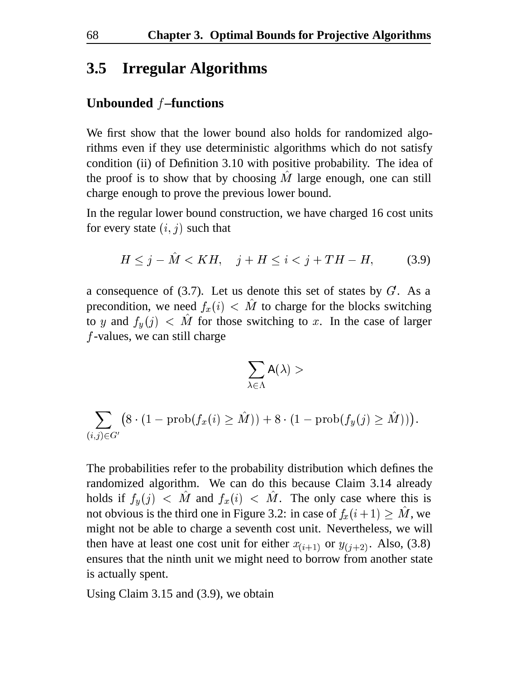#### **3.5 Irregular Algorithms**

#### **Unbounded –functions**

We first show that the lower bound also holds for randomized algorithms even if they use deterministic algorithms which do not satisfy condition (ii) of Definition 3.10 with positive probability. The idea of the proof is to show that by choosing  $M$  large enough, one can still charge enough to prove the previous lower bound.

In the regular lower bound construction, we have charged 16 cost units for every state  $(i, j)$  such that

$$
H \leq j - \hat{M} < KH, \quad j + H \leq i < j + TH - H,\tag{3.9}
$$

a consequence of  $(3.7)$ . Let us denote this set of states by  $G$ . As a precondition, we need  $f_x(i) < M$  to charge for the blocks switching to y and  $f_y(j)$  < M for those switching to x. In the case of larger  $f$ -values, we can still charge

$$
\sum_{\lambda\in\Lambda}\mathtt{A}(\lambda) >
$$

$$
\sum_{(i,j) \in G'} \bigl(8\cdot(1-\operatorname{prob}(f_x(i)\geq \hat{M})) + 8\cdot(1-\operatorname{prob}(f_y(j)\geq \hat{M}))\bigr).
$$

The probabilities refer to the probability distribution which defines the randomized algorithm. We can do this because Claim 3.14 already holds if  $f_y(j)$  < M and  $f_x(i)$  < M. The only case where this is not obvious is the third one in Figure 3.2: in case of  $f_x(i+1) \geq M$ , we might not be able to charge a seventh cost unit. Nevertheless, we will then have at least one cost unit for either  $x_{(i+1)}$  or  $y_{(i+2)}$ . Also, (3.8) ensures that the ninth unit we might need to borrow from another state is actually spent.

Using Claim 3.15 and (3.9), we obtain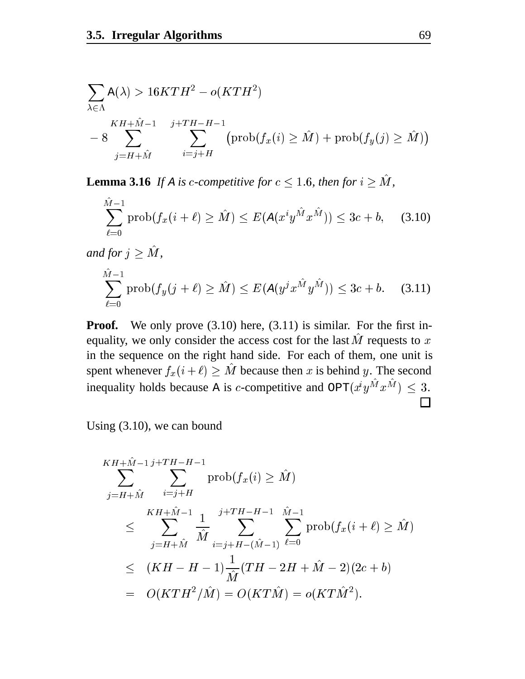$$
\sum_{\lambda \in \Lambda} A(\lambda) > 16KTH^2 - o(KTH^2)
$$
  

$$
= 8 \sum_{j=H+\hat{M}}^{KH+\hat{M}-1} \sum_{i=j+H}^{j+TH-H-1} (\text{prob}(f_x(i) \ge \hat{M}) + \text{prob}(f_y(j) \ge \hat{M}))
$$

**Lemma 3.16** If A is c-competitive for  $c \leq 1.6$ , then for  $i \geq M$ ,

$$
\sum_{\ell=0}^{\hat{M}-1} \text{prob}(f_x(i+\ell) \ge \hat{M}) \le E(A(x^i y^{\hat{M}} x^{\hat{M}})) \le 3c + b,\quad (3.10)
$$

and for  $j \geq \tilde{M}$ ,

$$
\sum_{\ell=0}^{\hat{M}-1} \text{prob}(f_y(j+\ell) \ge \hat{M}) \le E(A(y^j x^{\hat{M}} y^{\hat{M}})) \le 3c + b. \quad (3.11)
$$

**Proof.** We only prove (3.10) here, (3.11) is similar. For the first inequality, we only consider the access cost for the last  $\dot{M}$  requests to  $x$ in the sequence on the right hand side. For each of them, one unit is spent whenever  $f_x(i+\ell) \geq M$  because then x is behind y. The second inequality holds because A is c-competitive and  $\text{OPT}(x^t y^M x^M) \leq 3$ .  $\Box$ 

Using (3.10), we can bound

$$
KH + \hat{M} - 1 j + TH - H - 1
$$
  
\n
$$
\sum_{j=H+\hat{M}}^{K} \sum_{i=j+H}^{K+H-1} \text{prob}(f_x(i) \geq \hat{M})
$$
  
\n
$$
\leq \sum_{j=H+\hat{M}}^{K+1} \frac{1}{\hat{M}} \sum_{i=j+H-(\hat{M}-1)}^{j+TH-H-1} \sum_{\ell=0}^{\hat{M}-1} \text{prob}(f_x(i+\ell) \geq \hat{M})
$$
  
\n
$$
\leq (KH - H - 1) \frac{1}{\hat{M}} (TH - 2H + \hat{M} - 2)(2c + b)
$$
  
\n
$$
= O(KTH^2/\hat{M}) = O(KT\hat{M}) = o(KT\hat{M}^2).
$$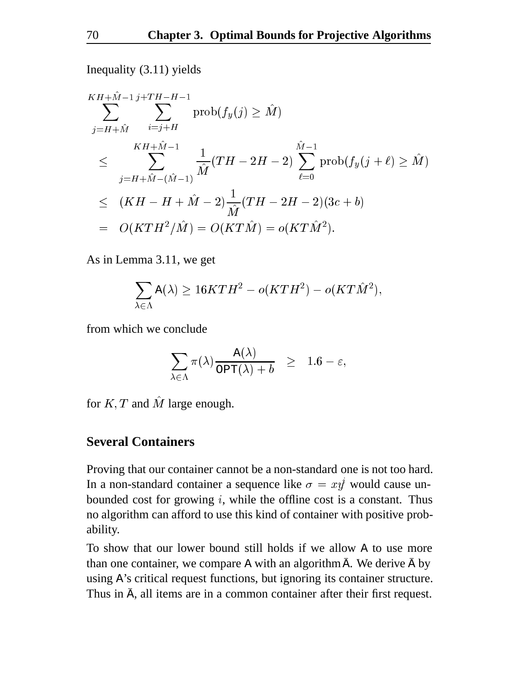Inequality (3.11) yields

$$
KH + \hat{M} - 1 j + TH - H - 1
$$
  
\n
$$
\sum_{j=H+\hat{M}}^{K} \sum_{i=j+H}^{i=j+H} \text{prob}(f_y(j) \geq \hat{M})
$$
  
\n
$$
\leq \sum_{j=H+\hat{M} - (\hat{M}-1)}^{K+ \hat{M} - 1} \frac{1}{\hat{M}} (TH - 2H - 2) \sum_{\ell=0}^{\hat{M} - 1} \text{prob}(f_y(j+\ell) \geq \hat{M})
$$
  
\n
$$
\leq (KH - H + \hat{M} - 2) \frac{1}{\hat{M}} (TH - 2H - 2)(3c + b)
$$
  
\n
$$
= O(KTH^2/\hat{M}) = O(KT\hat{M}) = o(KT\hat{M}^2).
$$

As in Lemma 3.11, we get

$$
\sum_{\lambda\in\Lambda}\mathrm{A}(\lambda)\geq 16KTH^2-o(KTH^2)-o(KT\hat M^2),
$$

from which we conclude

$$
\sum_{\lambda \in \Lambda} \pi(\lambda) \frac{\mathrm A(\lambda)}{\mathrm{OPT}(\lambda)+b} \quad \geq \quad 1.6-\varepsilon,
$$

for  $K, T$  and M large enough.

#### **Several Containers**

Proving that our container cannot be a non-standard one is not too hard. In a non-standard container a sequence like  $\sigma = xy$  would cause unbounded cost for growing  $i$ , while the offline cost is a constant. Thus no algorithm can afford to use this kind of container with positive probability.

To show that our lower bound still holds if we allow A to use more than one container, we compare A with an algorithm  $\bar{A}$ . We derive  $\bar{A}$  by using A's critical request functions, but ignoring its container structure. Thus in  $\bar{A}$ , all items are in a common container after their first request.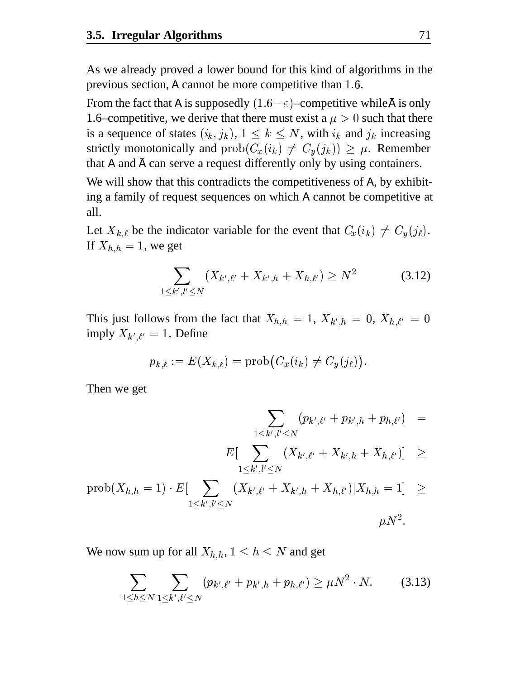As we already proved a lower bound for this kind of algorithms in the previous section,  $\bar{A}$  cannot be more competitive than 1.6.

From the fact that A is supposedly  $(1.6 - \varepsilon)$ –competitive while  $\bar{\mathsf{A}}$  is only 1.6–competitive, we derive that there must exist a  $\mu > 0$  such that there is a sequence of states  $(i_k, j_k)$ ,  $1 \leq k \leq N$ , with  $i_k$  and  $j_k$  increasing strictly monotonically and  $prob(C_x(i_k) \neq C_y(j_k)) \geq \mu$ . Remember that A and  $\bar{A}$  can serve a request differently only by using containers.

We will show that this contradicts the competitiveness of A, by exhibiting a family of request sequences on which A cannot be competitive at all.

Let  $X_{k,\ell}$  be the indicator variable for the event that  $C_x(i_k) \neq C_y(j_\ell)$ . If  $X_{h,h} = 1$ , we get

$$
\sum_{1 \le k', l' \le N} (X_{k',\ell'} + X_{k',h} + X_{h,\ell'}) \ge N^2 \tag{3.12}
$$

This just follows from the fact that  $X_{h,h} = 1$ ,  $X_{k',h} = 0$ ,  $X_{h,\ell'} = 0$ imply  $X_{k',\ell'} = 1$ . Define

$$
p_{k,\ell}:=E(X_{k,\ell})=\text{prob}\big(C_x(i_k)\neq C_y(j_\ell)\big).
$$

Then we get

$$
\sum_{1\leq k',l'\leq N}(p_{k',\ell'}+p_{k',h}+p_{h,\ell'})\quad = \\ E[\sum_{1\leq k',l'\leq N}(X_{k',\ell'}+X_{k',h}+X_{h,\ell'})]\quad \geq \\ j,k=1)\cdot E[\quad \sum\quad (X_{k',\ell'}+X_{k',h}+X_{h,\ell'})|X_{h,h}=1]\quad \geq
$$

$$
\text{prob}(X_{h,h} = 1) \cdot E[\sum_{1 \le k', l' \le N} (X_{k',\ell'} + X_{k',h} + X_{h,\ell'}) | X_{h,h} = 1] \ge
$$
  

$$
\mu N^2.
$$

We now sum up for all  $X_{h,h}$ ,  $1 \leq h \leq N$  and get

$$
\sum_{1 \le h \le N} \sum_{1 \le k', \ell' \le N} (p_{k',\ell'} + p_{k',h} + p_{h,\ell'}) \ge \mu N^2 \cdot N. \tag{3.13}
$$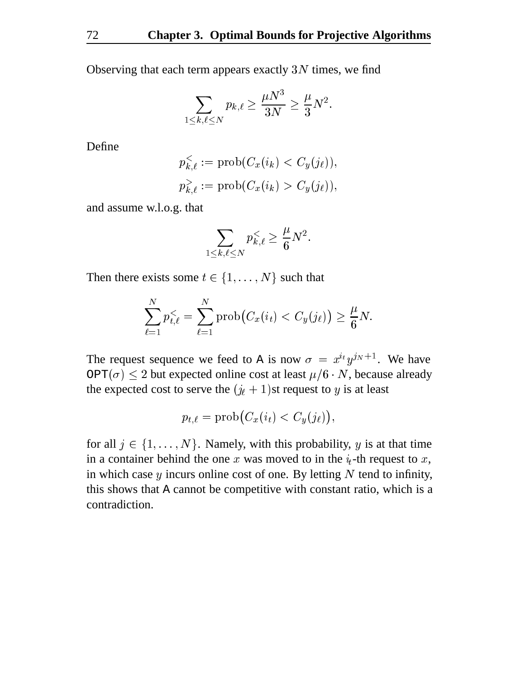Observing that each term appears exactly  $3N$  times, we find

$$
\sum_{1\leq k,\ell\leq N}p_{k,\ell}\geq \frac{\mu N^3}{3N}\geq \frac{\mu}{3}N^2.
$$

Define

$$
p_{k,\ell}^{\leq} := \text{prob}(C_x(i_k) < C_y(j_\ell)),
$$
\n
$$
p_{k,\ell}^{\geq} := \text{prob}(C_x(i_k) > C_y(j_\ell)),
$$

and assume w.l.o.g. that

$$
\sum_{1\leq k,\ell\leq N}p_{k,\ell}^< \geq \frac{\mu}{6}N^2.
$$

Then there exists some  $t \in \{1, \ldots, N\}$  such that

$$
\sum_{\ell=1}^N p_{t,\ell}^< = \sum_{\ell=1}^N \operatorname{prob}\bigl(C_x(i_t) < C_y(j_\ell)\bigr) \geq \frac{\mu}{6}N.
$$

The request sequence we feed to A is now  $\sigma = x^{i} y^{j} y^{j+1}$ . We have OPT $(\sigma) \leq 2$  but expected online cost at least  $\mu/6 \cdot N$ , because already the expected cost to serve the  $(j_{\ell} + 1)$ st request to y is at least

$$
p_{t,\ell} = \operatorname{prob}\bigl(C_x(i_t) < C_y(j_\ell)\bigr),
$$

for all  $j \in \{1, \ldots, N\}$ . Namely, with this probability, y is at that time in a container behind the one x was moved to in the  $i_t$ -th request to x, in which case  $y$  incurs online cost of one. By letting  $N$  tend to infinity, this shows that A cannot be competitive with constant ratio, which is a contradiction.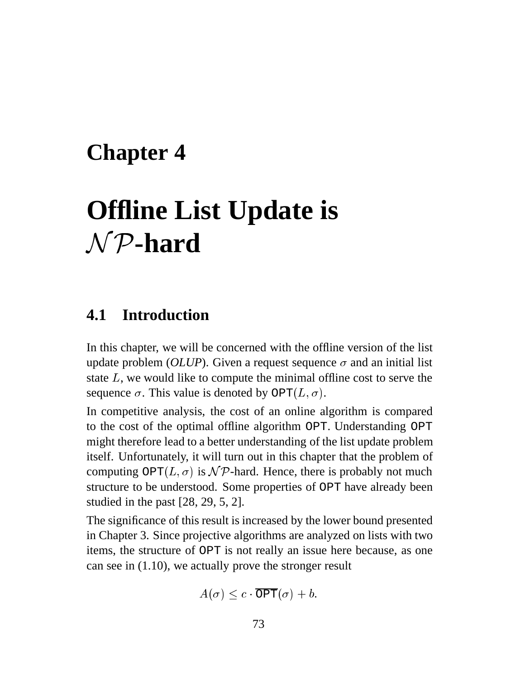## **Chapter 4**

# **Offline List Update is**  $\cal NP$ -hard

### **4.1 Introduction**

In this chapter, we will be concerned with the offline version of the list update problem (*OLUP*). Given a request sequence  $\sigma$  and an initial list state  $L$ , we would like to compute the minimal offline cost to serve the sequence  $\sigma$ . This value is denoted by OPT $(L, \sigma)$ .

In competitive analysis, the cost of an online algorithm is compared to the cost of the optimal offline algorithm OPT. Understanding OPT might therefore lead to a better understanding of the list update problem itself. Unfortunately, it will turn out in this chapter that the problem of computing  $\text{OPT}(L, \sigma)$  is  $\mathcal{NP}$ -hard. Hence, there is probably not much structure to be understood. Some properties of OPT have already been studied in the past [28, 29, 5, 2].

The significance of this result is increased by the lower bound presented in Chapter 3. Since projective algorithms are analyzed on lists with two items, the structure of OPT is not really an issue here because, as one can see in (1.10), we actually prove the stronger result

$$
A(\sigma) \leq c \cdot \overline{\texttt{OPT}}(\sigma) + b.
$$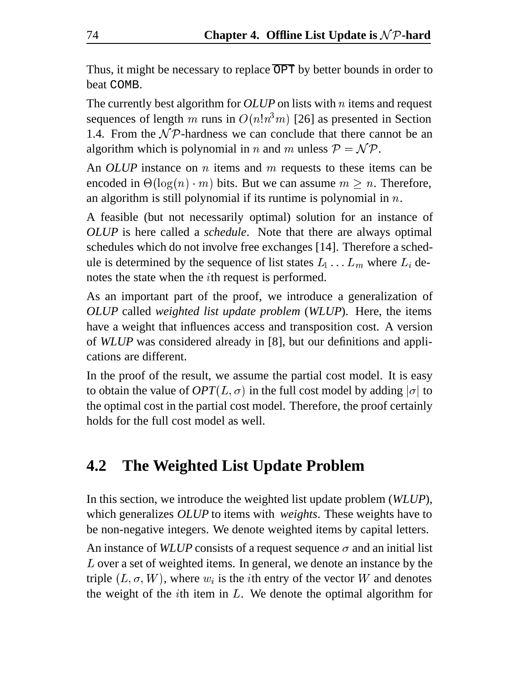Thus, it might be necessary to replace  $\overline{OPT}$  by better bounds in order to beat COMB.

The currently best algorithm for *OLUP* on lists with *n* items and request sequences of length m runs in  $O(n!n^3m)$  [26] as presented in Section 1.4. From the  $\mathcal{NP}$ -hardness we can conclude that there cannot be an algorithm which is polynomial in *n* and *m* unless  $P = \mathcal{NP}$ .

An *OLUP* instance on *n* items and *m* requests to these items can be encoded in  $\Theta(\log(n) \cdot m)$  bits. But we can assume  $m > n$ . Therefore, an algorithm is still polynomial if its runtime is polynomial in  $n$ .

A feasible (but not necessarily optimal) solution for an instance of *OLUP* is here called a *schedule*. Note that there are always optimal schedules which do not involve free exchanges [14]. Therefore a schedule is determined by the sequence of list states  $L_1 \ldots L_m$  where  $L_i$  denotes the state when the *i*th request is performed.

As an important part of the proof, we introduce a generalization of *OLUP* called *weighted list update problem* (*WLUP*). Here, the items have a weight that influences access and transposition cost. A version of *WLUP* was considered already in [8], but our definitions and applications are different.

In the proof of the result, we assume the partial cost model. It is easy to obtain the value of  $OPT(L, \sigma)$  in the full cost model by adding  $|\sigma|$  to the optimal cost in the partial cost model. Therefore, the proof certainly holds for the full cost model as well.

### **4.2 The Weighted List Update Problem**

In this section, we introduce the weighted list update problem (*WLUP*), which generalizes *OLUP* to items with *weights*. These weights have to be non-negative integers. We denote weighted items by capital letters.

An instance of *WLUP* consists of a request sequence  $\sigma$  and an initial list  $L$  over a set of weighted items. In general, we denote an instance by the triple  $(L, \sigma, W)$ , where  $w_i$  is the *i*th entry of the vector W and denotes the weight of the *i*th item in  $L$ . We denote the optimal algorithm for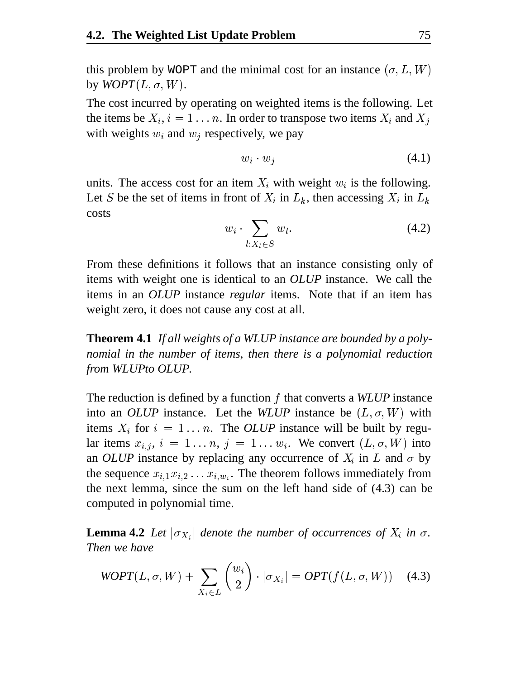this problem by WOPT and the minimal cost for an instance  $(\sigma, L, W)$ by  $WOPT(L, \sigma, W)$ .

The cost incurred by operating on weighted items is the following. Let the items be  $X_i$ ,  $i = 1 \dots n$ . In order to transpose two items  $X_i$  and  $X_j$ with weights  $w_i$  and  $w_j$  respectively, we pay

$$
w_i \cdot w_j \tag{4.1}
$$

units. The access cost for an item  $X_i$  with weight  $w_i$  is the following. Let S be the set of items in front of  $X_i$  in  $L_k$ , then accessing  $X_i$  in  $L_k$ costs

$$
w_i \cdot \sum_{l:X_l \in S} w_l. \tag{4.2}
$$

From these definitions it follows that an instance consisting only of items with weight one is identical to an *OLUP* instance. We call the items in an *OLUP* instance *regular* items. Note that if an item has weight zero, it does not cause any cost at all.

**Theorem 4.1** *If all weights of a WLUP instance are bounded by a polynomial in the number of items, then there is a polynomial reduction from WLUPto OLUP.*

The reduction is defined by a function f that converts a *WLUP* instance into an *OLUP* instance. Let the *WLUP* instance be  $(L, \sigma, W)$  with items  $X_i$  for  $i = 1...n$ . The *OLUP* instance will be built by regular items  $x_{i,j}$ ,  $i = 1...n$ ,  $j = 1...w_i$ . We convert  $(L, \sigma, W)$  into an *OLUP* instance by replacing any occurrence of  $X_i$  in  $L$  and  $\sigma$  by the sequence  $x_{i,1}x_{i,2} \ldots x_{i,w_i}$ . The theorem follows immediately from the next lemma, since the sum on the left hand side of (4.3) can be computed in polynomial time.

**Lemma 4.2** Let  $|\sigma_{X_i}|$  denote the number of occurrences of  $X_i$  in  $\sigma$ . *Then we have*

$$
WOPT(L, \sigma, W) + \sum_{X_i \in L} \binom{w_i}{2} \cdot |\sigma_{X_i}| = OPT(f(L, \sigma, W)) \quad (4.3)
$$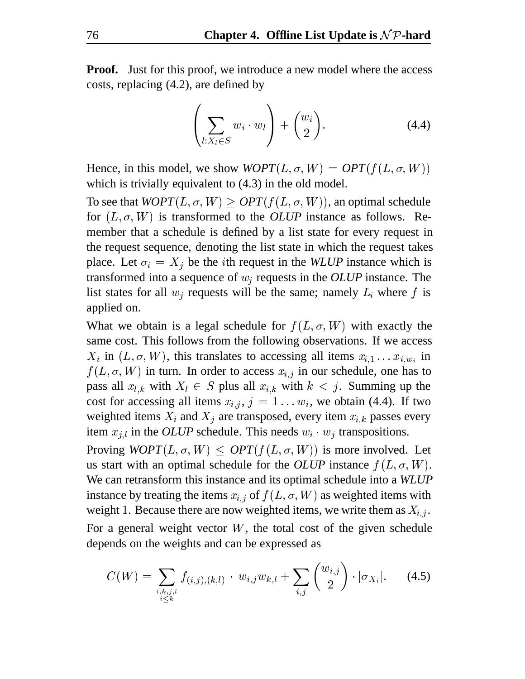**Proof.** Just for this proof, we introduce a new model where the access costs, replacing (4.2), are defined by

$$
\left(\sum_{l:X_l\in S} w_i \cdot w_l\right) + \binom{w_i}{2}.
$$
\n(4.4)

Hence, in this model, we show  $WOPT(L, \sigma, W) = OPT(f(L, \sigma, W))$ which is trivially equivalent to  $(4.3)$  in the old model.

To see that  $WOPT(L, \sigma, W) \geq OPT(f(L, \sigma, W))$ , an optimal schedule for  $(L, \sigma, W)$  is transformed to the *OLUP* instance as follows. Remember that a schedule is defined by a list state for every request in the request sequence, denoting the list state in which the request takes place. Let  $\sigma_i = X_i$  be the *i*th request in the *WLUP* instance which is transformed into a sequence of  $w_i$  requests in the *OLUP* instance. The list states for all  $w_i$  requests will be the same; namely  $L_i$  where f is applied on.

What we obtain is a legal schedule for  $f(L, \sigma, W)$  with exactly the same cost. This follows from the following observations. If we access  $X_i$  in  $(L, \sigma, W)$ , this translates to accessing all items  $x_{i,1} \ldots x_{i,w_i}$  in  $f(L, \sigma, W)$  in turn. In order to access  $x_{i,j}$  in our schedule, one has to pass all  $x_{l,k}$  with  $X_l \in S$  plus all  $x_{i,k}$  with  $k < j$ . Summing up the cost for accessing all items  $x_{i,j}$ ,  $j = 1...w_i$ , we obtain (4.4). If two weighted items  $X_i$  and  $X_j$  are transposed, every item  $x_{i,k}$  passes every item  $x_{i,l}$  in the *OLUP* schedule. This needs  $w_i \cdot w_j$  transpositions.

Proving  $WOPT(L, \sigma, W) \leq OPT(f(L, \sigma, W))$  is more involved. Let us start with an optimal schedule for the *OLUP* instance  $f(L, \sigma, W)$ . We can retransform this instance and its optimal schedule into a *WLUP* instance by treating the items  $x_{i,j}$  of  $f(L, \sigma, W)$  as weighted items with weight 1. Because there are now weighted items, we write them as  $X_{i,j}$ . For a general weight vector  $W$ , the total cost of the given schedule

depends on the weights and can be expressed as

$$
C(W) = \sum_{\substack{i,k,j,l \ i \leq k}} f_{(i,j),(k,l)} \cdot w_{i,j} w_{k,l} + \sum_{i,j} {w_{i,j} \choose 2} \cdot |\sigma_{X_i}|. \tag{4.5}
$$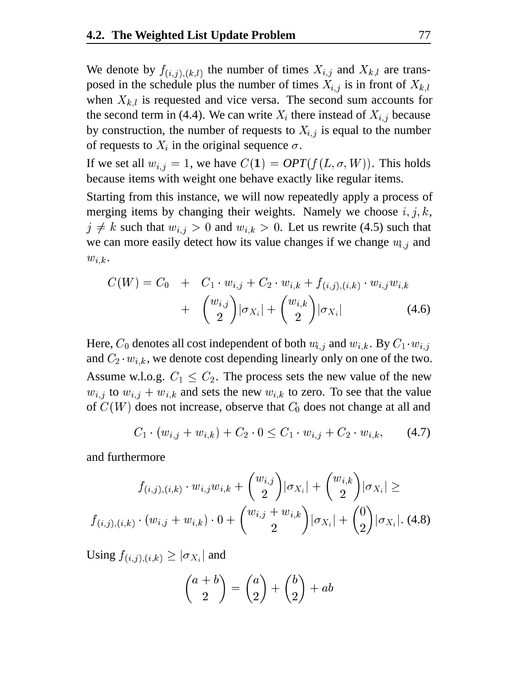We denote by  $f_{(i,j),(k,l)}$  the number of times  $X_{i,j}$  and  $X_{k,l}$  are transposed in the schedule plus the number of times  $X_{i,j}$  is in front of  $X_{k,l}$ when  $X_{k,l}$  is requested and vice versa. The second sum accounts for the second term in (4.4). We can write  $X_i$  there instead of  $X_{i,j}$  because by construction, the number of requests to  $X_{i,j}$  is equal to the number of requests to  $X_i$  in the original sequence  $\sigma$ .

If we set all  $w_{i,j} = 1$ , we have  $C(1) = OPT(f(L, \sigma, W))$ . This holds because items with weight one behave exactly like regular items.

Starting from this instance, we will now repeatedly apply a process of merging items by changing their weights. Namely we choose  $i, j, k$ ,  $j \neq k$  such that  $w_{i,j} > 0$  and  $w_{i,k} > 0$ . Let us rewrite (4.5) such that we can more easily detect how its value changes if we change  $w_{i,j}$  and  $w_{i,k}$ .

$$
C(W) = C_0 + C_1 \cdot w_{i,j} + C_2 \cdot w_{i,k} + f_{(i,j),(i,k)} \cdot w_{i,j} w_{i,k} + \binom{w_{i,j}}{2} |\sigma_{X_i}| + \binom{w_{i,k}}{2} |\sigma_{X_i}| \qquad (4.6)
$$

Here,  $C_0$  denotes all cost independent of both  $w_{i,j}$  and  $w_{i,k}$ . By  $C_1 \cdot w_{i,j}$ and  $C_2 \cdot w_{i,k}$ , we denote cost depending linearly only on one of the two. Assume w.l.o.g.  $C_1 \leq C_2$ . The process sets the new value of the new  $w_{i,j}$  to  $w_{i,j} + w_{i,k}$  and sets the new  $w_{i,k}$  to zero. To see that the value of  $C(W)$  does not increase, observe that  $C_0$  does not change at all and

$$
C_1 \cdot (w_{i,j} + w_{i,k}) + C_2 \cdot 0 \le C_1 \cdot w_{i,j} + C_2 \cdot w_{i,k}, \qquad (4.7)
$$

and furthermore

$$
f_{(i,j),(i,k)} \cdot w_{i,j} w_{i,k} + \binom{w_{i,j}}{2} |\sigma_{X_i}| + \binom{w_{i,k}}{2} |\sigma_{X_i}| \ge
$$
  

$$
f_{(i,j),(i,k)} \cdot (w_{i,j} + w_{i,k}) \cdot 0 + \binom{w_{i,j} + w_{i,k}}{2} |\sigma_{X_i}| + \binom{0}{2} |\sigma_{X_i}|. \tag{4.8}
$$

Using  $f_{(i,j),(i,k)} \geq |\sigma_{X_i}|$  and

$$
\binom{a+b}{2} = \binom{a}{2} + \binom{b}{2} + ab
$$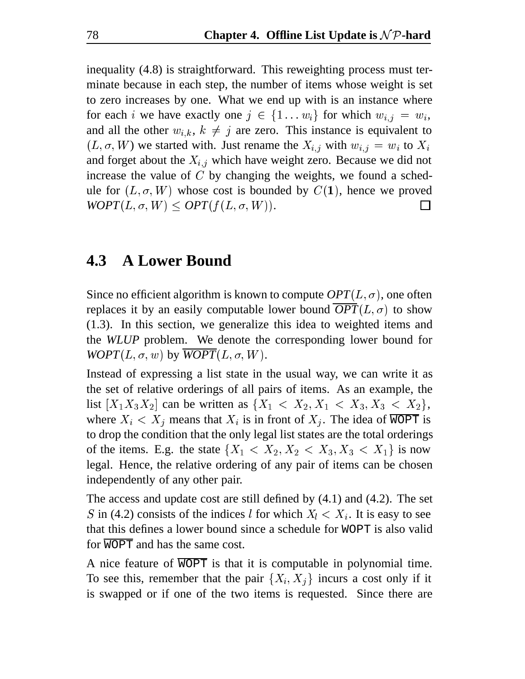inequality (4.8) is straightforward. This reweighting process must terminate because in each step, the number of items whose weight is set to zero increases by one. What we end up with is an instance where for each *i* we have exactly one  $j \in \{1 \dots w_i\}$  for which  $w_{i,j} = w_i$ , and all the other  $w_{i,k}$ ,  $k \neq j$  are zero. This instance is equivalent to  $(L, \sigma, W)$  we started with. Just rename the  $X_{i,j}$  with  $w_{i,j} = w_i$  to  $X_i$ and forget about the  $X_{i,j}$  which have weight zero. Because we did not increase the value of  $C$  by changing the weights, we found a schedule for  $(L, \sigma, W)$  whose cost is bounded by  $C(1)$ , hence we proved  $WOPT(L, \sigma, W) \leq OPT(f(L, \sigma, W)).$  $\mathsf{L}$ 

### **4.3 A Lower Bound**

Since no efficient algorithm is known to compute  $OPT(L, \sigma)$ , one often replaces it by an easily computable lower bound  $OPT(L, \sigma)$  to show (1.3). In this section, we generalize this idea to weighted items and the *WLUP* problem. We denote the corresponding lower bound for  $WOPT(L, \sigma, w)$  by  $\overline{WOPT}(L, \sigma, W)$ .

Instead of expressing a list state in the usual way, we can write it as the set of relative orderings of all pairs of items. As an example, the list  $[X_1X_3X_2]$  can be written as  $\{X_1 \, \langle X_2, X_1 \, \langle X_3, X_3 \, \langle X_2 \rangle\}$ , where  $X_i < X_j$  means that  $X_i$  is in front of  $X_j$ . The idea of WOPT is to drop the condition that the only legal list states are the total orderings of the items. E.g. the state  $\{X_1 < X_2, X_2 < X_3, X_3 < X_1\}$  is now legal. Hence, the relative ordering of any pair of items can be chosen independently of any other pair.

The access and update cost are still defined by (4.1) and (4.2). The set S in (4.2) consists of the indices *l* for which  $X_l < X_i$ . It is easy to see that this defines a lower bound since a schedule for WOPT is also valid for WOPT and has the same cost.

A nice feature of  $\overline{WOPT}$  is that it is computable in polynomial time. To see this, remember that the pair  $\{X_i, X_j\}$  incurs a cost only if it is swapped or if one of the two items is requested. Since there are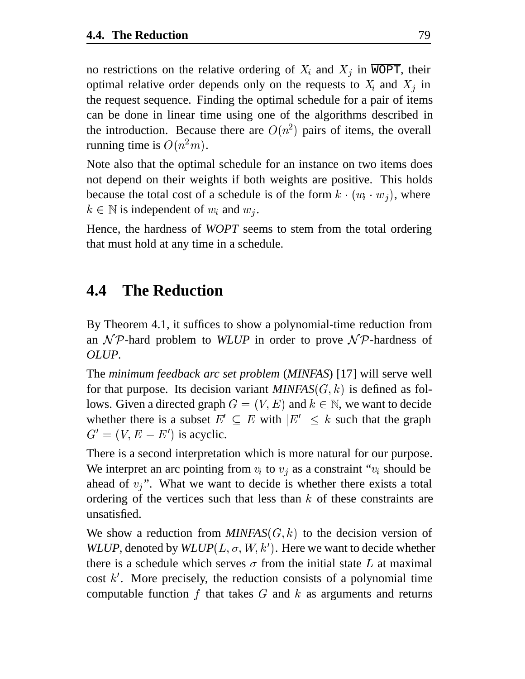no restrictions on the relative ordering of  $X_i$  and  $X_j$  in WOPT, their optimal relative order depends only on the requests to  $X_i$  and  $X_j$  in the request sequence. Finding the optimal schedule for a pair of items can be done in linear time using one of the algorithms described in the introduction. Because there are  $O(n^2)$  pairs of items, the overall running time is  $O(n^2m)$ .

Note also that the optimal schedule for an instance on two items does not depend on their weights if both weights are positive. This holds because the total cost of a schedule is of the form  $k \cdot (w_i \cdot w_j)$ , where  $k \in \mathbb{N}$  is independent of  $w_i$  and  $w_j$ .

Hence, the hardness of *WOPT* seems to stem from the total ordering that must hold at any time in a schedule.

### **4.4 The Reduction**

By Theorem 4.1, it suffices to show a polynomial-time reduction from an  $\mathcal N\mathcal P$ -hard problem to *WLUP* in order to prove  $\mathcal N\mathcal P$ -hardness of *OLUP*.

The *minimum feedback arc set problem* (*MINFAS*) [17] will serve well for that purpose. Its decision variant  $MINFAS(G, k)$  is defined as follows. Given a directed graph  $G = (V, E)$  and  $k \in \mathbb{N}$ , we want to decide whether there is a subset  $E' \subset E$  with  $|E'| \leq k$  such that the graph  $G' = (V, E - E')$  is acyclic.

There is a second interpretation which is more natural for our purpose. We interpret an arc pointing from  $v_i$  to  $v_j$  as a constraint " $v_i$  should be ahead of  $v_j$ ". What we want to decide is whether there exists a total ordering of the vertices such that less than  $k$  of these constraints are unsatisfied.

We show a reduction from  $MINFAS(G, k)$  to the decision version of *WLUP*, denoted by  $W \text{\textit{LUP}}(L, \sigma, W, k')$ . Here we want to decide whether there is a schedule which serves  $\sigma$  from the initial state L at maximal cost  $k'$ . More precisely, the reduction consists of a polynomial time computable function f that takes  $G$  and  $k$  as arguments and returns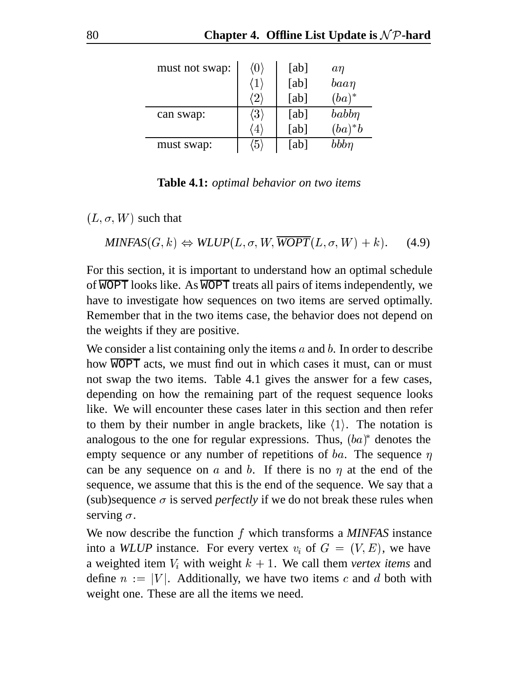| must not swap: | $\langle 0 \rangle$ | [ab] | $a\eta$    |
|----------------|---------------------|------|------------|
|                | $\mathbf{1}$        | [ab] | $baa\eta$  |
|                | '2,                 | [ab] | $(ba)^*$   |
| can swap:      | $\langle 3\rangle$  | [ab] | $babb\eta$ |
|                | $\overline{4}$      | [ab] | $(ba)^*b$  |
| must swap:     | $\sqrt[6]{5}$       | [ab] | bbbn       |

**Table 4.1:** *optimal behavior on two items*

 $(L, \sigma, W)$  such that

 $MINFAS(G, k) \Leftrightarrow WLUP(L, \sigma, W, \overline{WOPT}(L, \sigma, W) + k)$ . (4.9)

For this section, it is important to understand how an optimal schedule of  $\overline{WOPT}$  looks like. As  $\overline{WOPT}$  treats all pairs of items independently, we have to investigate how sequences on two items are served optimally. Remember that in the two items case, the behavior does not depend on the weights if they are positive.

We consider a list containing only the items  $a$  and  $b$ . In order to describe how  $\overline{WOPT}$  acts, we must find out in which cases it must, can or must not swap the two items. Table 4.1 gives the answer for a few cases, depending on how the remaining part of the request sequence looks like. We will encounter these cases later in this section and then refer to them by their number in angle brackets, like  $\langle 1 \rangle$ . The notation is analogous to the one for regular expressions. Thus,  $(ba)^*$  denotes the empty sequence or any number of repetitions of ba. The sequence  $\eta$ can be any sequence on  $\alpha$  and  $\beta$ . If there is no  $\eta$  at the end of the sequence, we assume that this is the end of the sequence. We say that a (sub)sequence  $\sigma$  is served *perfectly* if we do not break these rules when serving  $\sigma$ .

We now describe the function f which transforms a *MINFAS* instance into a *WLUP* instance. For every vertex  $v_i$  of  $G = (V, E)$ , we have a weighted item  $V_i$  with weight  $k + 1$ . We call them *vertex items* and define  $n := |V|$ . Additionally, we have two items c and d both with weight one. These are all the items we need.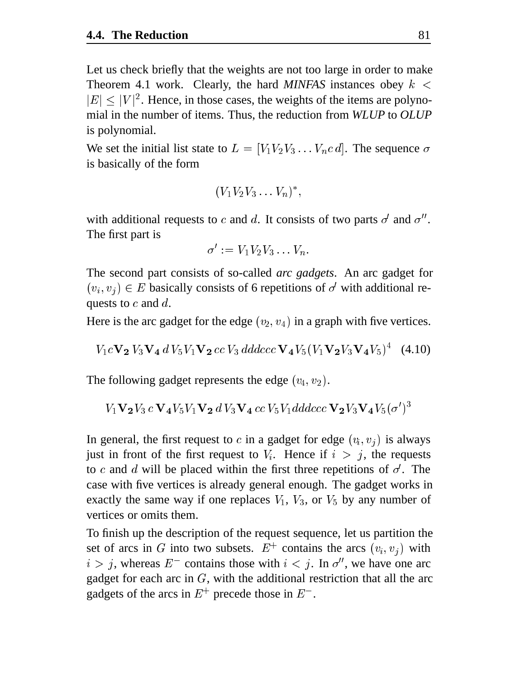Let us check briefly that the weights are not too large in order to make Theorem 4.1 work. Clearly, the hard *MINFAS* instances obey  $k <$  $|E| \leq |V|^2$ . Hence, in those cases, the weights of the items are polynomial in the number of items. Thus, the reduction from *WLUP* to *OLUP* is polynomial.

We set the initial list state to  $L = [V_1 V_2 V_3 \dots V_n c d]$ . The sequence  $\sigma$ is basically of the form

$$
(V_1V_2V_3\ldots V_n)^*,
$$

with additional requests to c and d. It consists of two parts  $\sigma'$  and  $\sigma''$ . The first part is

$$
\sigma' := V_1 V_2 V_3 \ldots V_n.
$$

The second part consists of so-called *arc gadgets*. An arc gadget for  $(v_i, v_j) \in E$  basically consists of 6 repetitions of  $\sigma'$  with additional requests to  $c$  and  $d$ .

Here is the arc gadget for the edge  $(v_2, v_4)$  in a graph with five vertices.

$$
V_1c\mathbf{V_2}V_3\mathbf{V_4} dV_5V_1\mathbf{V_2} ccV_3 dddccc\mathbf{V_4}V_5(V_1\mathbf{V_2}V_3\mathbf{V_4}V_5)^4
$$
 (4.10)

The following gadget represents the edge  $(v_4, v_2)$ .

$$
V_1\mathbf{V_2}V_3\,c\,\mathbf{V_4}V_5V_1\mathbf{V_2}\,d\,V_3\mathbf{V_4}\,cc\,V_5V_1dddccc\,\mathbf{V_2}V_3\mathbf{V_4}V_5(\sigma')^3\\
$$

In general, the first request to c in a gadget for edge  $(v_i, v_j)$  is always just in front of the first request to  $V_i$ . Hence if  $i > j$ , the requests to c and d will be placed within the first three repetitions of  $\sigma'$ . The case with five vertices is already general enough. The gadget works in exactly the same way if one replaces  $V_1$ ,  $V_3$ , or  $V_5$  by any number of vertices or omits them.

To finish up the description of the request sequence, let us partition the set of arcs in G into two subsets.  $E^+$  contains the arcs  $(v_i, v_j)$  with  $i > j$ , whereas  $E^-$  contains those with  $i < j$ . In  $\sigma''$ , we have one arc gadget for each arc in  $G$ , with the additional restriction that all the arc gadgets of the arcs in  $E^+$  precede those in  $E^-$ .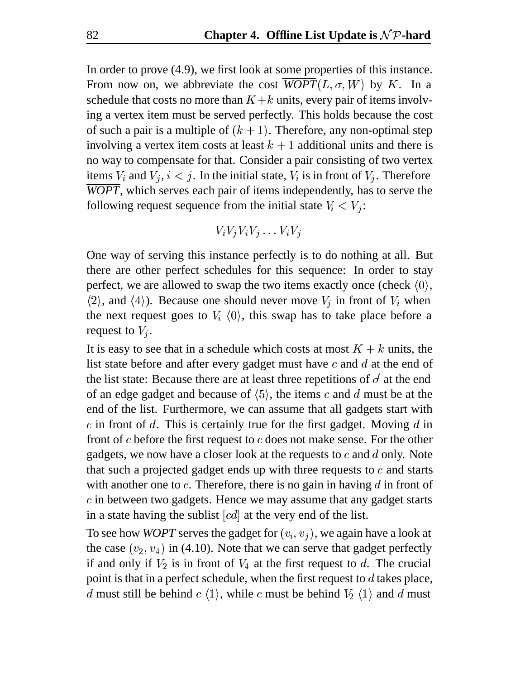In order to prove (4.9), we first look at some properties of this instance. From now on, we abbreviate the cost  $\overline{WOPT}(L, \sigma, W)$  by K. In a schedule that costs no more than  $K + k$  units, every pair of items involving a vertex item must be served perfectly. This holds because the cost of such a pair is a multiple of  $(k + 1)$ . Therefore, any non-optimal step involving a vertex item costs at least  $k + 1$  additional units and there is no way to compensate for that. Consider a pair consisting of two vertex items  $V_i$  and  $V_j$ ,  $i < j$ . In the initial state,  $V_i$  is in front of  $V_j$ . Therefore *WOPT*, which serves each pair of items independently, has to serve the following request sequence from the initial state  $V_i < V_j$ :

$$
V_i V_j V_i V_j \ldots V_i V_j
$$

One way of serving this instance perfectly is to do nothing at all. But there are other perfect schedules for this sequence: In order to stay perfect, we are allowed to swap the two items exactly once (check  $\langle 0 \rangle$ ,  $\langle 2 \rangle$ , and  $\langle 4 \rangle$ ). Because one should never move  $V_i$  in front of  $V_i$  when the next request goes to  $V_i$   $\langle 0 \rangle$ , this swap has to take place before a request to  $V_i$ .

It is easy to see that in a schedule which costs at most  $K + k$  units, the list state before and after every gadget must have  $c$  and  $d$  at the end of the list state: Because there are at least three repetitions of  $\sigma'$  at the end of an edge gadget and because of  $(5)$ , the items c and d must be at the end of the list. Furthermore, we can assume that all gadgets start with  $c$  in front of  $d$ . This is certainly true for the first gadget. Moving  $d$  in front of  $c$  before the first request to  $c$  does not make sense. For the other gadgets, we now have a closer look at the requests to  $c$  and  $d$  only. Note that such a projected gadget ends up with three requests to  $c$  and starts with another one to  $c$ . Therefore, there is no gain in having  $d$  in front of  $c$  in between two gadgets. Hence we may assume that any gadget starts in a state having the sublist  $[cd]$  at the very end of the list.

To see how *WOPT* serves the gadget for  $(v_i, v_j)$ , we again have a look at the case  $(v_2, v_4)$  in (4.10). Note that we can serve that gadget perfectly if and only if  $V_2$  is in front of  $V_4$  at the first request to d. The crucial point is that in a perfect schedule, when the first request to  $d$  takes place, d must still be behind  $c \langle 1 \rangle$ , while c must be behind  $V_2 \langle 1 \rangle$  and d must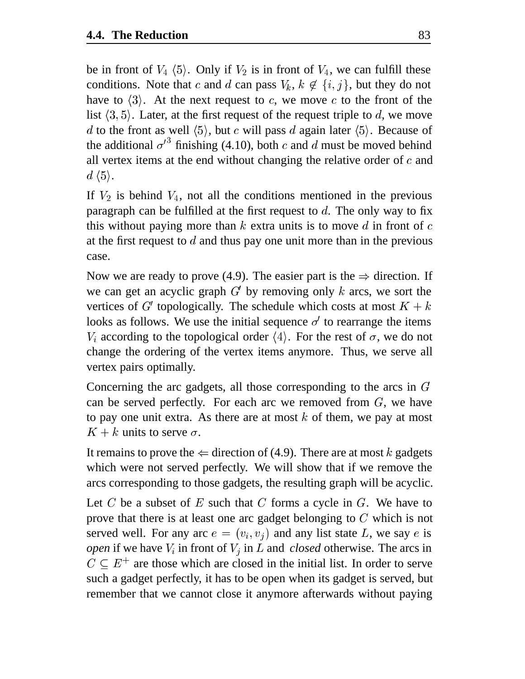be in front of  $V_4$   $\langle 5 \rangle$ . Only if  $V_2$  is in front of  $V_4$ , we can fulfill these conditions. Note that c and d can pass  $V_k$ ,  $k \notin \{i, j\}$ , but they do not have to  $\langle 3 \rangle$ . At the next request to c, we move c to the front of the list  $\langle 3, 5 \rangle$ . Later, at the first request of the request triple to d, we move d to the front as well  $\langle 5 \rangle$ , but c will pass d again later  $\langle 5 \rangle$ . Because of the additional  $\sigma'^3$  finishing (4.10), both c and d must be moved behind all vertex items at the end without changing the relative order of  $c$  and  $d \langle 5 \rangle$ .

If  $V_2$  is behind  $V_4$ , not all the conditions mentioned in the previous paragraph can be fulfilled at the first request to  $d$ . The only way to fix this without paying more than  $k$  extra units is to move  $d$  in front of  $c$ at the first request to  $d$  and thus pay one unit more than in the previous case.

Now we are ready to prove (4.9). The easier part is the  $\Rightarrow$  direction. If we can get an acyclic graph  $G'$  by removing only k arcs, we sort the vertices of G' topologically. The schedule which costs at most  $K + k$ looks as follows. We use the initial sequence  $\sigma'$  to rearrange the items  $V_i$  according to the topological order  $\langle 4 \rangle$ . For the rest of  $\sigma$ , we do not change the ordering of the vertex items anymore. Thus, we serve all vertex pairs optimally.

Concerning the arc gadgets, all those corresponding to the arcs in  $G$ can be served perfectly. For each arc we removed from  $G$ , we have to pay one unit extra. As there are at most  $k$  of them, we pay at most  $K + k$  units to serve  $\sigma$ .

It remains to prove the  $\Leftarrow$  direction of (4.9). There are at most k gadgets which were not served perfectly. We will show that if we remove the arcs corresponding to those gadgets, the resulting graph will be acyclic.

Let C be a subset of  $E$  such that C forms a cycle in  $G$ . We have to prove that there is at least one arc gadget belonging to  $C$  which is not served well. For any arc  $e = (v_i, v_j)$  and any list state L, we say e is *open* if we have  $V_i$  in front of  $V_i$  in L and *closed* otherwise. The arcs in  $C \subseteq E^+$  are those which are closed in the initial list. In order to serve such a gadget perfectly, it has to be open when its gadget is served, but remember that we cannot close it anymore afterwards without paying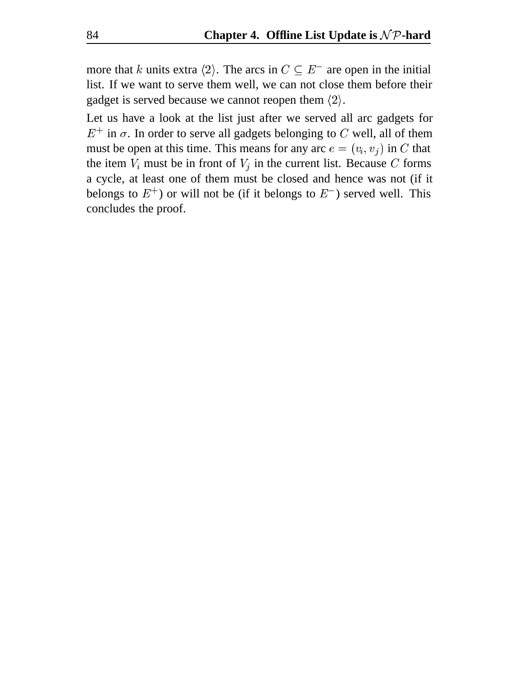more that k units extra  $\langle 2 \rangle$ . The arcs in  $C \subseteq E^-$  are open in the initial list. If we want to serve them well, we can not close them before their gadget is served because we cannot reopen them  $\langle 2 \rangle$ .

Let us have a look at the list just after we served all arc gadgets for  $E^+$  in  $\sigma$ . In order to serve all gadgets belonging to C well, all of them must be open at this time. This means for any arc  $e = (v_i, v_j)$  in C that the item  $V_i$  must be in front of  $V_j$  in the current list. Because C forms a cycle, at least one of them must be closed and hence was not (if it belongs to  $E^+$ ) or will not be (if it belongs to  $E^-$ ) served well. This concludes the proof.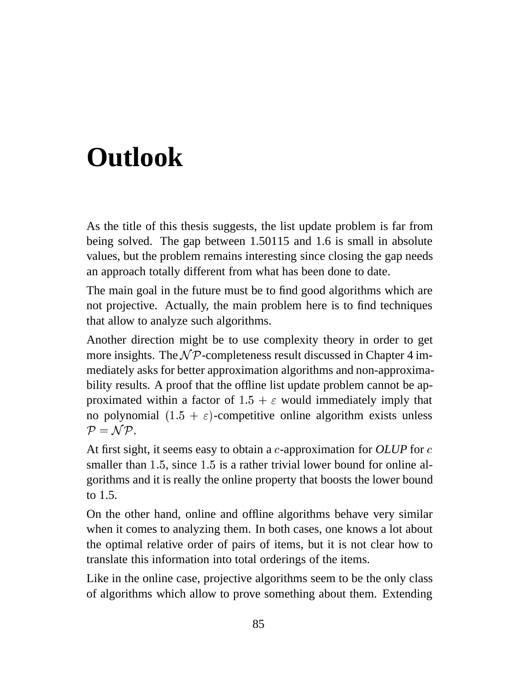# **Outlook**

As the title of this thesis suggests, the list update problem is far from being solved. The gap between 1.50115 and 1.6 is small in absolute values, but the problem remains interesting since closing the gap needs an approach totally different from what has been done to date.

The main goal in the future must be to find good algorithms which are not projective. Actually, the main problem here is to find techniques that allow to analyze such algorithms.

Another direction might be to use complexity theory in order to get more insights. The  $\mathcal{NP}$ -completeness result discussed in Chapter 4 immediately asks for better approximation algorithms and non-approximability results. A proof that the offline list update problem cannot be approximated within a factor of  $1.5 + \varepsilon$  would immediately imply that no polynomial  $(1.5 + \varepsilon)$ -competitive online algorithm exists unless - - $P = NP$ .

At first sight, it seems easy to obtain a *c*-approximation for *OLUP* for *c* smaller than  $1.5$ , since  $1.5$  is a rather trivial lower bound for online algorithms and it is really the online property that boosts the lower bound to 1.5.

On the other hand, online and offline algorithms behave very similar when it comes to analyzing them. In both cases, one knows a lot about the optimal relative order of pairs of items, but it is not clear how to translate this information into total orderings of the items.

Like in the online case, projective algorithms seem to be the only class of algorithms which allow to prove something about them. Extending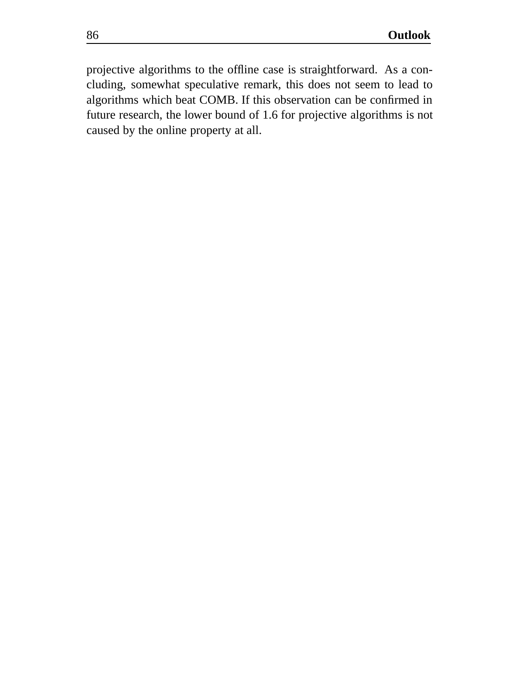projective algorithms to the offline case is straightforward. As a concluding, somewhat speculative remark, this does not seem to lead to algorithms which beat COMB. If this observation can be confirmed in future research, the lower bound of 1.6 for projective algorithms is not caused by the online property at all.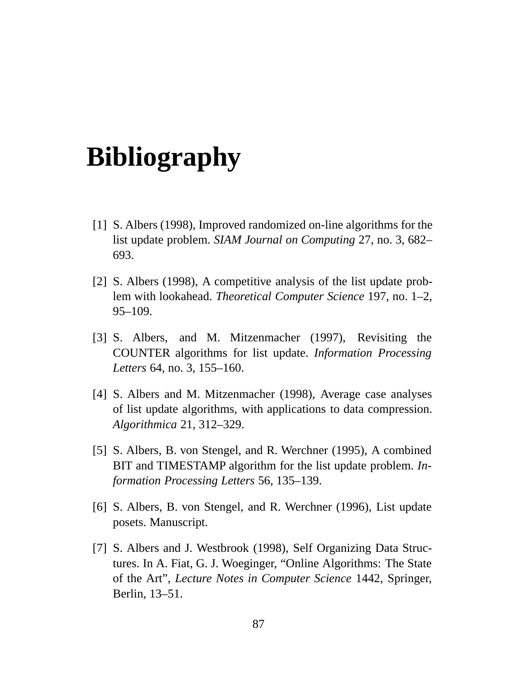# **Bibliography**

- [1] S. Albers (1998), Improved randomized on-line algorithms for the list update problem. *SIAM Journal on Computing* 27, no. 3, 682– 693.
- [2] S. Albers (1998), A competitive analysis of the list update problem with lookahead. *Theoretical Computer Science* 197, no. 1–2, 95–109.
- [3] S. Albers, and M. Mitzenmacher (1997), Revisiting the COUNTER algorithms for list update. *Information Processing Letters* 64, no. 3, 155–160.
- [4] S. Albers and M. Mitzenmacher (1998), Average case analyses of list update algorithms, with applications to data compression. *Algorithmica* 21, 312–329.
- [5] S. Albers, B. von Stengel, and R. Werchner (1995), A combined BIT and TIMESTAMP algorithm for the list update problem. *Information Processing Letters* 56, 135–139.
- [6] S. Albers, B. von Stengel, and R. Werchner (1996), List update posets. Manuscript.
- [7] S. Albers and J. Westbrook (1998), Self Organizing Data Structures. In A. Fiat, G. J. Woeginger, "Online Algorithms: The State of the Art", *Lecture Notes in Computer Science* 1442, Springer, Berlin, 13–51.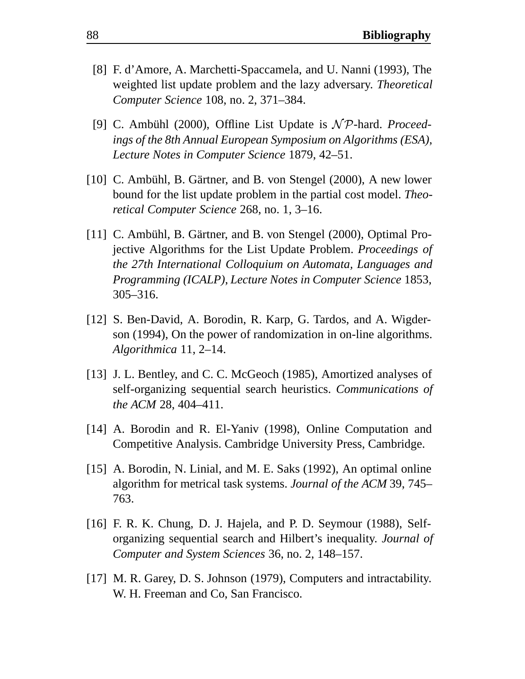- [8] F. d'Amore, A. Marchetti-Spaccamela, and U. Nanni (1993), The weighted list update problem and the lazy adversary. *Theoretical Computer Science* 108, no. 2, 371–384.
- [9] C. Ambühl (2000), Offline List Update is  $N \mathcal{P}$ -hard. *Proceedings of the 8th Annual European Symposium on Algorithms (ESA)*, *Lecture Notes in Computer Science* 1879, 42–51.
- [10] C. Ambühl, B. Gärtner, and B. von Stengel  $(2000)$ , A new lower bound for the list update problem in the partial cost model. *Theoretical Computer Science* 268, no. 1, 3–16.
- [11] C. Ambühl, B. Gärtner, and B. von Stengel (2000), Optimal Projective Algorithms for the List Update Problem. *Proceedings of the 27th International Colloquium on Automata, Languages and Programming (ICALP)*, *Lecture Notes in Computer Science* 1853, 305–316.
- [12] S. Ben-David, A. Borodin, R. Karp, G. Tardos, and A. Wigderson (1994), On the power of randomization in on-line algorithms. *Algorithmica* 11, 2–14.
- [13] J. L. Bentley, and C. C. McGeoch (1985), Amortized analyses of self-organizing sequential search heuristics. *Communications of the ACM* 28, 404–411.
- [14] A. Borodin and R. El-Yaniv (1998), Online Computation and Competitive Analysis. Cambridge University Press, Cambridge.
- [15] A. Borodin, N. Linial, and M. E. Saks (1992), An optimal online algorithm for metrical task systems. *Journal of the ACM* 39, 745– 763.
- [16] F. R. K. Chung, D. J. Hajela, and P. D. Seymour (1988), Selforganizing sequential search and Hilbert's inequality. *Journal of Computer and System Sciences* 36, no. 2, 148–157.
- [17] M. R. Garey, D. S. Johnson (1979), Computers and intractability. W. H. Freeman and Co, San Francisco.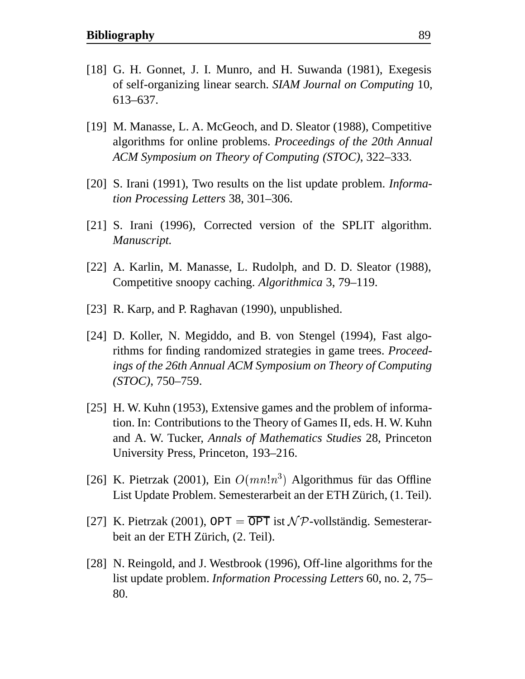- [18] G. H. Gonnet, J. I. Munro, and H. Suwanda (1981), Exegesis of self-organizing linear search. *SIAM Journal on Computing* 10, 613–637.
- [19] M. Manasse, L. A. McGeoch, and D. Sleator (1988), Competitive algorithms for online problems. *Proceedings of the 20th Annual ACM Symposium on Theory of Computing (STOC)*, 322–333.
- [20] S. Irani (1991), Two results on the list update problem. *Information Processing Letters* 38, 301–306.
- [21] S. Irani (1996), Corrected version of the SPLIT algorithm. *Manuscript.*
- [22] A. Karlin, M. Manasse, L. Rudolph, and D. D. Sleator (1988), Competitive snoopy caching. *Algorithmica* 3, 79–119.
- [23] R. Karp, and P. Raghavan (1990), unpublished.
- [24] D. Koller, N. Megiddo, and B. von Stengel (1994), Fast algorithms for finding randomized strategies in game trees. *Proceedings of the 26th Annual ACM Symposium on Theory of Computing (STOC)*, 750–759.
- [25] H. W. Kuhn (1953), Extensive games and the problem of information. In: Contributions to the Theory of Games II, eds. H. W. Kuhn and A. W. Tucker, *Annals of Mathematics Studies* 28, Princeton University Press, Princeton, 193–216.
- [26] K. Pietrzak (2001), Ein  $O(mn!n^3)$  Algorithmus für das Offline List Update Problem. Semesterarbeit an der ETH Zürich, (1. Teil).
- [27] K. Pietrzak (2001), OPT =  $\overline{OPT}$  ist  $\mathcal{NP}$ -vollständig. Semesterarbeit an der ETH Zürich, (2. Teil).
- [28] N. Reingold, and J. Westbrook (1996), Off-line algorithms for the list update problem. *Information Processing Letters* 60, no. 2, 75– 80.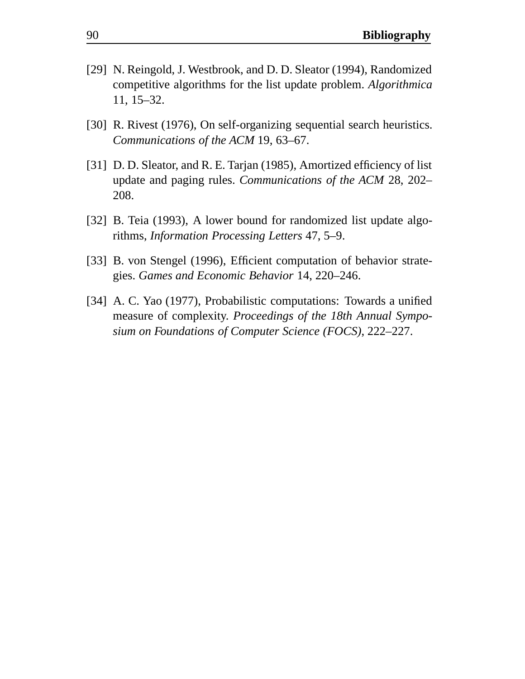- [29] N. Reingold, J. Westbrook, and D. D. Sleator (1994), Randomized competitive algorithms for the list update problem. *Algorithmica* 11, 15–32.
- [30] R. Rivest (1976), On self-organizing sequential search heuristics. *Communications of the ACM* 19, 63–67.
- [31] D. D. Sleator, and R. E. Tarjan (1985), Amortized efficiency of list update and paging rules. *Communications of the ACM* 28, 202– 208.
- [32] B. Teia (1993), A lower bound for randomized list update algorithms, *Information Processing Letters* 47, 5–9.
- [33] B. von Stengel (1996), Efficient computation of behavior strategies. *Games and Economic Behavior* 14, 220–246.
- [34] A. C. Yao (1977), Probabilistic computations: Towards a unified measure of complexity. *Proceedings of the 18th Annual Symposium on Foundations of Computer Science (FOCS)*, 222–227.